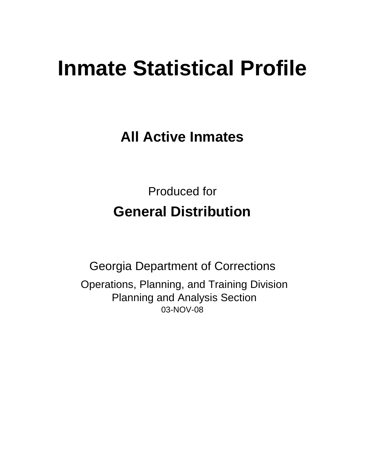# **Inmate Statistical Profile**

**All Active Inmates**

Produced for **General Distribution**

03-NOV-08 Georgia Department of Corrections Operations, Planning, and Training Division Planning and Analysis Section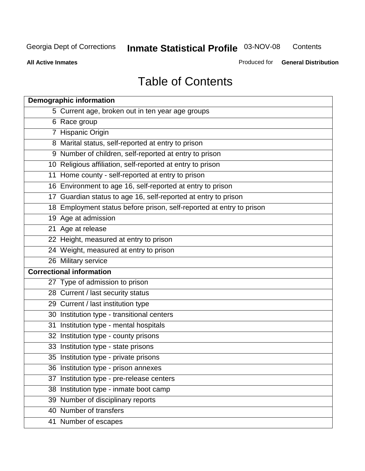**Contents** 

**All Active Inmates**

Produced for **General Distribution**

# Table of Contents

| <b>Demographic information</b>                                       |  |
|----------------------------------------------------------------------|--|
| 5 Current age, broken out in ten year age groups                     |  |
| 6 Race group                                                         |  |
| 7 Hispanic Origin                                                    |  |
| 8 Marital status, self-reported at entry to prison                   |  |
| 9 Number of children, self-reported at entry to prison               |  |
| 10 Religious affiliation, self-reported at entry to prison           |  |
| 11 Home county - self-reported at entry to prison                    |  |
| 16 Environment to age 16, self-reported at entry to prison           |  |
| 17 Guardian status to age 16, self-reported at entry to prison       |  |
| 18 Employment status before prison, self-reported at entry to prison |  |
| 19 Age at admission                                                  |  |
| 21 Age at release                                                    |  |
| 22 Height, measured at entry to prison                               |  |
| 24 Weight, measured at entry to prison                               |  |
| 26 Military service                                                  |  |
| <b>Correctional information</b>                                      |  |
| 27 Type of admission to prison                                       |  |
| 28 Current / last security status                                    |  |
| 29 Current / last institution type                                   |  |
| 30 Institution type - transitional centers                           |  |
| 31 Institution type - mental hospitals                               |  |
| 32 Institution type - county prisons                                 |  |
| 33 Institution type - state prisons                                  |  |
| 35 Institution type - private prisons                                |  |
| 36 Institution type - prison annexes                                 |  |
| 37 Institution type - pre-release centers                            |  |
| 38 Institution type - inmate boot camp                               |  |
| 39 Number of disciplinary reports                                    |  |
| 40 Number of transfers                                               |  |
| 41 Number of escapes                                                 |  |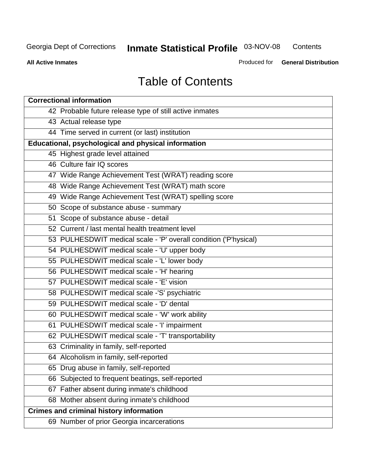**Contents** 

**All Active Inmates**

Produced for **General Distribution**

# Table of Contents

| <b>Correctional information</b>                                  |
|------------------------------------------------------------------|
| 42 Probable future release type of still active inmates          |
| 43 Actual release type                                           |
| 44 Time served in current (or last) institution                  |
| Educational, psychological and physical information              |
| 45 Highest grade level attained                                  |
| 46 Culture fair IQ scores                                        |
| 47 Wide Range Achievement Test (WRAT) reading score              |
| 48 Wide Range Achievement Test (WRAT) math score                 |
| 49 Wide Range Achievement Test (WRAT) spelling score             |
| 50 Scope of substance abuse - summary                            |
| 51 Scope of substance abuse - detail                             |
| 52 Current / last mental health treatment level                  |
| 53 PULHESDWIT medical scale - 'P' overall condition ('P'hysical) |
| 54 PULHESDWIT medical scale - 'U' upper body                     |
| 55 PULHESDWIT medical scale - 'L' lower body                     |
| 56 PULHESDWIT medical scale - 'H' hearing                        |
| 57 PULHESDWIT medical scale - 'E' vision                         |
| 58 PULHESDWIT medical scale -'S' psychiatric                     |
| 59 PULHESDWIT medical scale - 'D' dental                         |
| 60 PULHESDWIT medical scale - 'W' work ability                   |
| 61 PULHESDWIT medical scale - 'I' impairment                     |
| 62 PULHESDWIT medical scale - 'T' transportability               |
| 63 Criminality in family, self-reported                          |
| 64 Alcoholism in family, self-reported                           |
| 65 Drug abuse in family, self-reported                           |
| 66 Subjected to frequent beatings, self-reported                 |
| 67 Father absent during inmate's childhood                       |
| 68 Mother absent during inmate's childhood                       |
| <b>Crimes and criminal history information</b>                   |
| 69 Number of prior Georgia incarcerations                        |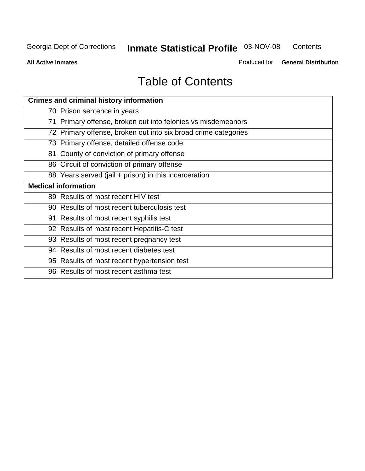**Contents** 

**All Active Inmates**

Produced for **General Distribution**

# Table of Contents

| <b>Crimes and criminal history information</b>                 |
|----------------------------------------------------------------|
| 70 Prison sentence in years                                    |
| 71 Primary offense, broken out into felonies vs misdemeanors   |
| 72 Primary offense, broken out into six broad crime categories |
| 73 Primary offense, detailed offense code                      |
| 81 County of conviction of primary offense                     |
| 86 Circuit of conviction of primary offense                    |
| 88 Years served (jail + prison) in this incarceration          |
| <b>Medical information</b>                                     |
| 89 Results of most recent HIV test                             |
| 90 Results of most recent tuberculosis test                    |
| 91 Results of most recent syphilis test                        |
| 92 Results of most recent Hepatitis-C test                     |
| 93 Results of most recent pregnancy test                       |
| 94 Results of most recent diabetes test                        |
| 95 Results of most recent hypertension test                    |
| 96 Results of most recent asthma test                          |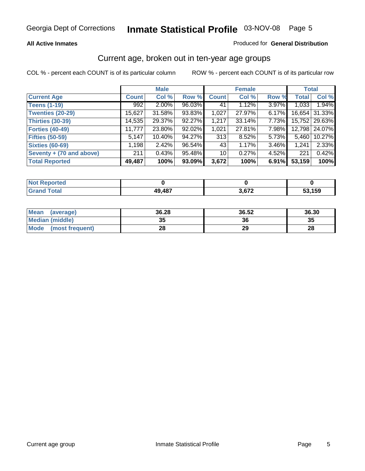#### **All Active Inmates**

#### Produced for **General Distribution**

#### Current age, broken out in ten-year age groups

|                          |              | <b>Male</b> |        |                 | <b>Female</b> |          |              | <b>Total</b>    |
|--------------------------|--------------|-------------|--------|-----------------|---------------|----------|--------------|-----------------|
| <b>Current Age</b>       | <b>Count</b> | Col %       | Row %  | <b>Count</b>    | Col %         | Row %    | <b>Total</b> | Col %           |
| <b>Teens (1-19)</b>      | 992          | $2.00\%$    | 96.03% | 41              | 1.12%         | 3.97%    | 1,033        | 1.94%           |
| <b>Twenties (20-29)</b>  | 15,627       | 31.58%      | 93.83% | 1,027           | 27.97%        | 6.17%    | 16,654       | 31.33%          |
| <b>Thirties (30-39)</b>  | 14,535       | 29.37%      | 92.27% | 1,217           | 33.14%        | $7.73\%$ |              | 15,752   29.63% |
| <b>Forties (40-49)</b>   | 11,777       | 23.80%      | 92.02% | 1,021           | 27.81%        | 7.98%    | 12,798       | 24.07%          |
| <b>Fifties (50-59)</b>   | 5,147        | $10.40\%$   | 94.27% | 313             | 8.52%         | 5.73%    | 5,460        | 10.27%          |
| <b>Sixties (60-69)</b>   | 1,198        | 2.42%       | 96.54% | 43              | 1.17%         | 3.46%    | 1,241        | 2.33%           |
| Seventy + (70 and above) | 211          | 0.43%       | 95.48% | 10 <sup>1</sup> | 0.27%         | $4.52\%$ | 221          | 0.42%           |
| <b>Total Reported</b>    | 49,487       | 100%        | 93.09% | 3,672           | 100%          | 6.91%    | 53,159       | 100%            |

| $^{\circ}$ Not $\rightarrow$<br><b>Construction and</b><br>rted<br>Reno |        |     |       |
|-------------------------------------------------------------------------|--------|-----|-------|
| <b>Total</b>                                                            | 49,487 | 679 | , 159 |

| Mean<br>(average)       | 36.28 | 36.52 | 36.30 |
|-------------------------|-------|-------|-------|
| Median (middle)         | 35    | 36    | 35    |
| Mode<br>(most frequent) | 28    | 29    | 28    |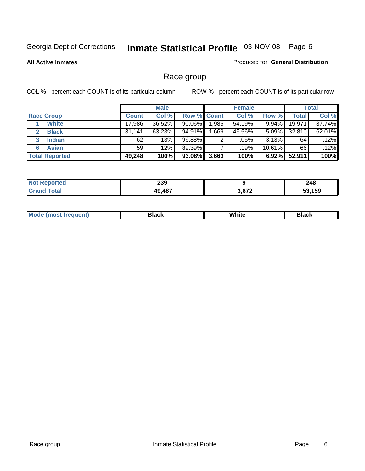**All Active Inmates**

#### Produced for **General Distribution**

### Race group

|                       |              | <b>Male</b> |             |          | <b>Female</b> |           |        | <b>Total</b> |
|-----------------------|--------------|-------------|-------------|----------|---------------|-----------|--------|--------------|
| <b>Race Group</b>     | <b>Count</b> | Col %       | Row % Count |          | Col %         | Row %     | Total  | Col %        |
| <b>White</b>          | 17,986       | 36.52%      | 90.06%      | ا 985. ا | 54.19%        | 9.94%     | 19,971 | 37.74%       |
| <b>Black</b>          | 31,141       | 63.23%      | 94.91%      | .669     | 45.56%        | $5.09\%$  | 32,810 | 62.01%       |
| <b>Indian</b><br>3    | 62           | .13%        | 96.88%      | ົ        | .05%          | $3.13\%$  | 64     | .12%         |
| <b>Asian</b>          | 59           | $.12\%$     | 89.39%      |          | .19%          | $10.61\%$ | 66     | .12%         |
| <b>Total Reported</b> | 49,248       | 100%        | 93.08%      | 3,663    | 100%          | 6.92%     | 52,911 | 100%         |

| 239        |       | 248             |
|------------|-------|-----------------|
| .197<br>۸0 | היה י | <b>150</b><br>. |

|  | $Mc$ | Black | White<br>$ -$ | 21904<br>DIACK |
|--|------|-------|---------------|----------------|
|--|------|-------|---------------|----------------|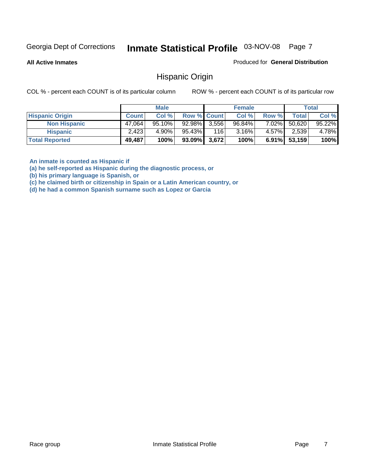**All Active Inmates**

Produced for **General Distribution**

#### Hispanic Origin

COL % - percent each COUNT is of its particular column ROW % - percent each COUNT is of its particular row

|                        |              | <b>Male</b> |                    |     | <b>Female</b> |          |        | <b>Total</b> |
|------------------------|--------------|-------------|--------------------|-----|---------------|----------|--------|--------------|
| <b>Hispanic Origin</b> | <b>Count</b> | Col %       | <b>Row % Count</b> |     | Col %         | Row %    | Total  | Col %        |
| <b>Non Hispanic</b>    | 47,064       | $95.10\%$   | 92.98% 3,556       |     | 96.84%        | $7.02\%$ | 50,620 | 95.22%       |
| <b>Hispanic</b>        | 2,423        | $4.90\%$    | 95.43%             | 116 | $3.16\%$      | $4.57\%$ | 2,539  | 4.78%        |
| <b>Total Reported</b>  | 49,487       | 100%        | $93.09\%$ 3,672    |     | 100%          | $6.91\%$ | 53,159 | 100%         |

**An inmate is counted as Hispanic if** 

**(a) he self-reported as Hispanic during the diagnostic process, or** 

**(b) his primary language is Spanish, or** 

**(c) he claimed birth or citizenship in Spain or a Latin American country, or** 

**(d) he had a common Spanish surname such as Lopez or Garcia**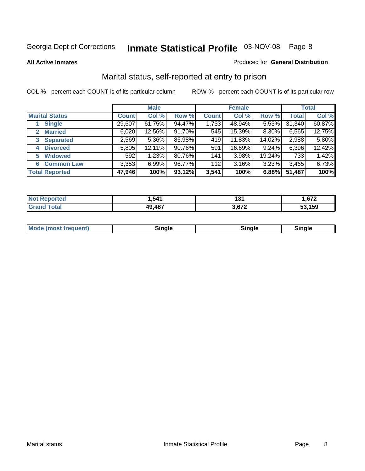#### **All Active Inmates**

#### Produced for **General Distribution**

### Marital status, self-reported at entry to prison

|                                | <b>Male</b>  |          |        | <b>Female</b> |        |        | <b>Total</b> |        |
|--------------------------------|--------------|----------|--------|---------------|--------|--------|--------------|--------|
| <b>Marital Status</b>          | <b>Count</b> | Col %    | Row %  | <b>Count</b>  | Col %  | Row %  | <b>Total</b> | Col %  |
| <b>Single</b>                  | 29,607       | 61.75%   | 94.47% | 1,733         | 48.94% | 5.53%  | 31,340       | 60.87% |
| <b>Married</b><br>$\mathbf{2}$ | 6,020        | 12.56%   | 91.70% | 545           | 15.39% | 8.30%  | 6,565        | 12.75% |
| <b>Separated</b><br>3          | 2,569        | $5.36\%$ | 85.98% | 419           | 11.83% | 14.02% | 2,988        | 5.80%  |
| <b>Divorced</b><br>4           | 5,805        | 12.11%   | 90.76% | 591           | 16.69% | 9.24%  | 6,396        | 12.42% |
| <b>Widowed</b><br>5            | 592          | 1.23%    | 80.76% | 141           | 3.98%  | 19.24% | 733          | 1.42%  |
| <b>Common Law</b><br>6         | 3,353        | 6.99%    | 96.77% | 112           | 3.16%  | 3.23%  | 3,465        | 6.73%  |
| <b>Total Reported</b>          | 47,946       | 100%     | 93.12% | 3,541         | 100%   | 6.88%  | 51,487       | 100%   |

| ,541       | $\sim$ $\sim$ $\sim$<br>. ה<br>1 J I | C <sub>70</sub><br>. |
|------------|--------------------------------------|----------------------|
| ,487<br>ΔQ | $\sim$                               | 159                  |

|  | Mode (most f<br>freauent) | `ınale |  | `inale |
|--|---------------------------|--------|--|--------|
|--|---------------------------|--------|--|--------|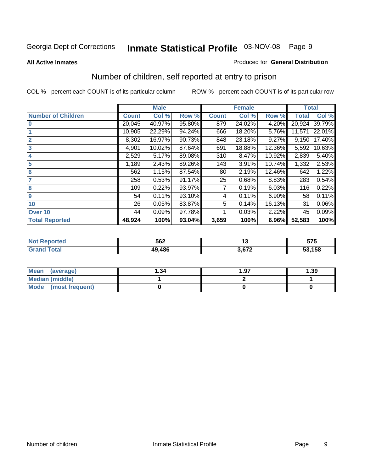#### **All Active Inmates**

#### Produced for **General Distribution**

### Number of children, self reported at entry to prison

|                           | <b>Male</b>  |        |        |              | <b>Female</b> |        | <b>Total</b> |        |
|---------------------------|--------------|--------|--------|--------------|---------------|--------|--------------|--------|
| <b>Number of Children</b> | <b>Count</b> | Col %  | Row %  | <b>Count</b> | Col %         | Row %  | <b>Total</b> | Col %  |
| $\bf{0}$                  | 20,045       | 40.97% | 95.80% | 879          | 24.02%        | 4.20%  | 20,924       | 39.79% |
|                           | 10,905       | 22.29% | 94.24% | 666          | 18.20%        | 5.76%  | 11,571       | 22.01% |
| $\overline{2}$            | 8,302        | 16.97% | 90.73% | 848          | 23.18%        | 9.27%  | 9,150        | 17.40% |
| 3                         | 4,901        | 10.02% | 87.64% | 691          | 18.88%        | 12.36% | 5,592        | 10.63% |
| 4                         | 2,529        | 5.17%  | 89.08% | 310          | 8.47%         | 10.92% | 2,839        | 5.40%  |
| 5                         | 1,189        | 2.43%  | 89.26% | 143          | 3.91%         | 10.74% | 1,332        | 2.53%  |
| $6\phantom{a}$            | 562          | 1.15%  | 87.54% | 80           | 2.19%         | 12.46% | 642          | 1.22%  |
| 7                         | 258          | 0.53%  | 91.17% | 25           | 0.68%         | 8.83%  | 283          | 0.54%  |
| 8                         | 109          | 0.22%  | 93.97% |              | 0.19%         | 6.03%  | 116          | 0.22%  |
| 9                         | 54           | 0.11%  | 93.10% | 4            | 0.11%         | 6.90%  | 58           | 0.11%  |
| 10                        | 26           | 0.05%  | 83.87% | 5            | 0.14%         | 16.13% | 31           | 0.06%  |
| Over 10                   | 44           | 0.09%  | 97.78% |              | 0.03%         | 2.22%  | 45           | 0.09%  |
| <b>Total Reported</b>     | 48,924       | 100%   | 93.04% | 3,659        | 100%          | 6.96%  | 52,583       | 100%   |

| 562 | $\sim$ | <b>676</b><br>J I J<br>- - |
|-----|--------|----------------------------|
| AC  | $\sim$ | .158<br>.                  |

| <b>Mean</b><br>(average) | ∣.34 | 1.97 | .39 |
|--------------------------|------|------|-----|
| <b>Median (middle)</b>   |      |      |     |
| Mode<br>(most frequent)  |      |      |     |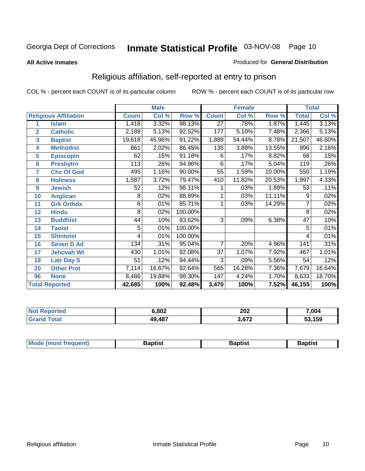#### **All Active Inmates**

#### Produced for **General Distribution**

### Religious affiliation, self-reported at entry to prison

|                  |                              |              | <b>Male</b>         |         | <b>Female</b>   |        |        | <b>Total</b>    |        |
|------------------|------------------------------|--------------|---------------------|---------|-----------------|--------|--------|-----------------|--------|
|                  | <b>Religious Affiliation</b> | <b>Count</b> | Col %               | Row %   | <b>Count</b>    | Col %  | Row %  | <b>Total</b>    | Col %  |
| 1                | <b>Islam</b>                 | 1,418        | 3.32%               | 98.13%  | $\overline{27}$ | .78%   | 1.87%  | 1,445           | 3.13%  |
| $\overline{2}$   | <b>Catholic</b>              | 2,189        | $\overline{5.13\%}$ | 92.52%  | 177             | 5.10%  | 7.48%  | 2,366           | 5.13%  |
| 3                | <b>Baptist</b>               | 19,618       | 45.96%              | 91.22%  | 1,889           | 54.44% | 8.78%  | 21,507          | 46.60% |
| 4                | <b>Methodist</b>             | 861          | 2.02%               | 86.45%  | 135             | 3.89%  | 13.55% | 996             | 2.16%  |
| 5                | <b>EpiscopIn</b>             | 62           | .15%                | 91.18%  | 6               | .17%   | 8.82%  | 68              | .15%   |
| 6                | <b>Presbytrn</b>             | 113          | .26%                | 94.96%  | 6               | .17%   | 5.04%  | 119             | .26%   |
| 7                | <b>Chc Of God</b>            | 495          | 1.16%               | 90.00%  | 55              | 1.59%  | 10.00% | 550             | 1.19%  |
| 8                | <b>Holiness</b>              | 1,587        | 3.72%               | 79.47%  | 410             | 11.82% | 20.53% | 1,997           | 4.33%  |
| $\boldsymbol{9}$ | <b>Jewish</b>                | 52           | .12%                | 98.11%  |                 | .03%   | 1.89%  | 53              | .11%   |
| 10               | <b>Anglican</b>              | 8            | .02%                | 88.89%  |                 | .03%   | 11.11% | 9               | .02%   |
| 11               | <b>Grk Orthdx</b>            | 6            | .01%                | 85.71%  |                 | .03%   | 14.29% |                 | .02%   |
| 12               | <b>Hindu</b>                 | 8            | .02%                | 100.00% |                 |        |        | 8               | .02%   |
| 13               | <b>Buddhist</b>              | 44           | .10%                | 93.62%  | $\overline{3}$  | .09%   | 6.38%  | $\overline{47}$ | .10%   |
| 14               | <b>Taoist</b>                | 5            | .01%                | 100.00% |                 |        |        | 5               | .01%   |
| 15               | <b>Shintoist</b>             | 4            | .01%                | 100.00% |                 |        |        | 4               | .01%   |
| 16               | <b>Seven D Ad</b>            | 134          | .31%                | 95.04%  | $\overline{7}$  | .20%   | 4.96%  | 141             | .31%   |
| 17               | <b>Jehovah Wt</b>            | 430          | 1.01%               | 92.08%  | $\overline{37}$ | 1.07%  | 7.92%  | 467             | 1.01%  |
| 18               | <b>Latr Day S</b>            | 51           | .12%                | 94.44%  | $\overline{3}$  | .09%   | 5.56%  | 54              | .12%   |
| 20               | <b>Other Prot</b>            | 7,114        | 16.67%              | 92.64%  | 565             | 16.28% | 7.36%  | 7,679           | 16.64% |
| 96               | <b>None</b>                  | 8,486        | 19.88%              | 98.30%  | 147             | 4.24%  | 1.70%  | 8,633           | 18.70% |
|                  | <b>Total Reported</b>        | 42,685       | 100%                | 92.48%  | 3,470           | 100%   | 7.52%  | 46,155          | 100%   |

| 14640 | .802   | 202<br>$\sim$ $\sim$ | 7,004        |  |
|-------|--------|----------------------|--------------|--|
|       | 49,487 | רכם כ<br>ப⊷          | , 159<br>IJJ |  |

| <b>Mode</b><br>frequent)<br>umost | 3aptist | 3aptist | <b>Baptist</b> |
|-----------------------------------|---------|---------|----------------|
|                                   |         |         |                |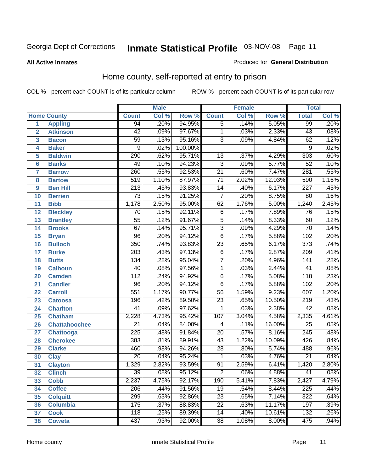**All Active Inmates**

#### Produced for **General Distribution**

### Home county, self-reported at entry to prison

|                 |                      |                  | <b>Male</b> |         |                 | <b>Female</b> |        | <b>Total</b>     |         |
|-----------------|----------------------|------------------|-------------|---------|-----------------|---------------|--------|------------------|---------|
|                 | <b>Home County</b>   | <b>Count</b>     | Col %       | Row %   | <b>Count</b>    | Col %         | Row %  | <b>Total</b>     | Col %   |
| 1               | <b>Appling</b>       | 94               | .20%        | 94.95%  | $\overline{5}$  | .14%          | 5.05%  | 99               | .20%    |
| $\overline{2}$  | <b>Atkinson</b>      | $\overline{42}$  | .09%        | 97.67%  | $\mathbf 1$     | .03%          | 2.33%  | $\overline{43}$  | .08%    |
| 3               | <b>Bacon</b>         | $\overline{59}$  | .13%        | 95.16%  | $\overline{3}$  | .09%          | 4.84%  | $\overline{62}$  | .12%    |
| 4               | <b>Baker</b>         | 9                | .02%        | 100.00% |                 |               |        | $\overline{9}$   | .02%    |
| 5               | <b>Baldwin</b>       | 290              | .62%        | 95.71%  | $\overline{13}$ | .37%          | 4.29%  | $\overline{303}$ | .60%    |
| $6\phantom{1}6$ | <b>Banks</b>         | 49               | .10%        | 94.23%  | $\overline{3}$  | .09%          | 5.77%  | $\overline{52}$  | .10%    |
| $\overline{7}$  | <b>Barrow</b>        | 260              | .55%        | 92.53%  | $\overline{21}$ | .60%          | 7.47%  | $\overline{281}$ | .55%    |
| 8               | <b>Bartow</b>        | 519              | 1.10%       | 87.97%  | $\overline{71}$ | 2.02%         | 12.03% | 590              | 1.16%   |
| 9               | <b>Ben Hill</b>      | $\overline{213}$ | .45%        | 93.83%  | $\overline{14}$ | .40%          | 6.17%  | $\overline{227}$ | .45%    |
| 10              | <b>Berrien</b>       | $\overline{73}$  | .15%        | 91.25%  | $\overline{7}$  | .20%          | 8.75%  | 80               | .16%    |
| 11              | <b>Bibb</b>          | 1,178            | 2.50%       | 95.00%  | 62              | 1.76%         | 5.00%  | 1,240            | 2.45%   |
| 12              | <b>Bleckley</b>      | 70               | .15%        | 92.11%  | $\,6$           | .17%          | 7.89%  | 76               | .15%    |
| 13              | <b>Brantley</b>      | $\overline{55}$  | .12%        | 91.67%  | $\overline{5}$  | .14%          | 8.33%  | 60               | .12%    |
| 14              | <b>Brooks</b>        | $\overline{67}$  | .14%        | 95.71%  | $\overline{3}$  | .09%          | 4.29%  | $\overline{70}$  | .14%    |
| 15              | <b>Bryan</b>         | $\overline{96}$  | .20%        | 94.12%  | $\overline{6}$  | .17%          | 5.88%  | 102              | .20%    |
| 16              | <b>Bulloch</b>       | $\overline{350}$ | .74%        | 93.83%  | $\overline{23}$ | .65%          | 6.17%  | $\overline{373}$ | .74%    |
| 17              | <b>Burke</b>         | $\sqrt{203}$     | .43%        | 97.13%  | $\overline{6}$  | .17%          | 2.87%  | 209              | .41%    |
| 18              | <b>Butts</b>         | 134              | .28%        | 95.04%  | $\overline{7}$  | .20%          | 4.96%  | $\overline{141}$ | .28%    |
| 19              | <b>Calhoun</b>       | $\overline{40}$  | .08%        | 97.56%  | $\overline{1}$  | .03%          | 2.44%  | $\overline{41}$  | .08%    |
| 20              | <b>Camden</b>        | $\overline{112}$ | .24%        | 94.92%  | $\overline{6}$  | .17%          | 5.08%  | 118              | .23%    |
| 21              | <b>Candler</b>       | $\overline{96}$  | .20%        | 94.12%  | $\overline{6}$  | .17%          | 5.88%  | 102              | .20%    |
| 22              | <b>Carroll</b>       | 551              | 1.17%       | 90.77%  | $\overline{56}$ | 1.59%         | 9.23%  | 607              | 1.20%   |
| 23              | <b>Catoosa</b>       | 196              | .42%        | 89.50%  | $\overline{23}$ | .65%          | 10.50% | $\overline{219}$ | .43%    |
| 24              | <b>Charlton</b>      | $\overline{41}$  | .09%        | 97.62%  | 1               | .03%          | 2.38%  | $\overline{42}$  | .08%    |
| 25              | <b>Chatham</b>       | 2,228            | 4.73%       | 95.42%  | 107             | 3.04%         | 4.58%  | 2,335            | 4.61%   |
| 26              | <b>Chattahoochee</b> | $\overline{21}$  | .04%        | 84.00%  | 4               | .11%          | 16.00% | 25               | .05%    |
| 27              | <b>Chattooga</b>     | $\overline{225}$ | .48%        | 91.84%  | $\overline{20}$ | .57%          | 8.16%  | $\overline{245}$ | .48%    |
| 28              | <b>Cherokee</b>      | 383              | .81%        | 89.91%  | $\overline{43}$ | 1.22%         | 10.09% | 426              | .84%    |
| 29              | <b>Clarke</b>        | 460              | .98%        | 94.26%  | $\overline{28}$ | .80%          | 5.74%  | 488              | .96%    |
| 30              | <b>Clay</b>          | $\overline{20}$  | .04%        | 95.24%  | $\mathbf 1$     | .03%          | 4.76%  | $\overline{21}$  | .04%    |
| $\overline{31}$ | <b>Clayton</b>       | 1,329            | 2.82%       | 93.59%  | 91              | 2.59%         | 6.41%  | 1,420            | 2.80%   |
| 32              | <b>Clinch</b>        | 39               | .08%        | 95.12%  | 2               | .06%          | 4.88%  | 41               | $.08\%$ |
| 33              | <b>Cobb</b>          | 2,237            | 4.75%       | 92.17%  | 190             | 5.41%         | 7.83%  | 2,427            | 4.79%   |
| 34              | <b>Coffee</b>        | 206              | .44%        | 91.56%  | 19              | .54%          | 8.44%  | 225              | .44%    |
| 35              | <b>Colquitt</b>      | 299              | .63%        | 92.86%  | $\overline{23}$ | .65%          | 7.14%  | 322              | .64%    |
| 36              | <b>Columbia</b>      | 175              | .37%        | 88.83%  | $\overline{22}$ | .63%          | 11.17% | 197              | .39%    |
| 37              | <b>Cook</b>          | 118              | .25%        | 89.39%  | 14              | .40%          | 10.61% | 132              | .26%    |
| 38              | <b>Coweta</b>        | 437              | .93%        | 92.00%  | $\overline{38}$ | 1.08%         | 8.00%  | 475              | .94%    |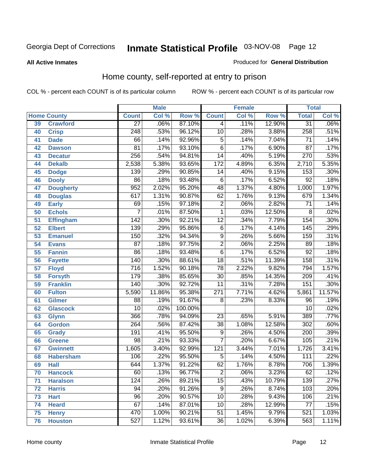#### **All Active Inmates**

#### Produced for **General Distribution**

### Home county, self-reported at entry to prison

|                 |                    |                  | <b>Male</b> |         |                  | <b>Female</b> |        | <b>Total</b>    |                            |
|-----------------|--------------------|------------------|-------------|---------|------------------|---------------|--------|-----------------|----------------------------|
|                 | <b>Home County</b> | <b>Count</b>     | Col %       | Row %   | <b>Count</b>     | Col %         | Row %  | <b>Total</b>    | $\overline{\text{Col }^9}$ |
| 39              | <b>Crawford</b>    | $\overline{27}$  | .06%        | 87.10%  | 4                | .11%          | 12.90% | $\overline{31}$ | .06%                       |
| 40              | <b>Crisp</b>       | $\overline{248}$ | .53%        | 96.12%  | $\overline{10}$  | .28%          | 3.88%  | 258             | .51%                       |
| 41              | <b>Dade</b>        | 66               | .14%        | 92.96%  | 5                | .14%          | 7.04%  | $\overline{71}$ | .14%                       |
| 42              | <b>Dawson</b>      | $\overline{81}$  | .17%        | 93.10%  | $\overline{6}$   | .17%          | 6.90%  | $\overline{87}$ | .17%                       |
| 43              | <b>Decatur</b>     | $\overline{256}$ | .54%        | 94.81%  | $\overline{14}$  | .40%          | 5.19%  | 270             | .53%                       |
| 44              | <b>Dekalb</b>      | 2,538            | 5.38%       | 93.65%  | $\overline{172}$ | 4.89%         | 6.35%  | 2,710           | 5.35%                      |
| 45              | <b>Dodge</b>       | $\overline{139}$ | .29%        | 90.85%  | $\overline{14}$  | .40%          | 9.15%  | 153             | .30%                       |
| 46              | <b>Dooly</b>       | $\overline{86}$  | .18%        | 93.48%  | $\overline{6}$   | .17%          | 6.52%  | $\overline{92}$ | .18%                       |
| 47              | <b>Dougherty</b>   | $\overline{952}$ | 2.02%       | 95.20%  | $\overline{48}$  | 1.37%         | 4.80%  | 1,000           | 1.97%                      |
| 48              | <b>Douglas</b>     | 617              | 1.31%       | 90.87%  | 62               | 1.76%         | 9.13%  | 679             | 1.34%                      |
| 49              | <b>Early</b>       | 69               | .15%        | 97.18%  | $\overline{2}$   | .06%          | 2.82%  | $\overline{71}$ | .14%                       |
| 50              | <b>Echols</b>      | 7                | .01%        | 87.50%  | $\mathbf 1$      | .03%          | 12.50% | 8               | .02%                       |
| $\overline{51}$ | <b>Effingham</b>   | $\overline{142}$ | .30%        | 92.21%  | $\overline{12}$  | .34%          | 7.79%  | 154             | .30%                       |
| 52              | <b>Elbert</b>      | 139              | .29%        | 95.86%  | 6                | .17%          | 4.14%  | 145             | .29%                       |
| 53              | <b>Emanuel</b>     | 150              | .32%        | 94.34%  | $\overline{9}$   | .26%          | 5.66%  | 159             | .31%                       |
| 54              | <b>Evans</b>       | $\overline{87}$  | .18%        | 97.75%  | $\overline{2}$   | .06%          | 2.25%  | 89              | .18%                       |
| 55              | <b>Fannin</b>      | $\overline{86}$  | .18%        | 93.48%  | $\overline{6}$   | .17%          | 6.52%  | 92              | .18%                       |
| 56              | <b>Fayette</b>     | 140              | .30%        | 88.61%  | $\overline{18}$  | .51%          | 11.39% | 158             | .31%                       |
| 57              | <b>Floyd</b>       | $\overline{716}$ | 1.52%       | 90.18%  | $\overline{78}$  | 2.22%         | 9.82%  | 794             | 1.57%                      |
| 58              | <b>Forsyth</b>     | 179              | .38%        | 85.65%  | $\overline{30}$  | .85%          | 14.35% | 209             | .41%                       |
| 59              | <b>Franklin</b>    | 140              | .30%        | 92.72%  | $\overline{11}$  | .31%          | 7.28%  | 151             | .30%                       |
| 60              | <b>Fulton</b>      | 5,590            | 11.86%      | 95.38%  | $\overline{271}$ | 7.71%         | 4.62%  | 5,861           | 11.57%                     |
| 61              | Gilmer             | 88               | .19%        | 91.67%  | 8                | .23%          | 8.33%  | 96              | .19%                       |
| 62              | <b>Glascock</b>    | $\overline{10}$  | .02%        | 100.00% |                  |               |        | $\overline{10}$ | .02%                       |
| 63              | <b>Glynn</b>       | 366              | .78%        | 94.09%  | $\overline{23}$  | .65%          | 5.91%  | 389             | .77%                       |
| 64              | <b>Gordon</b>      | $\overline{264}$ | .56%        | 87.42%  | $\overline{38}$  | 1.08%         | 12.58% | 302             | .60%                       |
| 65              | <b>Grady</b>       | 191              | .41%        | 95.50%  | 9                | .26%          | 4.50%  | 200             | .39%                       |
| 66              | <b>Greene</b>      | $\overline{98}$  | .21%        | 93.33%  | $\overline{7}$   | .20%          | 6.67%  | 105             | .21%                       |
| 67              | <b>Gwinnett</b>    | 1,605            | 3.40%       | 92.99%  | 121              | 3.44%         | 7.01%  | 1,726           | 3.41%                      |
| 68              | <b>Habersham</b>   | 106              | .22%        | 95.50%  | $\overline{5}$   | .14%          | 4.50%  | 111             | .22%                       |
| 69              | <b>Hall</b>        | $\overline{644}$ | 1.37%       | 91.22%  | 62               | 1.76%         | 8.78%  | 706             | 1.39%                      |
| 70              | <b>Hancock</b>     | 60               | .13%        | 96.77%  | 2                | .06%          | 3.23%  | 62              | .12%                       |
| 71              | <b>Haralson</b>    | 124              | .26%        | 89.21%  | $\overline{15}$  | .43%          | 10.79% | 139             | .27%                       |
| 72              | <b>Harris</b>      | 94               | .20%        | 91.26%  | 9                | .26%          | 8.74%  | 103             | .20%                       |
| 73              | <b>Hart</b>        | $\overline{96}$  | .20%        | 90.57%  | $\overline{10}$  | .28%          | 9.43%  | 106             | .21%                       |
| 74              | <b>Heard</b>       | 67               | .14%        | 87.01%  | $\overline{10}$  | .28%          | 12.99% | 77              | .15%                       |
| 75              | <b>Henry</b>       | 470              | 1.00%       | 90.21%  | $\overline{51}$  | 1.45%         | 9.79%  | 521             | 1.03%                      |
| 76              | <b>Houston</b>     | 527              | 1.12%       | 93.61%  | $\overline{36}$  | 1.02%         | 6.39%  | 563             | 1.11%                      |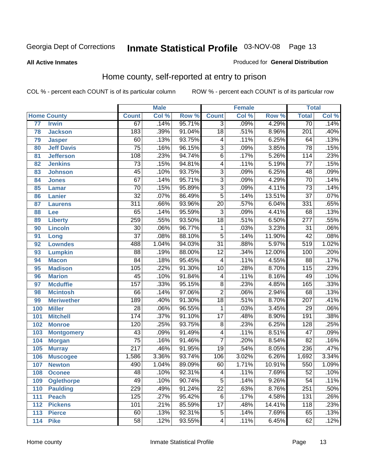#### **All Active Inmates**

#### Produced for **General Distribution**

### Home county, self-reported at entry to prison

|                 |                    |                  | <b>Male</b> |        |                 | <b>Female</b> |        | <b>Total</b>     |       |
|-----------------|--------------------|------------------|-------------|--------|-----------------|---------------|--------|------------------|-------|
|                 | <b>Home County</b> | <b>Count</b>     | Col %       | Row %  | <b>Count</b>    | Col %         | Row %  | <b>Total</b>     | Col % |
| $\overline{77}$ | <b>Irwin</b>       | 67               | .14%        | 95.71% | $\overline{3}$  | .09%          | 4.29%  | $\overline{70}$  | .14%  |
| 78              | <b>Jackson</b>     | 183              | .39%        | 91.04% | $\overline{18}$ | .51%          | 8.96%  | $\overline{201}$ | .40%  |
| 79              | <b>Jasper</b>      | 60               | .13%        | 93.75% | 4               | .11%          | 6.25%  | 64               | .13%  |
| 80              | <b>Jeff Davis</b>  | $\overline{75}$  | .16%        | 96.15% | $\overline{3}$  | .09%          | 3.85%  | $\overline{78}$  | .15%  |
| 81              | <b>Jefferson</b>   | 108              | .23%        | 94.74% | $\overline{6}$  | .17%          | 5.26%  | 114              | .23%  |
| 82              | <b>Jenkins</b>     | $\overline{73}$  | .15%        | 94.81% | $\overline{4}$  | .11%          | 5.19%  | $\overline{77}$  | .15%  |
| 83              | <b>Johnson</b>     | $\overline{45}$  | .10%        | 93.75% | $\overline{3}$  | .09%          | 6.25%  | 48               | .09%  |
| 84              | <b>Jones</b>       | $\overline{67}$  | .14%        | 95.71% | $\overline{3}$  | .09%          | 4.29%  | $\overline{70}$  | .14%  |
| 85              | <b>Lamar</b>       | $\overline{70}$  | .15%        | 95.89% | $\overline{3}$  | .09%          | 4.11%  | $\overline{73}$  | .14%  |
| 86              | <b>Lanier</b>      | $\overline{32}$  | .07%        | 86.49% | $\overline{5}$  | .14%          | 13.51% | $\overline{37}$  | .07%  |
| 87              | <b>Laurens</b>     | $\overline{311}$ | .66%        | 93.96% | $\overline{20}$ | .57%          | 6.04%  | 331              | .65%  |
| 88              | <b>Lee</b>         | 65               | .14%        | 95.59% | $\overline{3}$  | .09%          | 4.41%  | 68               | .13%  |
| 89              | <b>Liberty</b>     | 259              | .55%        | 93.50% | $\overline{18}$ | .51%          | 6.50%  | $\overline{277}$ | .55%  |
| 90              | <b>Lincoln</b>     | $\overline{30}$  | .06%        | 96.77% | 1               | .03%          | 3.23%  | $\overline{31}$  | .06%  |
| 91              | Long               | $\overline{37}$  | .08%        | 88.10% | $\overline{5}$  | .14%          | 11.90% | $\overline{42}$  | .08%  |
| 92              | <b>Lowndes</b>     | 488              | 1.04%       | 94.03% | $\overline{31}$ | .88%          | 5.97%  | 519              | 1.02% |
| 93              | <b>Lumpkin</b>     | $\overline{88}$  | .19%        | 88.00% | $\overline{12}$ | .34%          | 12.00% | 100              | .20%  |
| 94              | <b>Macon</b>       | $\overline{84}$  | .18%        | 95.45% | 4               | .11%          | 4.55%  | $\overline{88}$  | .17%  |
| 95              | <b>Madison</b>     | 105              | .22%        | 91.30% | $\overline{10}$ | .28%          | 8.70%  | 115              | .23%  |
| 96              | <b>Marion</b>      | $\overline{45}$  | .10%        | 91.84% | 4               | .11%          | 8.16%  | 49               | .10%  |
| 97              | <b>Mcduffie</b>    | 157              | .33%        | 95.15% | $\overline{8}$  | .23%          | 4.85%  | 165              | .33%  |
| 98              | <b>Mcintosh</b>    | 66               | .14%        | 97.06% | $\overline{2}$  | .06%          | 2.94%  | 68               | .13%  |
| 99              | <b>Meriwether</b>  | 189              | .40%        | 91.30% | $\overline{18}$ | .51%          | 8.70%  | $\overline{207}$ | .41%  |
| 100             | <b>Miller</b>      | $\overline{28}$  | .06%        | 96.55% | $\mathbf{1}$    | .03%          | 3.45%  | $\overline{29}$  | .06%  |
| 101             | <b>Mitchell</b>    | 174              | .37%        | 91.10% | $\overline{17}$ | .48%          | 8.90%  | 191              | .38%  |
| 102             | <b>Monroe</b>      | 120              | .25%        | 93.75% | $\overline{8}$  | .23%          | 6.25%  | 128              | .25%  |
| 103             | <b>Montgomery</b>  | 43               | .09%        | 91.49% | 4               | .11%          | 8.51%  | 47               | .09%  |
| 104             | <b>Morgan</b>      | $\overline{75}$  | .16%        | 91.46% | $\overline{7}$  | .20%          | 8.54%  | $\overline{82}$  | .16%  |
| 105             | <b>Murray</b>      | $\overline{217}$ | .46%        | 91.95% | $\overline{19}$ | .54%          | 8.05%  | 236              | .47%  |
| 106             | <b>Muscogee</b>    | 1,586            | 3.36%       | 93.74% | 106             | 3.02%         | 6.26%  | 1,692            | 3.34% |
| 107             | <b>Newton</b>      | 490              | 1.04%       | 89.09% | 60              | 1.71%         | 10.91% | 550              | 1.09% |
| 108             | <b>Oconee</b>      | 48               | .10%        | 92.31% | 4               | .11%          | 7.69%  | 52               | .10%  |
| 109             | <b>Oglethorpe</b>  | 49               | .10%        | 90.74% | $\overline{5}$  | .14%          | 9.26%  | $\overline{54}$  | .11%  |
| 110             | <b>Paulding</b>    | 229              | .49%        | 91.24% | $\overline{22}$ | .63%          | 8.76%  | 251              | .50%  |
| 111             | <b>Peach</b>       | 125              | .27%        | 95.42% | $\overline{6}$  | .17%          | 4.58%  | 131              | .26%  |
| 112             | <b>Pickens</b>     | 101              | .21%        | 85.59% | $\overline{17}$ | .48%          | 14.41% | 118              | .23%  |
| 113             | <b>Pierce</b>      | 60               | .13%        | 92.31% | $\overline{5}$  | .14%          | 7.69%  | 65               | .13%  |
| 114             | <b>Pike</b>        | $\overline{58}$  | .12%        | 93.55% | 4               | .11%          | 6.45%  | 62               | .12%  |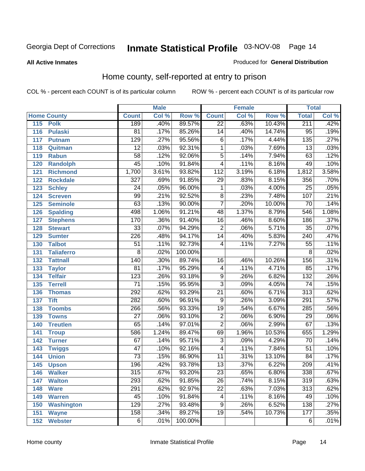#### **All Active Inmates**

#### Produced for **General Distribution**

### Home county, self-reported at entry to prison

|     |                    |                  | <b>Male</b> |         |                         | <b>Female</b> |        | <b>Total</b>     |       |
|-----|--------------------|------------------|-------------|---------|-------------------------|---------------|--------|------------------|-------|
|     | <b>Home County</b> | <b>Count</b>     | Col %       | Row %   | <b>Count</b>            | Col %         | Row %  | <b>Total</b>     | Col % |
| 115 | <b>Polk</b>        | 189              | .40%        | 89.57%  | $\overline{22}$         | .63%          | 10.43% | 211              | .42%  |
| 116 | <b>Pulaski</b>     | $\overline{81}$  | .17%        | 85.26%  | $\overline{14}$         | .40%          | 14.74% | $\overline{95}$  | .19%  |
| 117 | <b>Putnam</b>      | 129              | .27%        | 95.56%  | $\overline{6}$          | .17%          | 4.44%  | $\overline{135}$ | .27%  |
| 118 | Quitman            | $\overline{12}$  | .03%        | 92.31%  | 1                       | .03%          | 7.69%  | $\overline{13}$  | .03%  |
| 119 | <b>Rabun</b>       | $\overline{58}$  | .12%        | 92.06%  | $\overline{5}$          | .14%          | 7.94%  | 63               | .12%  |
| 120 | <b>Randolph</b>    | $\overline{45}$  | .10%        | 91.84%  | $\overline{4}$          | .11%          | 8.16%  | 49               | .10%  |
| 121 | <b>Richmond</b>    | 1,700            | 3.61%       | 93.82%  | $\overline{112}$        | 3.19%         | 6.18%  | 1,812            | 3.58% |
| 122 | <b>Rockdale</b>    | $\overline{327}$ | .69%        | 91.85%  | 29                      | .83%          | 8.15%  | 356              | .70%  |
| 123 | <b>Schley</b>      | $\overline{24}$  | .05%        | 96.00%  | 1                       | .03%          | 4.00%  | $\overline{25}$  | .05%  |
| 124 | <b>Screven</b>     | 99               | .21%        | 92.52%  | 8                       | .23%          | 7.48%  | 107              | .21%  |
| 125 | <b>Seminole</b>    | 63               | .13%        | 90.00%  | $\overline{7}$          | .20%          | 10.00% | 70               | .14%  |
| 126 | <b>Spalding</b>    | 498              | 1.06%       | 91.21%  | 48                      | 1.37%         | 8.79%  | 546              | 1.08% |
| 127 | <b>Stephens</b>    | 170              | .36%        | 91.40%  | $\overline{16}$         | .46%          | 8.60%  | 186              | .37%  |
| 128 | <b>Stewart</b>     | $\overline{33}$  | .07%        | 94.29%  | $\overline{2}$          | .06%          | 5.71%  | $\overline{35}$  | .07%  |
| 129 | <b>Sumter</b>      | 226              | .48%        | 94.17%  | $\overline{14}$         | .40%          | 5.83%  | 240              | .47%  |
| 130 | <b>Talbot</b>      | $\overline{51}$  | .11%        | 92.73%  | 4                       | .11%          | 7.27%  | $\overline{55}$  | .11%  |
| 131 | <b>Taliaferro</b>  | $\overline{8}$   | .02%        | 100.00% |                         |               |        | 8                | .02%  |
| 132 | <b>Tattnall</b>    | $\overline{140}$ | .30%        | 89.74%  | $\overline{16}$         | .46%          | 10.26% | 156              | .31%  |
| 133 | <b>Taylor</b>      | $\overline{81}$  | .17%        | 95.29%  | 4                       | .11%          | 4.71%  | 85               | .17%  |
| 134 | <b>Telfair</b>     | $\overline{123}$ | .26%        | 93.18%  | $\overline{9}$          | .26%          | 6.82%  | $\overline{132}$ | .26%  |
| 135 | <b>Terrell</b>     | $\overline{71}$  | .15%        | 95.95%  | $\overline{3}$          | .09%          | 4.05%  | $\overline{74}$  | .15%  |
| 136 | <b>Thomas</b>      | 292              | .62%        | 93.29%  | $\overline{21}$         | .60%          | 6.71%  | $\overline{313}$ | .62%  |
| 137 | <b>Tift</b>        | 282              | .60%        | 96.91%  | $\overline{9}$          | .26%          | 3.09%  | $\overline{291}$ | .57%  |
| 138 | <b>Toombs</b>      | 266              | .56%        | 93.33%  | $\overline{19}$         | .54%          | 6.67%  | 285              | .56%  |
| 139 | <b>Towns</b>       | $\overline{27}$  | .06%        | 93.10%  | $\overline{2}$          | .06%          | 6.90%  | $\overline{29}$  | .06%  |
| 140 | <b>Treutlen</b>    | 65               | .14%        | 97.01%  | $\overline{2}$          | .06%          | 2.99%  | 67               | .13%  |
| 141 | <b>Troup</b>       | 586              | 1.24%       | 89.47%  | 69                      | 1.96%         | 10.53% | 655              | 1.29% |
| 142 | <b>Turner</b>      | 67               | .14%        | 95.71%  | $\overline{3}$          | .09%          | 4.29%  | $\overline{70}$  | .14%  |
| 143 | <b>Twiggs</b>      | $\overline{47}$  | .10%        | 92.16%  | $\overline{\mathbf{4}}$ | .11%          | 7.84%  | $\overline{51}$  | .10%  |
| 144 | <b>Union</b>       | $\overline{73}$  | .15%        | 86.90%  | 11                      | .31%          | 13.10% | 84               | .17%  |
| 145 | <b>Upson</b>       | 196              | .42%        | 93.78%  | $\overline{13}$         | .37%          | 6.22%  | 209              | .41%  |
| 146 | <b>Walker</b>      | 315              | .67%        | 93.20%  | 23                      | .65%          | 6.80%  | 338              | .67%  |
| 147 | <b>Walton</b>      | 293              | .62%        | 91.85%  | $\overline{26}$         | .74%          | 8.15%  | 319              | .63%  |
| 148 | <b>Ware</b>        | 291              | .62%        | 92.97%  | $\overline{22}$         | .63%          | 7.03%  | $\overline{313}$ | .62%  |
| 149 | <b>Warren</b>      | 45               | .10%        | 91.84%  | 4                       | .11%          | 8.16%  | 49               | .10%  |
| 150 | <b>Washington</b>  | 129              | .27%        | 93.48%  | $\overline{9}$          | .26%          | 6.52%  | 138              | .27%  |
| 151 | <b>Wayne</b>       | 158              | .34%        | 89.27%  | $\overline{19}$         | .54%          | 10.73% | 177              | .35%  |
|     | 152 Webster        | $\overline{6}$   | .01%        | 100.00% |                         |               |        | 6                | .01%  |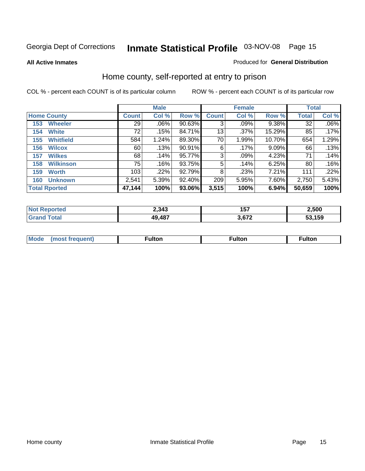#### **All Active Inmates**

#### Produced for **General Distribution**

### Home county, self-reported at entry to prison

|                    |                      | <b>Male</b>  |       |        |                 | <b>Female</b> | <b>Total</b> |        |         |
|--------------------|----------------------|--------------|-------|--------|-----------------|---------------|--------------|--------|---------|
| <b>Home County</b> |                      | <b>Count</b> | Col % | Row %  | <b>Count</b>    | Col %         | Row %        | Total  | Col %   |
| 153                | <b>Wheeler</b>       | 29           | .06%  | 90.63% | 3               | .09%          | 9.38%        | 32     | $.06\%$ |
| 154                | <b>White</b>         | 72           | .15%  | 84.71% | 13 <sub>1</sub> | .37%          | 15.29%       | 85     | .17%    |
| 155                | <b>Whitfield</b>     | 584          | 1.24% | 89.30% | 70              | 1.99%         | 10.70%       | 654    | 1.29%   |
| 156                | <b>Wilcox</b>        | 60           | .13%  | 90.91% | 6               | .17%          | 9.09%        | 66     | .13%    |
| 157                | <b>Wilkes</b>        | 68           | .14%  | 95.77% | 3               | .09%          | 4.23%        | 71     | .14%    |
| 158                | <b>Wilkinson</b>     | 75           | .16%  | 93.75% | 5               | .14%          | 6.25%        | 80     | .16%    |
| 159                | <b>Worth</b>         | 103          | .22%  | 92.79% | 8               | .23%          | 7.21%        | 111    | .22%    |
| 160                | <b>Unknown</b>       | 2,541        | 5.39% | 92.40% | 209             | 5.95%         | 7.60%        | 2,750  | 5.43%   |
|                    | <b>Total Rported</b> | 47,144       | 100%  | 93.06% | 3,515           | 100%          | 6.94%        | 50,659 | 100%    |

| n.<br>тео | 2,343      | 157<br>וטו | 2,500  |
|-----------|------------|------------|--------|
|           | 487ء<br>49 | $\sim$     | 53,159 |

| <b>Mode</b> | مرمية الرار | ™ulton | uiton |
|-------------|-------------|--------|-------|
|             |             |        |       |
|             |             |        |       |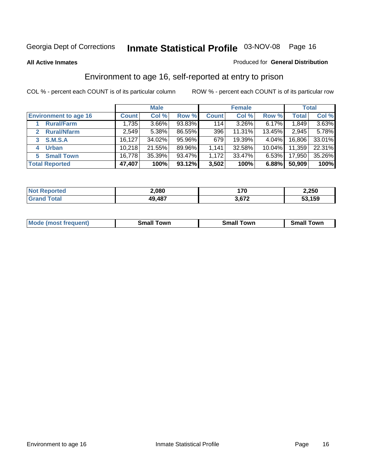#### **All Active Inmates**

#### Produced for **General Distribution**

### Environment to age 16, self-reported at entry to prison

|                              | <b>Male</b>  |        |        | <b>Female</b> |          |           | <b>Total</b> |        |
|------------------------------|--------------|--------|--------|---------------|----------|-----------|--------------|--------|
| <b>Environment to age 16</b> | <b>Count</b> | Col %  | Row %  | <b>Count</b>  | Col %    | Row %     | Total        | Col %  |
| <b>Rural/Farm</b>            | 1,735        | 3.66%  | 93.83% | 114           | $3.26\%$ | $6.17\%$  | 1,849        | 3.63%  |
| <b>Rural/Nfarm</b>           | 2,549        | 5.38%  | 86.55% | 396           | 11.31%   | 13.45%    | 2,945        | 5.78%  |
| <b>S.M.S.A</b><br>3          | 16,127       | 34.02% | 95.96% | 679           | 19.39%   | 4.04%     | 16,806       | 33.01% |
| <b>Urban</b><br>4            | 10,218       | 21.55% | 89.96% | 1,141         | 32.58%   | $10.04\%$ | 11,359       | 22.31% |
| <b>Small Town</b><br>5       | 16,778       | 35.39% | 93.47% | 1,172         | 33.47%   | $6.53\%$  | 17,950       | 35.26% |
| <b>Total Reported</b>        | 47,407       | 100%   | 93.12% | 3,502         | 100%     | 6.88%     | 50,909       | 100%   |

| <b>Not Reported</b> | 2,080  | 170   | 2,250  |
|---------------------|--------|-------|--------|
| Гоtal<br>Grand      | 49,487 | 3.672 | 53,159 |

| Mode (most f<br>Small<br>⊺own<br>owr<br>. owr<br>trequent)<br>яπ |  |  |
|------------------------------------------------------------------|--|--|
|                                                                  |  |  |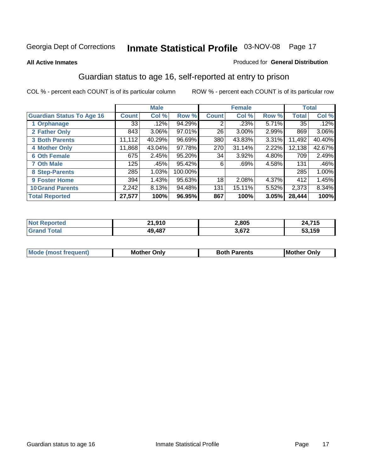#### **All Active Inmates**

#### Produced for **General Distribution**

### Guardian status to age 16, self-reported at entry to prison

|                                  |              | <b>Male</b> |           |              | <b>Female</b> |       |              | <b>Total</b> |
|----------------------------------|--------------|-------------|-----------|--------------|---------------|-------|--------------|--------------|
| <b>Guardian Status To Age 16</b> | <b>Count</b> | Col %       | Row %     | <b>Count</b> | Col %         | Row % | <b>Total</b> | Col %        |
| 1 Orphanage                      | 33           | .12%        | 94.29%    | 2            | .23%          | 5.71% | 35           | .12%         |
| 2 Father Only                    | 843          | $3.06\%$    | 97.01%    | 26           | $3.00\%$      | 2.99% | 869          | $3.06\%$     |
| <b>3 Both Parents</b>            | 11,112       | 40.29%      | $96.69\%$ | 380          | 43.83%        | 3.31% | 11,492       | 40.40%       |
| <b>4 Mother Only</b>             | 11,868       | 43.04%      | 97.78%    | 270          | 31.14%        | 2.22% | 12,138       | 42.67%       |
| <b>6 Oth Female</b>              | 675          | 2.45%       | 95.20%    | 34           | 3.92%         | 4.80% | 709          | 2.49%        |
| <b>7 Oth Male</b>                | 125          | .45%        | 95.42%    | 6            | .69%          | 4.58% | 131          | .46%         |
| 8 Step-Parents                   | 285          | 1.03%       | 100.00%   |              |               |       | 285          | 1.00%        |
| 9 Foster Home                    | 394          | 1.43%       | 95.63%    | 18           | 2.08%         | 4.37% | 412          | 1.45%        |
| <b>10 Grand Parents</b>          | 2,242        | 8.13%       | 94.48%    | 131          | 15.11%        | 5.52% | 2,373        | 8.34%        |
| <b>Total Reported</b>            | 27,577       | 100%        | 96.95%    | 867          | 100%          | 3.05% | 28,444       | 100%         |

| orted<br><b>NO1</b> | 910.،     | 2,805 | .715          |
|---------------------|-----------|-------|---------------|
| otal                | $AQ$ $AQ$ | 3,672 | 53,159<br>JJ. |

| Mode | Onlv<br>Mot | <b>Roth</b><br>Parents | <b>IMot</b><br>Onlv<br>∵hei |
|------|-------------|------------------------|-----------------------------|
|      |             |                        |                             |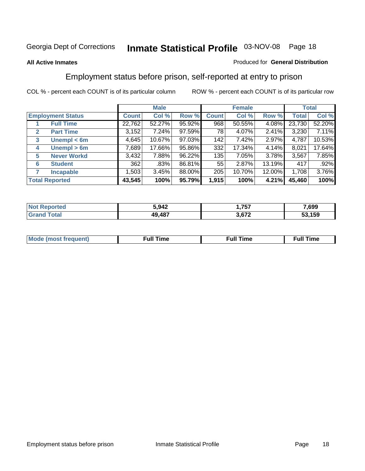#### **All Active Inmates**

#### Produced for **General Distribution**

### Employment status before prison, self-reported at entry to prison

|              |                          |              | <b>Male</b> |        |              | <b>Female</b> |        |        | <b>Total</b> |  |
|--------------|--------------------------|--------------|-------------|--------|--------------|---------------|--------|--------|--------------|--|
|              | <b>Employment Status</b> | <b>Count</b> | Col %       | Row %  | <b>Count</b> | Col %         | Row %  | Total  | Col %        |  |
|              | <b>Full Time</b>         | 22,762       | 52.27%      | 95.92% | 968          | 50.55%        | 4.08%  | 23,730 | 52.20%       |  |
| $\mathbf{2}$ | <b>Part Time</b>         | 3,152        | 7.24%       | 97.59% | 78           | 4.07%         | 2.41%  | 3,230  | 7.11%        |  |
| 3            | Unempl $<$ 6m            | 4,645        | 10.67%      | 97.03% | 142          | 7.42%         | 2.97%  | 4,787  | 10.53%       |  |
| 4            | Unempl > 6m              | 7,689        | 17.66%      | 95.86% | 332          | 17.34%        | 4.14%  | 8,021  | 17.64%       |  |
| 5            | <b>Never Workd</b>       | 3,432        | 7.88%       | 96.22% | 135          | 7.05%         | 3.78%  | 3,567  | 7.85%        |  |
| 6            | <b>Student</b>           | 362          | .83%        | 86.81% | 55           | 2.87%         | 13.19% | 417    | .92%         |  |
| 7            | <b>Incapable</b>         | 1,503        | 3.45%       | 88.00% | 205          | 10.70%        | 12.00% | 1,708  | 3.76%        |  |
|              | <b>Total Reported</b>    | 43,545       | 100%        | 95.79% | 1,915        | 100%          | 4.21%  | 45,460 | 100%         |  |

| 5.942 | フトフ                    | 7,699     |
|-------|------------------------|-----------|
| .487  | 1 272<br>$\sim$ $\sim$ | .159<br>. |

| Mo | 'me<br>uн<br>$\sim$ $\sim$ $\sim$ $\sim$ $\sim$ $\sim$ | ïme<br>uı.<br>the contract of the contract of the contract of the contract of the contract of the contract of the contract of |
|----|--------------------------------------------------------|-------------------------------------------------------------------------------------------------------------------------------|
|    |                                                        |                                                                                                                               |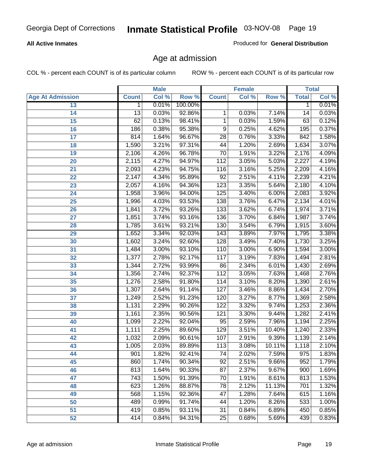#### **All Active Inmates**

Produced for **General Distribution**

### Age at admission

|                         |                 | <b>Male</b> |         |                  | <b>Female</b> |        |              | <b>Total</b> |
|-------------------------|-----------------|-------------|---------|------------------|---------------|--------|--------------|--------------|
| <b>Age At Admission</b> | <b>Count</b>    | Col %       | Row %   | <b>Count</b>     | Col %         | Row %  | <b>Total</b> | Col %        |
| 13                      | 1               | 0.01%       | 100.00% |                  |               |        | 1            | 0.01%        |
| 14                      | $\overline{13}$ | 0.03%       | 92.86%  | 1                | 0.03%         | 7.14%  | 14           | 0.03%        |
| 15                      | 62              | 0.13%       | 98.41%  | 1                | 0.03%         | 1.59%  | 63           | 0.12%        |
| 16                      | 186             | 0.38%       | 95.38%  | $\overline{9}$   | 0.25%         | 4.62%  | 195          | 0.37%        |
| $\overline{17}$         | 814             | 1.64%       | 96.67%  | $\overline{28}$  | 0.76%         | 3.33%  | 842          | 1.58%        |
| 18                      | 1,590           | 3.21%       | 97.31%  | 44               | 1.20%         | 2.69%  | 1,634        | 3.07%        |
| 19                      | 2,106           | 4.26%       | 96.78%  | 70               | 1.91%         | 3.22%  | 2,176        | 4.09%        |
| 20                      | 2,115           | 4.27%       | 94.97%  | 112              | 3.05%         | 5.03%  | 2,227        | 4.19%        |
| 21                      | 2,093           | 4.23%       | 94.75%  | 116              | 3.16%         | 5.25%  | 2,209        | 4.16%        |
| 22                      | 2,147           | 4.34%       | 95.89%  | $\overline{92}$  | 2.51%         | 4.11%  | 2,239        | 4.21%        |
| 23                      | 2,057           | 4.16%       | 94.36%  | 123              | 3.35%         | 5.64%  | 2,180        | 4.10%        |
| 24                      | 1,958           | 3.96%       | 94.00%  | 125              | 3.40%         | 6.00%  | 2,083        | 3.92%        |
| $\overline{25}$         | 1,996           | 4.03%       | 93.53%  | 138              | 3.76%         | 6.47%  | 2,134        | 4.01%        |
| 26                      | 1,841           | 3.72%       | 93.26%  | 133              | 3.62%         | 6.74%  | 1,974        | 3.71%        |
| 27                      | 1,851           | 3.74%       | 93.16%  | 136              | 3.70%         | 6.84%  | 1,987        | 3.74%        |
| 28                      | 1,785           | 3.61%       | 93.21%  | 130              | 3.54%         | 6.79%  | 1,915        | 3.60%        |
| 29                      | 1,652           | 3.34%       | 92.03%  | $\overline{143}$ | 3.89%         | 7.97%  | 1,795        | 3.38%        |
| 30                      | 1,602           | 3.24%       | 92.60%  | 128              | 3.49%         | 7.40%  | 1,730        | 3.25%        |
| 31                      | 1,484           | 3.00%       | 93.10%  | 110              | 3.00%         | 6.90%  | 1,594        | 3.00%        |
| 32                      | 1,377           | 2.78%       | 92.17%  | 117              | 3.19%         | 7.83%  | 1,494        | 2.81%        |
| 33                      | 1,344           | 2.72%       | 93.99%  | 86               | 2.34%         | 6.01%  | 1,430        | 2.69%        |
| 34                      | 1,356           | 2.74%       | 92.37%  | 112              | 3.05%         | 7.63%  | 1,468        | 2.76%        |
| 35                      | 1,276           | 2.58%       | 91.80%  | 114              | 3.10%         | 8.20%  | 1,390        | 2.61%        |
| 36                      | 1,307           | 2.64%       | 91.14%  | 127              | 3.46%         | 8.86%  | 1,434        | 2.70%        |
| 37                      | 1,249           | 2.52%       | 91.23%  | 120              | 3.27%         | 8.77%  | 1,369        | 2.58%        |
| 38                      | 1,131           | 2.29%       | 90.26%  | 122              | 3.32%         | 9.74%  | 1,253        | 2.36%        |
| 39                      | 1,161           | 2.35%       | 90.56%  | 121              | 3.30%         | 9.44%  | 1,282        | 2.41%        |
| 40                      | 1,099           | 2.22%       | 92.04%  | 95               | 2.59%         | 7.96%  | 1,194        | 2.25%        |
| 41                      | 1,111           | 2.25%       | 89.60%  | $\overline{129}$ | 3.51%         | 10.40% | 1,240        | 2.33%        |
| 42                      | 1,032           | 2.09%       | 90.61%  | 107              | 2.91%         | 9.39%  | 1,139        | 2.14%        |
| 43                      | 1,005           | 2.03%       | 89.89%  | 113              | 3.08%         | 10.11% | 1,118        | 2.10%        |
| 44                      | 901             | 1.82%       | 92.41%  | 74               | 2.02%         | 7.59%  | 975          | 1.83%        |
| 45                      | 860             | 1.74%       | 90.34%  | $\overline{92}$  | 2.51%         | 9.66%  | 952          | 1.79%        |
| 46                      | 813             | 1.64%       | 90.33%  | 87               | 2.37%         | 9.67%  | 900          | 1.69%        |
| 47                      | 743             | 1.50%       | 91.39%  | 70               | 1.91%         | 8.61%  | 813          | 1.53%        |
| 48                      | 623             | 1.26%       | 88.87%  | 78               | 2.12%         | 11.13% | 701          | 1.32%        |
| 49                      | 568             | 1.15%       | 92.36%  | 47               | 1.28%         | 7.64%  | 615          | 1.16%        |
| 50                      | 489             | 0.99%       | 91.74%  | 44               | 1.20%         | 8.26%  | 533          | 1.00%        |
| 51                      | 419             | 0.85%       | 93.11%  | 31               | 0.84%         | 6.89%  | 450          | 0.85%        |
| 52                      | 414             | 0.84%       | 94.31%  | $\overline{25}$  | 0.68%         | 5.69%  | 439          | 0.83%        |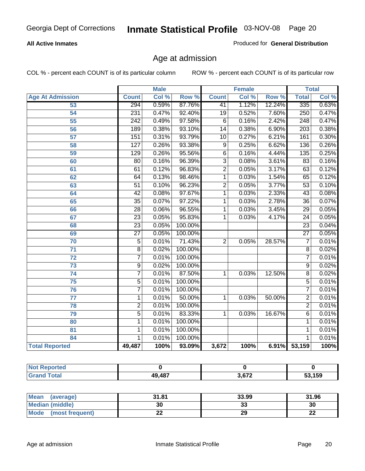#### **All Active Inmates**

Produced for **General Distribution**

### Age at admission

|                         | <b>Male</b>      |       | <b>Female</b> |                 |       | <b>Total</b> |                  |       |
|-------------------------|------------------|-------|---------------|-----------------|-------|--------------|------------------|-------|
| <b>Age At Admission</b> | <b>Count</b>     | Col % | Row %         | <b>Count</b>    | Col % | Row %        | <b>Total</b>     | Col % |
| 53                      | 294              | 0.59% | 87.76%        | 41              | 1.12% | 12.24%       | 335              | 0.63% |
| 54                      | 231              | 0.47% | 92.40%        | $\overline{19}$ | 0.52% | 7.60%        | 250              | 0.47% |
| $\overline{55}$         | $\overline{242}$ | 0.49% | 97.58%        | $\overline{6}$  | 0.16% | 2.42%        | 248              | 0.47% |
| $\overline{56}$         | 189              | 0.38% | 93.10%        | $\overline{14}$ | 0.38% | 6.90%        | $\overline{203}$ | 0.38% |
| $\overline{57}$         | 151              | 0.31% | 93.79%        | $\overline{10}$ | 0.27% | 6.21%        | 161              | 0.30% |
| 58                      | $\overline{127}$ | 0.26% | 93.38%        | 9               | 0.25% | 6.62%        | 136              | 0.26% |
| 59                      | 129              | 0.26% | 95.56%        | 6               | 0.16% | 4.44%        | 135              | 0.25% |
| 60                      | $\overline{80}$  | 0.16% | 96.39%        | $\overline{3}$  | 0.08% | 3.61%        | 83               | 0.16% |
| 61                      | 61               | 0.12% | 96.83%        | $\overline{2}$  | 0.05% | 3.17%        | 63               | 0.12% |
| 62                      | $\overline{64}$  | 0.13% | 98.46%        | $\overline{1}$  | 0.03% | 1.54%        | 65               | 0.12% |
| 63                      | $\overline{51}$  | 0.10% | 96.23%        | $\overline{2}$  | 0.05% | 3.77%        | $\overline{53}$  | 0.10% |
| 64                      | $\overline{42}$  | 0.08% | 97.67%        | 1               | 0.03% | 2.33%        | $\overline{43}$  | 0.08% |
| 65                      | $\overline{35}$  | 0.07% | 97.22%        | 1               | 0.03% | 2.78%        | $\overline{36}$  | 0.07% |
| 66                      | $\overline{28}$  | 0.06% | 96.55%        | 1               | 0.03% | 3.45%        | $\overline{29}$  | 0.05% |
| 67                      | 23               | 0.05% | 95.83%        | 1               | 0.03% | 4.17%        | $\overline{24}$  | 0.05% |
| 68                      | $\overline{23}$  | 0.05% | 100.00%       |                 |       |              | $\overline{23}$  | 0.04% |
| 69                      | $\overline{27}$  | 0.05% | 100.00%       |                 |       |              | $\overline{27}$  | 0.05% |
| 70                      | $\overline{5}$   | 0.01% | 71.43%        | $\overline{2}$  | 0.05% | 28.57%       | $\overline{7}$   | 0.01% |
| 71                      | $\overline{8}$   | 0.02% | 100.00%       |                 |       |              | $\overline{8}$   | 0.02% |
| $\overline{72}$         | $\overline{7}$   | 0.01% | 100.00%       |                 |       |              | 7                | 0.01% |
| $\overline{73}$         | $\overline{9}$   | 0.02% | 100.00%       |                 |       |              | $\overline{9}$   | 0.02% |
| $\overline{74}$         | $\overline{7}$   | 0.01% | 87.50%        | 1               | 0.03% | 12.50%       | $\overline{8}$   | 0.02% |
| $\overline{75}$         | $\overline{5}$   | 0.01% | 100.00%       |                 |       |              | 5                | 0.01% |
| 76                      | $\overline{7}$   | 0.01% | 100.00%       |                 |       |              | 7                | 0.01% |
| 77                      | $\mathbf{1}$     | 0.01% | 50.00%        | 1               | 0.03% | 50.00%       | $\overline{2}$   | 0.01% |
| 78                      | $\overline{2}$   | 0.01% | 100.00%       |                 |       |              | $\overline{2}$   | 0.01% |
| 79                      | $\overline{5}$   | 0.01% | 83.33%        | $\overline{1}$  | 0.03% | 16.67%       | 6                | 0.01% |
| 80                      | $\overline{1}$   | 0.01% | 100.00%       |                 |       |              | 1                | 0.01% |
| $\overline{81}$         | $\mathbf{1}$     | 0.01% | 100.00%       |                 |       |              | 1                | 0.01% |
| 84                      | 1                | 0.01% | 100.00%       |                 |       |              | 1                | 0.01% |
| <b>Total Reported</b>   | 49,487           | 100%  | 93.09%        | 3,672           | 100%  | 6.91%        | 53,159           | 100%  |

| <b>Not Reported</b> |        |       |        |
|---------------------|--------|-------|--------|
| <b>Grand Total</b>  | 49,487 | 3,672 | 53,159 |

| <b>Mean</b><br>(average)       | 31.81     | 33.99    | 31.96    |
|--------------------------------|-----------|----------|----------|
| <b>Median (middle)</b>         | 30        | ^^<br>vu | 30       |
| <b>Mode</b><br>(most frequent) | <u>__</u> | 29       | ^^<br>LL |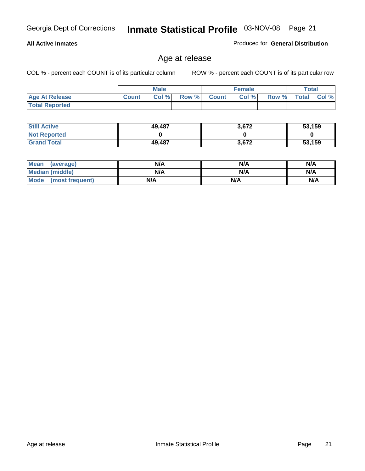#### **All Active Inmates**

Produced for **General Distribution**

### Age at release

|                       |              | <b>Male</b> |       |              | <b>Female</b> |       | <b>Total</b> |       |
|-----------------------|--------------|-------------|-------|--------------|---------------|-------|--------------|-------|
| <b>Age At Release</b> | <b>Count</b> | Col%        | Row % | <b>Count</b> | Col %         | Row % | <b>Total</b> | Col % |
| <b>Total Reported</b> |              |             |       |              |               |       |              |       |

| <b>Still Active</b> | 49,487 | 3,672 | 53,159 |
|---------------------|--------|-------|--------|
| <b>Not Reported</b> |        |       |        |
| <b>Grand Total</b>  | 49,487 | 3,672 | 53,159 |

| Mean (average)       | N/A | N/A | N/A |
|----------------------|-----|-----|-----|
| Median (middle)      | N/A | N/A | N/A |
| Mode (most frequent) | N/A | N/A | N/A |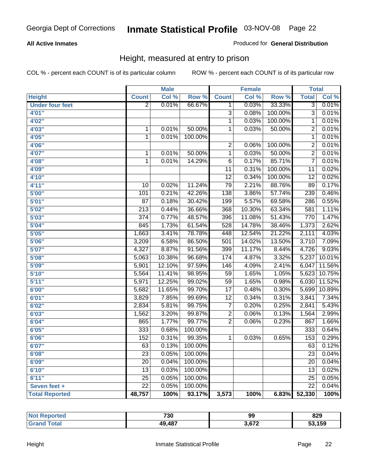#### **All Active Inmates**

#### Produced for **General Distribution**

### Height, measured at entry to prison

|                        |                  | <b>Male</b> |         |                 | <b>Female</b>      |         | <b>Total</b>    |        |
|------------------------|------------------|-------------|---------|-----------------|--------------------|---------|-----------------|--------|
| <b>Height</b>          | <b>Count</b>     | Col %       | Row %   | <b>Count</b>    | Col %              | Row %   | <b>Total</b>    | Col %  |
| <b>Under four feet</b> | $\overline{2}$   | 0.01%       | 66.67%  | 1               | 0.03%              | 33.33%  | $\overline{3}$  | 0.01%  |
| 4'01''                 |                  |             |         | $\overline{3}$  | 0.08%              | 100.00% | $\overline{3}$  | 0.01%  |
| 4'02"                  |                  |             |         | $\mathbf{1}$    | 0.03%              | 100.00% | 1               | 0.01%  |
| 4'03''                 | 1                | 0.01%       | 50.00%  | $\mathbf{1}$    | 0.03%              | 50.00%  | $\overline{2}$  | 0.01%  |
| 4'05''                 | $\mathbf{1}$     | 0.01%       | 100.00% |                 |                    |         | $\overline{1}$  | 0.01%  |
| 4'06"                  |                  |             |         | $\overline{2}$  | 0.06%              | 100.00% | $\overline{2}$  | 0.01%  |
| 4'07"                  | 1                | 0.01%       | 50.00%  | $\mathbf{1}$    | 0.03%              | 50.00%  | $\overline{2}$  | 0.01%  |
| 4'08"                  | $\overline{1}$   | 0.01%       | 14.29%  | $\overline{6}$  | 0.17%              | 85.71%  | $\overline{7}$  | 0.01%  |
| 4'09"                  |                  |             |         | 11              | 0.31%              | 100.00% | 11              | 0.02%  |
| 4'10"                  |                  |             |         | $\overline{12}$ | 0.34%              | 100.00% | $\overline{12}$ | 0.02%  |
| 4'11''                 | 10               | 0.02%       | 11.24%  | 79              | 2.21%              | 88.76%  | 89              | 0.17%  |
| 5'00''                 | 101              | 0.21%       | 42.26%  | 138             | 3.86%              | 57.74%  | 239             | 0.46%  |
| 5'01''                 | $\overline{87}$  | 0.18%       | 30.42%  | 199             | $\frac{1}{5.57\%}$ | 69.58%  | 286             | 0.55%  |
| 5'02''                 | $\overline{213}$ | 0.44%       | 36.66%  | 368             | 10.30%             | 63.34%  | 581             | 1.11%  |
| 5'03''                 | $\overline{374}$ | 0.77%       | 48.57%  | 396             | 11.08%             | 51.43%  | 770             | 1.47%  |
| 5'04''                 | 845              | 1.73%       | 61.54%  | 528             | 14.78%             | 38.46%  | 1,373           | 2.62%  |
| 5'05''                 | 1,663            | 3.41%       | 78.78%  | 448             | 12.54%             | 21.22%  | 2,111           | 4.03%  |
| 5'06''                 | 3,209            | 6.58%       | 86.50%  | 501             | 14.02%             | 13.50%  | 3,710           | 7.09%  |
| 5'07''                 | 4,327            | 8.87%       | 91.56%  | 399             | 11.17%             | 8.44%   | 4,726           | 9.03%  |
| 5'08''                 | 5,063            | 10.38%      | 96.68%  | 174             | 4.87%              | 3.32%   | 5,237           | 10.01% |
| 5'09''                 | 5,901            | 12.10%      | 97.59%  | 146             | 4.09%              | 2.41%   | 6,047           | 11.56% |
| 5'10''                 | 5,564            | 11.41%      | 98.95%  | 59              | 1.65%              | 1.05%   | 5,623           | 10.75% |
| 5'11''                 | 5,971            | 12.25%      | 99.02%  | 59              | 1.65%              | 0.98%   | 6,030           | 11.52% |
| 6'00''                 | 5,682            | 11.65%      | 99.70%  | $\overline{17}$ | 0.48%              | 0.30%   | 5,699           | 10.89% |
| 6'01''                 | 3,829            | 7.85%       | 99.69%  | $\overline{12}$ | 0.34%              | 0.31%   | 3,841           | 7.34%  |
| 6'02''                 | 2,834            | 5.81%       | 99.75%  | $\overline{7}$  | 0.20%              | 0.25%   | 2,841           | 5.43%  |
| 6'03''                 | 1,562            | 3.20%       | 99.87%  | $\overline{2}$  | 0.06%              | 0.13%   | 1,564           | 2.99%  |
| 6'04''                 | 865              | 1.77%       | 99.77%  | $\overline{2}$  | 0.06%              | 0.23%   | 867             | 1.66%  |
| 6'05''                 | 333              | 0.68%       | 100.00% |                 |                    |         | 333             | 0.64%  |
| 6'06''                 | 152              | 0.31%       | 99.35%  | $\mathbf{1}$    | 0.03%              | 0.65%   | 153             | 0.29%  |
| 6'07''                 | 63               | 0.13%       | 100.00% |                 |                    |         | 63              | 0.12%  |
| 6'08"                  | 23               | 0.05%       | 100.00% |                 |                    |         | 23              | 0.04%  |
| 6'09''                 | 20               | 0.04%       | 100.00% |                 |                    |         | 20              | 0.04%  |
| 6'10''                 | 13               | 0.03%       | 100.00% |                 |                    |         | 13              | 0.02%  |
| 6'11''                 | 25               | 0.05%       | 100.00% |                 |                    |         | 25              | 0.05%  |
| Seven feet +           | $\overline{22}$  | 0.05%       | 100.00% |                 |                    |         | $\overline{22}$ | 0.04%  |
| <b>Total Reported</b>  | 48,757           | 100%        | 93.17%  | 3,573           | 100%               | 6.83%   | 52,330          | 100%   |

| <b>orteg</b><br>ומשו | 730    | 99    | 829    |
|----------------------|--------|-------|--------|
| 'ota.                | 49,487 | 3,672 | 53,159 |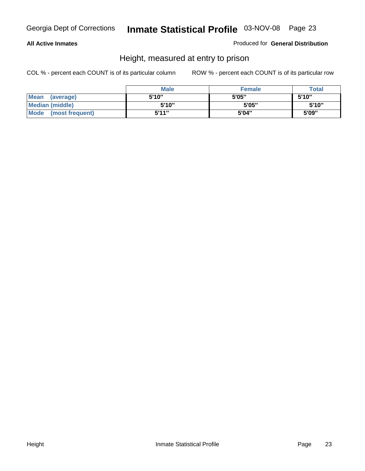#### **All Active Inmates**

Produced for **General Distribution**

### Height, measured at entry to prison

|                        | <b>Male</b> | <b>Female</b> | <b>Total</b> |
|------------------------|-------------|---------------|--------------|
| Mean (average)         | 5'10"       | 5'05"         | 5'10''       |
| <b>Median (middle)</b> | 5'10''      | 5'05"         | 5'10''       |
| Mode (most frequent)   | 5'11"       | 5'04"         | 5'09"        |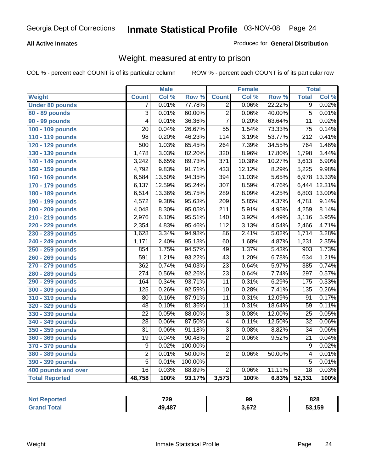#### **All Active Inmates**

#### Produced for **General Distribution**

### Weight, measured at entry to prison

|                        |                           | <b>Male</b> |         |                  | <b>Female</b> |        | <b>Total</b>     |        |
|------------------------|---------------------------|-------------|---------|------------------|---------------|--------|------------------|--------|
| <b>Weight</b>          | <b>Count</b>              | Col %       | Row %   | <b>Count</b>     | Col %         | Row %  | <b>Total</b>     | Col %  |
| <b>Under 80 pounds</b> | 7                         | 0.01%       | 77.78%  | $\overline{2}$   | 0.06%         | 22.22% | $\overline{9}$   | 0.02%  |
| 80 - 89 pounds         | $\overline{\overline{3}}$ | 0.01%       | 60.00%  | $\overline{2}$   | 0.06%         | 40.00% | $\overline{5}$   | 0.01%  |
| 90 - 99 pounds         | $\overline{4}$            | 0.01%       | 36.36%  | $\overline{7}$   | 0.20%         | 63.64% | $\overline{11}$  | 0.02%  |
| 100 - 109 pounds       | $\overline{20}$           | 0.04%       | 26.67%  | $\overline{55}$  | 1.54%         | 73.33% | $\overline{75}$  | 0.14%  |
| 110 - 119 pounds       | $\overline{98}$           | 0.20%       | 46.23%  | 114              | 3.19%         | 53.77% | $\overline{212}$ | 0.41%  |
| 120 - 129 pounds       | 500                       | 1.03%       | 65.45%  | 264              | 7.39%         | 34.55% | 764              | 1.46%  |
| 130 - 139 pounds       | 1,478                     | 3.03%       | 82.20%  | $\overline{320}$ | 8.96%         | 17.80% | 1,798            | 3.44%  |
| 140 - 149 pounds       | 3,242                     | 6.65%       | 89.73%  | 371              | 10.38%        | 10.27% | 3,613            | 6.90%  |
| 150 - 159 pounds       | 4,792                     | 9.83%       | 91.71%  | 433              | 12.12%        | 8.29%  | 5,225            | 9.98%  |
| 160 - 169 pounds       | 6,584                     | 13.50%      | 94.35%  | 394              | 11.03%        | 5.65%  | 6,978            | 13.33% |
| 170 - 179 pounds       | 6,137                     | 12.59%      | 95.24%  | $\overline{307}$ | 8.59%         | 4.76%  | 6,444            | 12.31% |
| 180 - 189 pounds       | 6,514                     | 13.36%      | 95.75%  | 289              | 8.09%         | 4.25%  | 6,803            | 13.00% |
| 190 - 199 pounds       | 4,572                     | 9.38%       | 95.63%  | $\overline{209}$ | 5.85%         | 4.37%  | 4,781            | 9.14%  |
| 200 - 209 pounds       | 4,048                     | 8.30%       | 95.05%  | $\overline{211}$ | 5.91%         | 4.95%  | 4,259            | 8.14%  |
| 210 - 219 pounds       | 2,976                     | 6.10%       | 95.51%  | 140              | 3.92%         | 4.49%  | 3,116            | 5.95%  |
| 220 - 229 pounds       | 2,354                     | 4.83%       | 95.46%  | $\overline{112}$ | 3.13%         | 4.54%  | 2,466            | 4.71%  |
| 230 - 239 pounds       | 1,628                     | 3.34%       | 94.98%  | $\overline{86}$  | 2.41%         | 5.02%  | 1,714            | 3.28%  |
| 240 - 249 pounds       | 1,171                     | 2.40%       | 95.13%  | 60               | 1.68%         | 4.87%  | 1,231            | 2.35%  |
| 250 - 259 pounds       | 854                       | 1.75%       | 94.57%  | 49               | 1.37%         | 5.43%  | 903              | 1.73%  |
| 260 - 269 pounds       | 591                       | 1.21%       | 93.22%  | $\overline{43}$  | 1.20%         | 6.78%  | 634              | 1.21%  |
| 270 - 279 pounds       | 362                       | 0.74%       | 94.03%  | $\overline{23}$  | 0.64%         | 5.97%  | 385              | 0.74%  |
| 280 - 289 pounds       | $\overline{274}$          | 0.56%       | 92.26%  | $\overline{23}$  | 0.64%         | 7.74%  | 297              | 0.57%  |
| 290 - 299 pounds       | 164                       | 0.34%       | 93.71%  | $\overline{11}$  | 0.31%         | 6.29%  | 175              | 0.33%  |
| 300 - 309 pounds       | 125                       | 0.26%       | 92.59%  | 10               | 0.28%         | 7.41%  | $\overline{135}$ | 0.26%  |
| 310 - 319 pounds       | 80                        | 0.16%       | 87.91%  | $\overline{11}$  | 0.31%         | 12.09% | 91               | 0.17%  |
| 320 - 329 pounds       | 48                        | 0.10%       | 81.36%  | $\overline{11}$  | 0.31%         | 18.64% | $\overline{59}$  | 0.11%  |
| 330 - 339 pounds       | $\overline{22}$           | 0.05%       | 88.00%  | 3                | 0.08%         | 12.00% | $\overline{25}$  | 0.05%  |
| 340 - 349 pounds       | 28                        | 0.06%       | 87.50%  | $\overline{4}$   | 0.11%         | 12.50% | $\overline{32}$  | 0.06%  |
| 350 - 359 pounds       | 31                        | 0.06%       | 91.18%  | $\overline{3}$   | 0.08%         | 8.82%  | 34               | 0.06%  |
| 360 - 369 pounds       | $\overline{19}$           | 0.04%       | 90.48%  | $\overline{2}$   | 0.06%         | 9.52%  | $\overline{21}$  | 0.04%  |
| 370 - 379 pounds       | $\overline{9}$            | 0.02%       | 100.00% |                  |               |        | $\overline{9}$   | 0.02%  |
| 380 - 389 pounds       | $\overline{2}$            | 0.01%       | 50.00%  | $\overline{2}$   | 0.06%         | 50.00% | 4                | 0.01%  |
| 390 - 399 pounds       | $\overline{5}$            | 0.01%       | 100.00% |                  |               |        | $\overline{5}$   | 0.01%  |
| 400 pounds and over    | $\overline{16}$           | 0.03%       | 88.89%  | $\overline{2}$   | 0.06%         | 11.11% | $\overline{18}$  | 0.03%  |
| <b>Total Reported</b>  | 48,758                    | 100%        | 93.17%  | 3,573            | 100%          | 6.83%  | 52,331           | 100%   |

| <b>Reported</b><br>NO. | 729    | 99   | 828    |
|------------------------|--------|------|--------|
| $\sim$                 | 49,487 | 0.70 | 53,159 |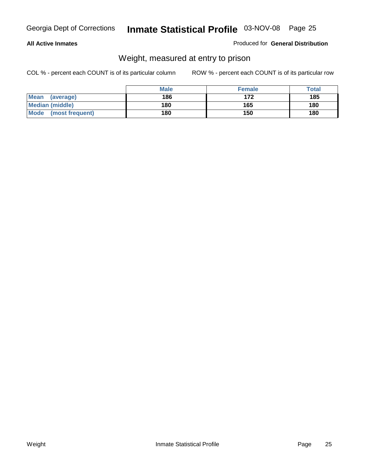#### **All Active Inmates**

#### Produced for **General Distribution**

### Weight, measured at entry to prison

|                          | <b>Male</b> | <b>Female</b> | <b>Total</b> |
|--------------------------|-------------|---------------|--------------|
| <b>Mean</b><br>(average) | 186         | 172           | 185          |
| <b>Median (middle)</b>   | 180         | 165           | 180          |
| Mode<br>(most frequent)  | 180         | 150           | 180          |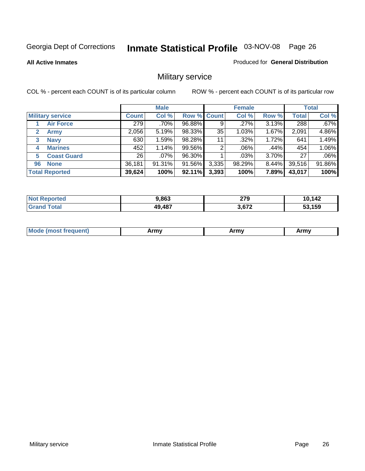**All Active Inmates**

#### Produced for **General Distribution**

### Military service

|                         |              | <b>Male</b> |             |       | <b>Female</b> |          |              | <b>Total</b> |
|-------------------------|--------------|-------------|-------------|-------|---------------|----------|--------------|--------------|
| <b>Military service</b> | <b>Count</b> | Col %       | Row % Count |       | Col %         | Row %    | <b>Total</b> | Col %        |
| <b>Air Force</b>        | 279          | .70%        | 96.88%      | 9     | .27%          | 3.13%    | 288          | .67%         |
| <b>Army</b>             | 2,056        | 5.19%       | 98.33%      | 35    | 1.03%         | 1.67%    | 2,091        | 4.86%        |
| <b>Navy</b><br>3        | 630          | 1.59%       | 98.28%      | 11    | .32%          | 1.72%    | 641          | 1.49%        |
| <b>Marines</b><br>4     | 452          | 1.14%       | 99.56%      | 2     | .06%          | .44%     | 454          | 1.06%        |
| <b>Coast Guard</b><br>5 | 26           | $.07\%$     | 96.30%      |       | $.03\%$       | 3.70%    | 27           | .06%         |
| <b>None</b><br>96       | 36,181       | $91.31\%$   | 91.56%      | 3,335 | 98.29%        | $8.44\%$ | 39,516       | 91.86%       |
| <b>Total Reported</b>   | 39,624       | 100%        | 92.11%      | 3,393 | 100%          | 7.89%    | 43,017       | 100%         |

| orted      | 9,863  | 279    | 10,142        |
|------------|--------|--------|---------------|
| <b>Not</b> |        | $\sim$ | l ()          |
| `otal      | 49,487 | 3,672  | 53,159<br>. . |

|  | <b>Mou</b> | Army | Army | Army |
|--|------------|------|------|------|
|--|------------|------|------|------|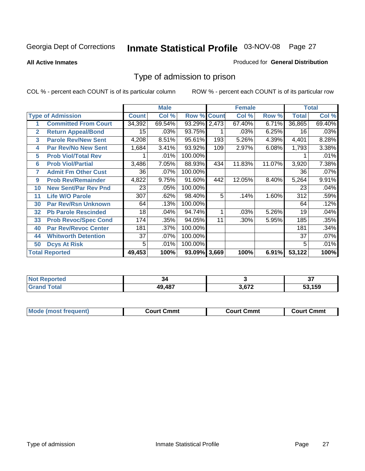#### **All Active Inmates**

#### Produced for **General Distribution**

### Type of admission to prison

|                |                             |              | <b>Male</b> |                    |     | <b>Female</b> |        |              | <b>Total</b> |
|----------------|-----------------------------|--------------|-------------|--------------------|-----|---------------|--------|--------------|--------------|
|                | <b>Type of Admission</b>    | <b>Count</b> | Col %       | <b>Row % Count</b> |     | Col %         | Row %  | <b>Total</b> | Col %        |
| 1              | <b>Committed From Court</b> | 34,392       | 69.54%      | 93.29% 2,473       |     | 67.40%        | 6.71%  | 36,865       | 69.40%       |
| $\overline{2}$ | <b>Return Appeal/Bond</b>   | 15           | .03%        | 93.75%             |     | .03%          | 6.25%  | 16           | .03%         |
| 3              | <b>Parole Rev/New Sent</b>  | 4,208        | 8.51%       | 95.61%             | 193 | 5.26%         | 4.39%  | 4,401        | 8.28%        |
| 4              | <b>Par Rev/No New Sent</b>  | 1,684        | 3.41%       | 93.92%             | 109 | 2.97%         | 6.08%  | 1,793        | 3.38%        |
| 5              | <b>Prob Viol/Total Rev</b>  |              | .01%        | 100.00%            |     |               |        |              | .01%         |
| 6              | <b>Prob Viol/Partial</b>    | 3,486        | 7.05%       | 88.93%             | 434 | 11.83%        | 11.07% | 3,920        | 7.38%        |
| 7              | <b>Admit Fm Other Cust</b>  | 36           | $.07\%$     | 100.00%            |     |               |        | 36           | .07%         |
| 9              | <b>Prob Rev/Remainder</b>   | 4,822        | 9.75%       | 91.60%             | 442 | 12.05%        | 8.40%  | 5,264        | 9.91%        |
| 10             | <b>New Sent/Par Rev Pnd</b> | 23           | .05%        | 100.00%            |     |               |        | 23           | .04%         |
| 11             | <b>Life W/O Parole</b>      | 307          | .62%        | 98.40%             | 5   | .14%          | 1.60%  | 312          | .59%         |
| 30             | <b>Par Rev/Rsn Unknown</b>  | 64           | .13%        | 100.00%            |     |               |        | 64           | .12%         |
| 32             | <b>Pb Parole Rescinded</b>  | 18           | .04%        | 94.74%             | 1   | .03%          | 5.26%  | 19           | .04%         |
| 33             | <b>Prob Revoc/Spec Cond</b> | 174          | .35%        | 94.05%             | 11  | .30%          | 5.95%  | 185          | .35%         |
| 40             | <b>Par Rev/Revoc Center</b> | 181          | .37%        | 100.00%            |     |               |        | 181          | .34%         |
| 44             | <b>Whitworth Detention</b>  | 37           | $.07\%$     | 100.00%            |     |               |        | 37           | .07%         |
| 50             | <b>Dcys At Risk</b>         | 5            | .01%        | 100.00%            |     |               |        | 5            | .01%         |
|                | <b>Total Reported</b>       | 49,453       | 100%        | 93.09% 3,669       |     | 100%          | 6.91%  | 53,122       | 100%         |

| ≺eportea<br><b>NOT</b> | 34            |        | $\sim$<br>וט |
|------------------------|---------------|--------|--------------|
| ั่วta.<br>_____        | <b>10 187</b> | $\sim$ | 159          |

| <b>Mode</b><br><b>Cmmւ</b><br>Cmmt<br>Cmmt<br>frequent)<br>∴∩urt<br>Court (<br>:ourt<br>. |  |  |
|-------------------------------------------------------------------------------------------|--|--|
|                                                                                           |  |  |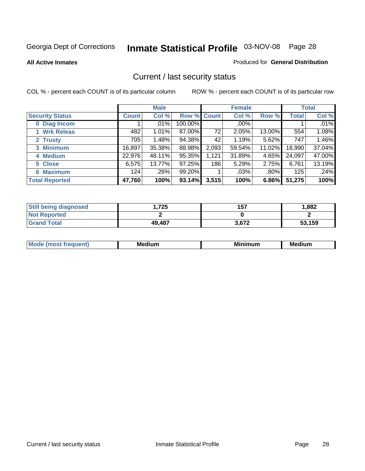**All Active Inmates**

#### Produced for **General Distribution**

### Current / last security status

|                        |              | <b>Male</b> |             |       | <b>Female</b> |         |              | <b>Total</b> |
|------------------------|--------------|-------------|-------------|-------|---------------|---------|--------------|--------------|
| <b>Security Status</b> | <b>Count</b> | Col %       | Row % Count |       | Col %         | Row %   | <b>Total</b> | Col %        |
| 0 Diag Incom           |              | $.01\%$     | 100.00%     |       | $.00\%$       |         |              | .01%         |
| 1 Wrk Releas           | 482          | $1.01\%$    | 87.00%      | 72    | 2.05%         | 13.00%  | 554          | 1.08%        |
| 2 Trusty               | 705          | 1.48%       | 94.38%      | 42    | 1.19%         | 5.62%   | 747          | 1.46%        |
| 3 Minimum              | 16,897       | 35.38%      | 88.98%      | 2,093 | 59.54%        | 11.02%  | 18,990       | 37.04%       |
| 4 Medium               | 22,976       | 48.11%      | 95.35%      | 1,121 | 31.89%        | 4.65%   | 24,097       | 47.00%       |
| 5 Close                | 6,575        | 13.77%      | 97.25%      | 186   | 5.29%         | 2.75%   | 6,761        | 13.19%       |
| <b>6 Maximum</b>       | 124          | $.26\%$     | 99.20%      |       | .03%          | $.80\%$ | 125          | .24%         |
| <b>Total Reported</b>  | 47,760       | 100%        | 93.14%      | 3,515 | 100%          | 6.86%   | 51,275       | 100%         |

| <b>Still being diagnosed</b> | .725   | 157   | 1,882  |
|------------------------------|--------|-------|--------|
| <b>Not Reported</b>          |        |       |        |
| <b>Grand Total</b>           | 49,487 | 3,672 | 53,159 |

| $M_{\Omega}$<br>יחב | M۵<br>dium | <b>BAL.</b><br>num | Mer<br>dium |
|---------------------|------------|--------------------|-------------|
|                     |            |                    |             |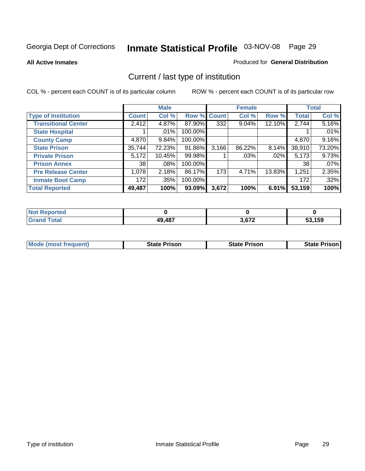**All Active Inmates**

#### Produced for **General Distribution**

### Current / last type of institution

|                            |              | <b>Male</b> |         |              | <b>Female</b> |          |              | <b>Total</b> |
|----------------------------|--------------|-------------|---------|--------------|---------------|----------|--------------|--------------|
| <b>Type of Institution</b> | <b>Count</b> | Col %       | Row %   | <b>Count</b> | Col %         | Row %    | <b>Total</b> | Col %        |
| <b>Transitional Center</b> | 2,412        | 4.87%       | 87.90%  | 332          | 9.04%         | 12.10%   | 2,744        | 5.16%        |
| <b>State Hospital</b>      |              | .01%        | 100.00% |              |               |          |              | .01%         |
| <b>County Camp</b>         | 4,870        | 9.84%       | 100.00% |              |               |          | 4,870        | 9.16%        |
| <b>State Prison</b>        | 35,744       | 72.23%      | 91.86%  | 3,166        | 86.22%        | $8.14\%$ | 38,910       | 73.20%       |
| <b>Private Prison</b>      | 5,172        | 10.45%      | 99.98%  |              | .03%          | .02%     | 5,173        | 9.73%        |
| <b>Prison Annex</b>        | 38           | $.08\%$     | 100.00% |              |               |          | 38           | .07%         |
| <b>Pre Release Center</b>  | 1,078        | 2.18%       | 86.17%  | 173          | 4.71%         | 13.83%   | 1,251        | 2.35%        |
| <b>Inmate Boot Camp</b>    | 172          | .35%        | 100.00% |              |               |          | 172          | .32%         |
| <b>Total Reported</b>      | 49,487       | 100%        | 93.09%  | 3,672        | 100%          | 6.91%    | 53,159       | 100%         |

| <b>Not</b><br>Reported           |        |       |        |
|----------------------------------|--------|-------|--------|
| <b>Total</b><br>Gra <sup>r</sup> | 49,487 | 3,672 | 53,159 |

| <b>Mode (most frequent)</b> | <b>State Prison</b> | <b>State Prison</b> | <b>State Prison I</b> |
|-----------------------------|---------------------|---------------------|-----------------------|
|                             |                     |                     |                       |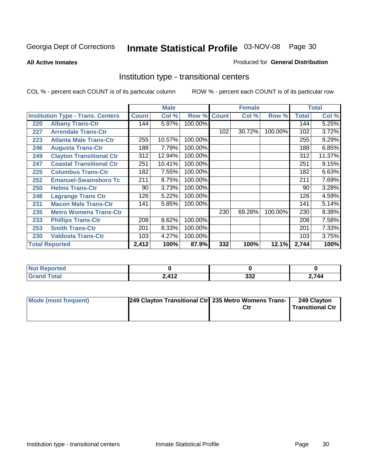**All Active Inmates**

#### Produced for **General Distribution**

### Institution type - transitional centers

|     |                                          |              | <b>Male</b> |         |              | <b>Female</b> |         |              | <b>Total</b> |
|-----|------------------------------------------|--------------|-------------|---------|--------------|---------------|---------|--------------|--------------|
|     | <b>Institution Type - Trans. Centers</b> | <b>Count</b> | Col %       | Row %   | <b>Count</b> | Col %         | Row %   | <b>Total</b> | Col %        |
| 220 | <b>Albany Trans-Ctr</b>                  | 144          | 5.97%       | 100.00% |              |               |         | 144          | 5.25%        |
| 227 | <b>Arrendale Trans-Ctr</b>               |              |             |         | 102          | 30.72%        | 100.00% | 102          | 3.72%        |
| 223 | <b>Atlanta Male Trans-Ctr</b>            | 255          | 10.57%      | 100.00% |              |               |         | 255          | 9.29%        |
| 246 | <b>Augusta Trans-Ctr</b>                 | 188          | 7.79%       | 100.00% |              |               |         | 188          | 6.85%        |
| 249 | <b>Clayton Transitional Ctr</b>          | 312          | 12.94%      | 100.00% |              |               |         | 312          | 11.37%       |
| 247 | <b>Coastal Transitional Ctr</b>          | 251          | 10.41%      | 100.00% |              |               |         | 251          | 9.15%        |
| 225 | <b>Columbus Trans-Ctr</b>                | 182          | 7.55%       | 100.00% |              |               |         | 182          | 6.63%        |
| 252 | <b>Emanuel-Swainsboro Tc</b>             | 211          | 8.75%       | 100.00% |              |               |         | 211          | 7.69%        |
| 250 | <b>Helms Trans-Ctr</b>                   | 90           | 3.73%       | 100.00% |              |               |         | 90           | 3.28%        |
| 248 | <b>Lagrange Trans Ctr</b>                | 126          | 5.22%       | 100.00% |              |               |         | 126          | 4.59%        |
| 231 | <b>Macon Male Trans-Ctr</b>              | 141          | 5.85%       | 100.00% |              |               |         | 141          | 5.14%        |
| 235 | <b>Metro Womens Trans-Ctr</b>            |              |             |         | 230          | 69.28%        | 100.00% | 230          | 8.38%        |
| 233 | <b>Phillips Trans-Ctr</b>                | 208          | 8.62%       | 100.00% |              |               |         | 208          | 7.58%        |
| 253 | <b>Smith Trans-Ctr</b>                   | 201          | 8.33%       | 100.00% |              |               |         | 201          | 7.33%        |
| 230 | <b>Valdosta Trans-Ctr</b>                | 103          | 4.27%       | 100.00% |              |               |         | 103          | 3.75%        |
|     | <b>Total Reported</b>                    | 2,412        | 100%        | 87.9%   | 332          | 100%          | 12.1%   | 2,744        | 100%         |

| portea<br>m.    |                 |                 |     |
|-----------------|-----------------|-----------------|-----|
| $n \rightarrow$ | 2.112<br>$\sim$ | າາາ<br><b>_</b> | 744 |

| Mode (most frequent) | 249 Clayton Transitional Ctrl 235 Metro Womens Trans- | Ctr | 249 Clayton<br><b>Transitional Ctr</b> |
|----------------------|-------------------------------------------------------|-----|----------------------------------------|
|                      |                                                       |     |                                        |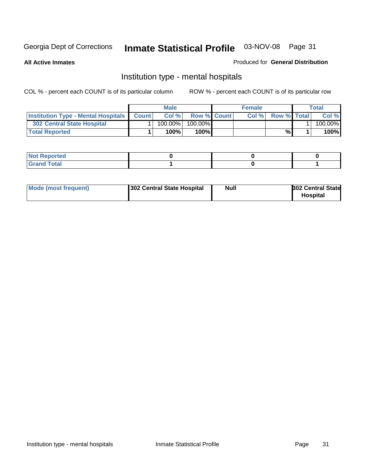**All Active Inmates**

#### Produced for **General Distribution**

### Institution type - mental hospitals

|                                                  | <b>Male</b> |                    | <b>Female</b> |                    | Total   |
|--------------------------------------------------|-------------|--------------------|---------------|--------------------|---------|
| <b>Institution Type - Mental Hospitals Count</b> | Col%        | <b>Row % Count</b> | Col%          | <b>Row % Total</b> | Col %   |
| <b>302 Central State Hospital</b>                | $100.00\%$  | 100.00%            |               |                    | 100.00% |
| <b>Total Reported</b>                            | 100%        | 100%               |               | %                  | 100%    |

| Not Reported |  |  |
|--------------|--|--|
| <b>otal</b>  |  |  |

| Mode (most frequent)<br>302 Central State Hospital | Null | <b>302 Central State</b><br><b>Hospital</b> |
|----------------------------------------------------|------|---------------------------------------------|
|----------------------------------------------------|------|---------------------------------------------|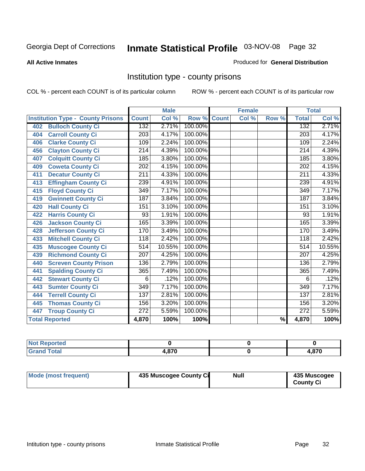#### **All Active Inmates**

#### Produced for **General Distribution**

### Institution type - county prisons

|                                          |                  | <b>Male</b> |         |              | <b>Female</b> |                          |                  | <b>Total</b> |
|------------------------------------------|------------------|-------------|---------|--------------|---------------|--------------------------|------------------|--------------|
| <b>Institution Type - County Prisons</b> | <b>Count</b>     | Col %       | Row %   | <b>Count</b> | Col %         | Row %                    | <b>Total</b>     | Col %        |
| <b>Bulloch County Ci</b><br>402          | 132              | 2.71%       | 100.00% |              |               |                          | 132              | 2.71%        |
| <b>Carroll County Ci</b><br>404          | $\overline{203}$ | 4.17%       | 100.00% |              |               |                          | $\overline{203}$ | 4.17%        |
| <b>Clarke County Ci</b><br>406           | 109              | 2.24%       | 100.00% |              |               |                          | 109              | 2.24%        |
| <b>Clayton County Ci</b><br>456          | 214              | 4.39%       | 100.00% |              |               |                          | $\overline{214}$ | 4.39%        |
| <b>Colquitt County Ci</b><br>407         | $\overline{185}$ | 3.80%       | 100.00% |              |               |                          | 185              | 3.80%        |
| <b>Coweta County Ci</b><br>409           | $\overline{202}$ | 4.15%       | 100.00% |              |               |                          | $\overline{202}$ | 4.15%        |
| <b>Decatur County Ci</b><br>411          | 211              | 4.33%       | 100.00% |              |               |                          | 211              | 4.33%        |
| <b>Effingham County Ci</b><br>413        | 239              | 4.91%       | 100.00% |              |               |                          | 239              | 4.91%        |
| <b>Floyd County Ci</b><br>415            | 349              | 7.17%       | 100.00% |              |               |                          | $\overline{349}$ | 7.17%        |
| <b>Gwinnett County Ci</b><br>419         | 187              | 3.84%       | 100.00% |              |               |                          | 187              | 3.84%        |
| <b>Hall County Ci</b><br>420             | 151              | 3.10%       | 100.00% |              |               |                          | 151              | 3.10%        |
| <b>Harris County Ci</b><br>422           | 93               | 1.91%       | 100.00% |              |               |                          | 93               | 1.91%        |
| <b>Jackson County Ci</b><br>426          | 165              | 3.39%       | 100.00% |              |               |                          | 165              | 3.39%        |
| <b>Jefferson County Ci</b><br>428        | 170              | 3.49%       | 100.00% |              |               |                          | 170              | 3.49%        |
| <b>Mitchell County Ci</b><br>433         | 118              | 2.42%       | 100.00% |              |               |                          | 118              | 2.42%        |
| <b>Muscogee County Ci</b><br>435         | 514              | 10.55%      | 100.00% |              |               |                          | $\overline{514}$ | 10.55%       |
| <b>Richmond County Ci</b><br>439         | $\overline{207}$ | 4.25%       | 100.00% |              |               |                          | 207              | 4.25%        |
| <b>Screven County Prison</b><br>440      | 136              | 2.79%       | 100.00% |              |               |                          | 136              | 2.79%        |
| <b>Spalding County Ci</b><br>441         | 365              | 7.49%       | 100.00% |              |               |                          | 365              | 7.49%        |
| <b>Stewart County Ci</b><br>442          | 6                | .12%        | 100.00% |              |               |                          | 6                | .12%         |
| <b>Sumter County Ci</b><br>443           | $\overline{349}$ | 7.17%       | 100.00% |              |               |                          | $\overline{349}$ | 7.17%        |
| <b>Terrell County Ci</b><br>444          | 137              | 2.81%       | 100.00% |              |               |                          | 137              | 2.81%        |
| <b>Thomas County Ci</b><br>445           | 156              | 3.20%       | 100.00% |              |               |                          | 156              | 3.20%        |
| <b>Troup County Ci</b><br>447            | 272              | 5.59%       | 100.00% |              |               |                          | $\overline{272}$ | 5.59%        |
| <b>Total Reported</b>                    | 4,870            | 100%        | 100%    |              |               | $\overline{\frac{9}{6}}$ | 4,870            | 100%         |

| τeα                              |     |      |
|----------------------------------|-----|------|
| $\sim$<br><b>TULAI</b><br>$\sim$ | 870 | .870 |

| Mode (most frequent) | 435 Muscogee County Ci | Null | 435 Muscogee |
|----------------------|------------------------|------|--------------|
|                      |                        |      | County Ci    |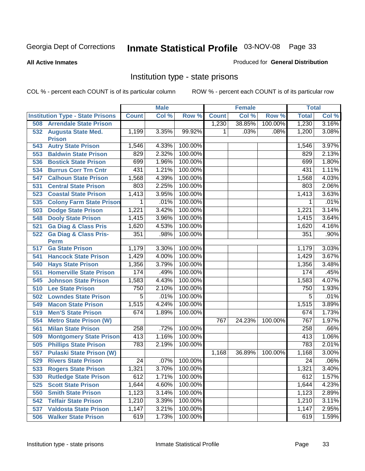**All Active Inmates**

#### Produced for **General Distribution**

### Institution type - state prisons

|     |                                            |                 | <b>Male</b> |         |              | <b>Female</b> |         | <b>Total</b>    |         |
|-----|--------------------------------------------|-----------------|-------------|---------|--------------|---------------|---------|-----------------|---------|
|     | <b>Institution Type - State Prisons</b>    | <b>Count</b>    | Col %       | Row %   | <b>Count</b> | Col %         | Row %   | <b>Total</b>    | Col %   |
| 508 | <b>Arrendale State Prison</b>              |                 |             |         | 1,230        | 38.85%        | 100.00% | 1,230           | 3.16%   |
| 532 | <b>Augusta State Med.</b>                  | 1,199           | 3.35%       | 99.92%  | 1            | .03%          | .08%    | 1,200           | 3.08%   |
| 543 | <b>Prison</b><br><b>Autry State Prison</b> | 1,546           | 4.33%       | 100.00% |              |               |         | 1,546           | 3.97%   |
| 553 | <b>Baldwin State Prison</b>                | 829             | 2.32%       | 100.00% |              |               |         | 829             | 2.13%   |
| 536 | <b>Bostick State Prison</b>                | 699             | 1.96%       | 100.00% |              |               |         | 699             | 1.80%   |
|     |                                            | 431             | 1.21%       | 100.00% |              |               |         | 431             | 1.11%   |
| 534 | <b>Burrus Corr Trn Cntr</b>                |                 | 4.39%       | 100.00% |              |               |         |                 | 4.03%   |
| 547 | <b>Calhoun State Prison</b>                | 1,568           |             |         |              |               |         | 1,568           |         |
| 531 | <b>Central State Prison</b>                | 803             | 2.25%       | 100.00% |              |               |         | 803             | 2.06%   |
| 523 | <b>Coastal State Prison</b>                | 1,413           | 3.95%       | 100.00% |              |               |         | 1,413           | 3.63%   |
| 535 | <b>Colony Farm State Prison</b>            | 1               | .01%        | 100.00% |              |               |         | 1               | .01%    |
| 503 | <b>Dodge State Prison</b>                  | 1,221           | 3.42%       | 100.00% |              |               |         | 1,221           | 3.14%   |
| 548 | <b>Dooly State Prison</b>                  | 1,415           | 3.96%       | 100.00% |              |               |         | 1,415           | 3.64%   |
| 521 | <b>Ga Diag &amp; Class Pris</b>            | 1,620           | 4.53%       | 100.00% |              |               |         | 1,620           | 4.16%   |
| 522 | <b>Ga Diag &amp; Class Pris-</b>           | 351             | .98%        | 100.00% |              |               |         | 351             | .90%    |
|     | <b>Perm</b><br><b>Ga State Prison</b>      |                 | 3.30%       | 100.00% |              |               |         |                 | 3.03%   |
| 517 |                                            | 1,179           | 4.00%       | 100.00% |              |               |         | 1,179           | 3.67%   |
| 541 | <b>Hancock State Prison</b>                | 1,429           |             |         |              |               |         | 1,429           |         |
| 540 | <b>Hays State Prison</b>                   | 1,356           | 3.79%       | 100.00% |              |               |         | 1,356           | 3.48%   |
| 551 | <b>Homerville State Prison</b>             | 174             | .49%        | 100.00% |              |               |         | 174             | .45%    |
| 545 | <b>Johnson State Prison</b>                | 1,583           | 4.43%       | 100.00% |              |               |         | 1,583           | 4.07%   |
| 510 | <b>Lee State Prison</b>                    | 750             | 2.10%       | 100.00% |              |               |         | 750             | 1.93%   |
| 502 | <b>Lowndes State Prison</b>                | $\overline{5}$  | .01%        | 100.00% |              |               |         | $\overline{5}$  | .01%    |
| 549 | <b>Macon State Prison</b>                  | 1,515           | 4.24%       | 100.00% |              |               |         | 1,515           | 3.89%   |
| 519 | <b>Men'S State Prison</b>                  | 674             | 1.89%       | 100.00% |              |               |         | 674             | 1.73%   |
| 554 | <b>Metro State Prison (W)</b>              |                 |             |         | 767          | 24.23%        | 100.00% | 767             | 1.97%   |
| 561 | <b>Milan State Prison</b>                  | 258             | .72%        | 100.00% |              |               |         | 258             | .66%    |
| 509 | <b>Montgomery State Prison</b>             | 413             | 1.16%       | 100.00% |              |               |         | 413             | 1.06%   |
| 505 | <b>Phillips State Prison</b>               | 783             | 2.19%       | 100.00% |              |               |         | 783             | 2.01%   |
| 557 | <b>Pulaski State Prison (W)</b>            |                 |             |         | 1,168        | 36.89%        | 100.00% | 1,168           | 3.00%   |
| 529 | <b>Rivers State Prison</b>                 | $\overline{24}$ | .07%        | 100.00% |              |               |         | $\overline{24}$ | $.06\%$ |
| 533 | <b>Rogers State Prison</b>                 | 1,321           | 3.70%       | 100.00% |              |               |         | 1,321           | 3.40%   |
| 530 | <b>Rutledge State Prison</b>               | 612             | 1.71%       | 100.00% |              |               |         | 612             | 1.57%   |
| 525 | <b>Scott State Prison</b>                  | 1,644           | 4.60%       | 100.00% |              |               |         | 1,644           | 4.23%   |
| 550 | <b>Smith State Prison</b>                  | 1,123           | 3.14%       | 100.00% |              |               |         | 1,123           | 2.89%   |
| 542 | <b>Telfair State Prison</b>                | 1,210           | 3.39%       | 100.00% |              |               |         | 1,210           | 3.11%   |
| 537 | <b>Valdosta State Prison</b>               | 1,147           | 3.21%       | 100.00% |              |               |         | 1,147           | 2.95%   |
| 506 | <b>Walker State Prison</b>                 | 619             | 1.73%       | 100.00% |              |               |         | 619             | 1.59%   |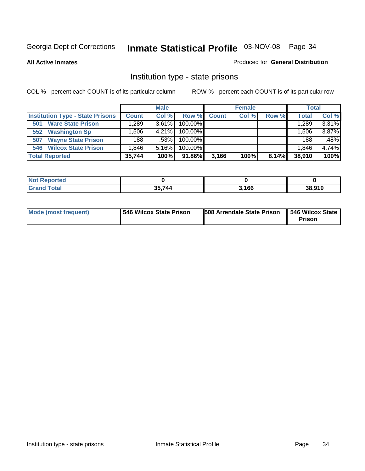**All Active Inmates**

#### Produced for **General Distribution**

### Institution type - state prisons

|                                         |              | <b>Male</b> |            |              | <b>Female</b> |       | <b>Total</b> |       |
|-----------------------------------------|--------------|-------------|------------|--------------|---------------|-------|--------------|-------|
| <b>Institution Type - State Prisons</b> | <b>Count</b> | Col %       | Row %      | <b>Count</b> | Col %         | Row % | <b>Total</b> | Col % |
| <b>Ware State Prison</b><br>501         | .289         | $3.61\%$    | 100.00%    |              |               |       | 1,289        | 3.31% |
| <b>Washington Sp</b><br>552             | .506         | $4.21\%$    | $100.00\%$ |              |               |       | 1,506        | 3.87% |
| <b>Wayne State Prison</b><br>507        | 188          | .53%        | $100.00\%$ |              |               |       | 188          | .48%  |
| <b>546 Wilcox State Prison</b>          | .846         | $5.16\%$    | $100.00\%$ |              |               |       | 1,846        | 4.74% |
| <b>Total Reported</b>                   | 35,744       | 100%        | 91.86%     | 3,166        | 100%          | 8.14% | 38,910       | 100%  |

| <b>Not</b><br>Reported |        |       |        |
|------------------------|--------|-------|--------|
| <b>Total</b>           | 35.744 | 3,166 | 38,910 |

| <b>Mode (most frequent)</b> | 546 Wilcox State Prison | <b>508 Arrendale State Prison</b> | 546 Wilcox State<br><b>Prison</b> |
|-----------------------------|-------------------------|-----------------------------------|-----------------------------------|
|-----------------------------|-------------------------|-----------------------------------|-----------------------------------|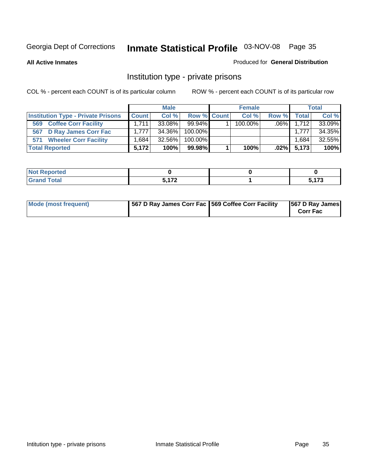**All Active Inmates**

#### Produced for **General Distribution**

### Institution type - private prisons

|                                           |                   | <b>Male</b> |             | <b>Female</b> |         |              | <b>Total</b> |
|-------------------------------------------|-------------------|-------------|-------------|---------------|---------|--------------|--------------|
| <b>Institution Type - Private Prisons</b> | <b>Count</b>      | Col%        | Row % Count | Col %         | Row %   | <b>Total</b> | Col %        |
| <b>Coffee Corr Facility</b><br>569        | 1.711             | $33.08\%$   | $99.94\%$   | $100.00\%$    | $.06\%$ | 1.712        | 33.09%       |
| 567 D Ray James Corr Fac                  | 1.777             | 34.36%      | $100.00\%$  |               |         | 1.777        | 34.35%       |
| 571 Wheeler Corr Facility                 | .684 <sup>1</sup> | 32.56%      | 100.00%     |               |         | ٔ 684.       | 32.55%       |
| <b>Total Reported</b>                     | 5.172             | 100%        | 99.98%      | 100%          | $.02\%$ | 5,173        | 100%         |

| Reported<br>NOT          |              |     |
|--------------------------|--------------|-----|
| <b>Total</b><br>$\sim$ . | <b>E 470</b> | 170 |

| Mode (most frequent) | 1567 D Ray James Corr Fac 1569 Coffee Corr Facility |  | 567 D Ray James<br><b>Corr Fac</b> |
|----------------------|-----------------------------------------------------|--|------------------------------------|
|----------------------|-----------------------------------------------------|--|------------------------------------|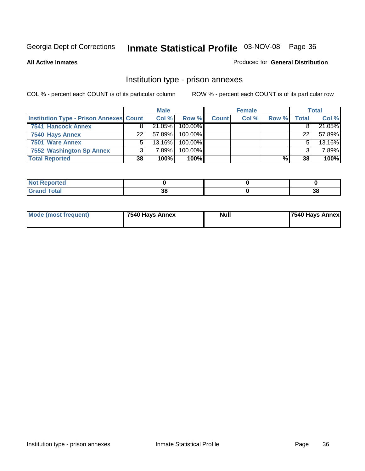**All Active Inmates**

#### Produced for **General Distribution**

### Institution type - prison annexes

|                                                |    | <b>Male</b> |            |              | <b>Female</b> |       |       | <b>Total</b> |
|------------------------------------------------|----|-------------|------------|--------------|---------------|-------|-------|--------------|
| <b>Institution Type - Prison Annexes Count</b> |    | Col %       | Row %      | <b>Count</b> | Col %         | Row % | Total | Col %        |
| <b>7541 Hancock Annex</b>                      | я  | 21.05%      | 100.00%    |              |               |       |       | 21.05%       |
| 7540 Hays Annex                                | 22 | 57.89%      | 100.00%    |              |               |       | 22    | 57.89%       |
| 7501 Ware Annex                                | 5  | $13.16\%$   | $100.00\%$ |              |               |       |       | 13.16%       |
| 7552 Washington Sp Annex                       |    | 7.89%       | $100.00\%$ |              |               |       |       | 7.89%        |
| <b>Total Reported</b>                          | 38 | 100%        | 100%       |              |               | %     | 38    | 100%         |

| Reported<br><b>NOT</b> |        |        |
|------------------------|--------|--------|
| <b>otal</b>            | $\sim$ | $\sim$ |
| --                     | v      | -JO    |

| Mode (most frequent) | 7540 Hays Annex | <b>Null</b> | 7540 Hays Annex |
|----------------------|-----------------|-------------|-----------------|
|----------------------|-----------------|-------------|-----------------|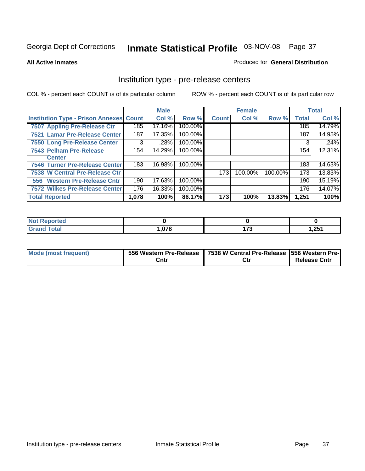#### **All Active Inmates**

### Produced for **General Distribution**

### Institution type - pre-release centers

|                                                |       | <b>Male</b> |         |              | <b>Female</b> |         |              | <b>Total</b> |
|------------------------------------------------|-------|-------------|---------|--------------|---------------|---------|--------------|--------------|
| <b>Institution Type - Prison Annexes Count</b> |       | Col %       | Row %   | <b>Count</b> | Col %         | Row %   | <b>Total</b> | Col %        |
| <b>7507 Appling Pre-Release Ctr</b>            | 185   | 17.16%      | 100.00% |              |               |         | 185          | 14.79%       |
| 7521 Lamar Pre-Release Center                  | 187   | 17.35%      | 100.00% |              |               |         | 187          | 14.95%       |
| 7550 Long Pre-Release Center                   | 3     | .28%        | 100.00% |              |               |         | 3            | .24%         |
| 7543 Pelham Pre-Release                        | 154   | 14.29%      | 100.00% |              |               |         | 154          | 12.31%       |
| <b>Center</b>                                  |       |             |         |              |               |         |              |              |
| 7546 Turner Pre-Release Center                 | 183   | 16.98%      | 100.00% |              |               |         | 183          | 14.63%       |
| 7538 W Central Pre-Release Ctr                 |       |             |         | 173          | 100.00%       | 100.00% | 173          | 13.83%       |
| 556 Western Pre-Release Cntr                   | 190   | 17.63%      | 100.00% |              |               |         | 190          | 15.19%       |
| <b>7572 Wilkes Pre-Release Center</b>          | 176   | 16.33%      | 100.00% |              |               |         | 176          | 14.07%       |
| <b>Total Reported</b>                          | 1,078 | 100%        | 86.17%  | 173          | 100%          | 13.83%  | 1,251        | 100%         |

| <b>Not Reported</b> |      |         |       |
|---------------------|------|---------|-------|
| <b>Grand Total</b>  | ,078 | יי<br>. | 1,251 |

| Mode (most frequent) |      | 556 Western Pre-Release   7538 W Central Pre-Release   556 Western Pre- |                     |
|----------------------|------|-------------------------------------------------------------------------|---------------------|
|                      | Cntı | Ctr                                                                     | <b>Release Cntr</b> |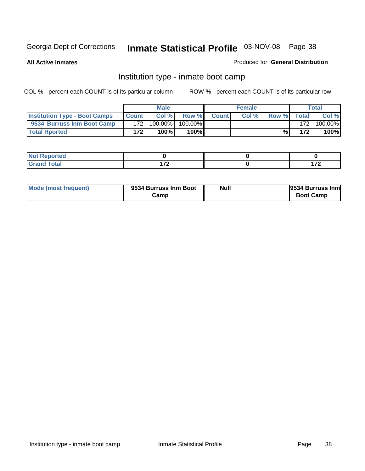**All Active Inmates**

### Produced for **General Distribution**

## Institution type - inmate boot camp

|                                      |              | <b>Male</b> |            |              | <b>Female</b> |       |       | Total   |
|--------------------------------------|--------------|-------------|------------|--------------|---------------|-------|-------|---------|
| <b>Institution Type - Boot Camps</b> | <b>Count</b> | Col %       | Row %      | <b>Count</b> | Col%          | Row % | Total | Col %   |
| 9534 Burruss Inm Boot Camp           | 172          | 100.00%     | $100.00\%$ |              |               |       | 172   | 100.00% |
| <b>Total Rported</b>                 | 172          | 100%        | 100%       |              |               | %     | 172   | 100%    |

| keported<br>. <b>.</b> |     |          |
|------------------------|-----|----------|
| <b>otal</b>            | ィラヘ | ィラヘ      |
| __                     |     | $\cdots$ |

| Mode (most frequent) | 9534 Burruss Inm Boot | <b>Null</b> | 9534 Burruss Inm |
|----------------------|-----------------------|-------------|------------------|
|                      | Camp                  |             | <b>Boot Camp</b> |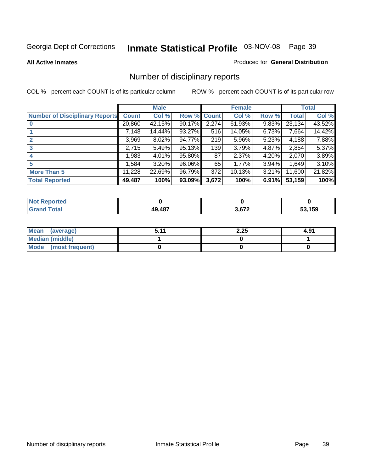**All Active Inmates**

#### Produced for **General Distribution**

# Number of disciplinary reports

|                                       |              | <b>Male</b> |        |              | <b>Female</b> |          |              | <b>Total</b> |
|---------------------------------------|--------------|-------------|--------|--------------|---------------|----------|--------------|--------------|
| <b>Number of Disciplinary Reports</b> | <b>Count</b> | Col %       | Row %  | <b>Count</b> | Col %         | Row %    | <b>Total</b> | Col %        |
|                                       | 20,860       | 42.15%      | 90.17% | 2,274        | $61.93\%$     | 9.83%    | 23,134       | 43.52%       |
|                                       | 7,148        | 14.44%      | 93.27% | 516          | 14.05%        | 6.73%    | 7,664        | 14.42%       |
| $\mathbf{2}$                          | 3,969        | $8.02\%$    | 94.77% | 219          | 5.96%         | 5.23%    | 4,188        | 7.88%        |
| 3                                     | 2,715        | 5.49%       | 95.13% | 139          | 3.79%         | 4.87%    | 2,854        | 5.37%        |
|                                       | .983         | 4.01%       | 95.80% | 87           | 2.37%         | $4.20\%$ | 2,070        | 3.89%        |
| 5                                     | .584         | $3.20\%$    | 96.06% | 65           | 1.77%         | 3.94%    | 1,649        | 3.10%        |
| <b>More Than 5</b>                    | 11,228       | 22.69%      | 96.79% | 372          | 10.13%        | $3.21\%$ | 11,600       | 21.82%       |
| <b>Total Reported</b>                 | 49,487       | 100%        | 93.09% | 3,672        | 100%          | 6.91%    | 53,159       | 100%         |

| N         |               |             |     |
|-----------|---------------|-------------|-----|
| $\sim$ 10 | <b>AQ 497</b> | רכם כ<br>__ | 159 |

| Mean (average)       | 5.11 | 2.25 | 4.91 |
|----------------------|------|------|------|
| Median (middle)      |      |      |      |
| Mode (most frequent) |      |      |      |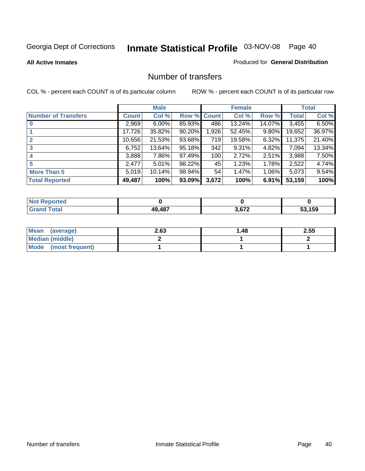**All Active Inmates**

#### Produced for **General Distribution**

### Number of transfers

|                            |         | <b>Male</b> |             |       | <b>Female</b> |          |              | <b>Total</b> |
|----------------------------|---------|-------------|-------------|-------|---------------|----------|--------------|--------------|
| <b>Number of Transfers</b> | Count l | Col %       | Row % Count |       | Col %         | Row %    | <b>Total</b> | Col %        |
|                            | 2,969   | $6.00\%$    | 85.93%      | 486   | 13.24%        | 14.07%   | 3,455        | 6.50%        |
|                            | 17,726  | 35.82%      | 90.20%      | 1,926 | 52.45%        | $9.80\%$ | 19,652       | 36.97%       |
|                            | 10,656  | 21.53%      | 93.68%      | 719   | 19.58%        | $6.32\%$ | 11,375       | 21.40%       |
| 3                          | 6,752   | 13.64%      | 95.18%      | 342   | 9.31%         | 4.82%    | 7,094        | 13.34%       |
|                            | 3,888   | 7.86%       | 97.49%      | 100   | 2.72%         | $2.51\%$ | 3,988        | 7.50%        |
| 5                          | 2,477   | 5.01%       | 98.22%      | 45    | 1.23%         | 1.78%    | 2,522        | 4.74%        |
| <b>More Than 5</b>         | 5,019   | 10.14%      | 98.94%      | 54    | 1.47%         | 1.06%    | 5,073        | 9.54%        |
| <b>Total Reported</b>      | 49,487  | 100%        | 93.09%      | 3,672 | 100%          | 6.91%    | 53,159       | 100%         |

| N         |               |             |     |
|-----------|---------------|-------------|-----|
| $\sim$ 10 | <b>AQ 497</b> | רכם כ<br>__ | 159 |

| Mean (average)       | 2.63 | 48. ا | 2.55 |
|----------------------|------|-------|------|
| Median (middle)      |      |       |      |
| Mode (most frequent) |      |       |      |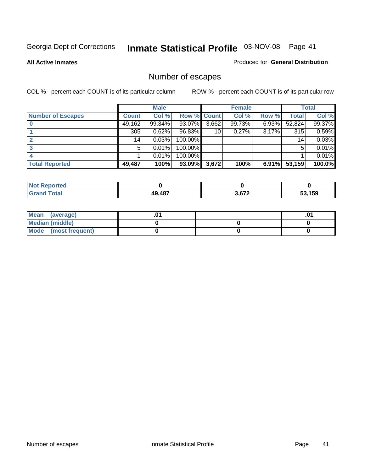**All Active Inmates**

#### Produced for **General Distribution**

# Number of escapes

|                          |              | <b>Male</b> |                    |       | <b>Female</b> |          |        | <b>Total</b> |
|--------------------------|--------------|-------------|--------------------|-------|---------------|----------|--------|--------------|
| <b>Number of Escapes</b> | <b>Count</b> | Col %       | <b>Row % Count</b> |       | Col %         | Row %    | Total  | Col %        |
|                          | 49,162       | 99.34%      | 93.07%             | 3,662 | 99.73%        | $6.93\%$ | 52,824 | 99.37%       |
|                          | 305          | 0.62%       | 96.83%             | 10    | 0.27%         | 3.17%    | 315    | 0.59%        |
|                          | 14           | 0.03%       | 100.00%            |       |               |          | 14     | 0.03%        |
|                          | 5            | 0.01%       | 100.00%            |       |               |          | 5      | 0.01%        |
|                          |              | 0.01%       | $100.00\%$         |       |               |          |        | 0.01%        |
| <b>Total Reported</b>    | 49,487       | 100%        | 93.09%             | 3,672 | 100%          | 6.91%    | 53,159 | 100.0%       |

| Reported<br><b>Not</b> |        |                        |        |
|------------------------|--------|------------------------|--------|
| <b>Cotal</b>           | 49,487 | 2.672<br>$\sim$ $\sim$ | 53.159 |

| Mean (average)         |  | $.0^{\prime}$ |
|------------------------|--|---------------|
| <b>Median (middle)</b> |  |               |
| Mode (most frequent)   |  |               |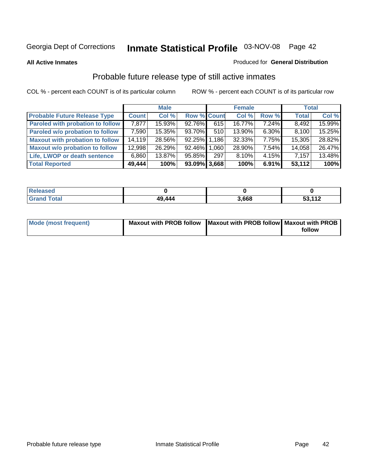**All Active Inmates**

### Produced for **General Distribution**

# Probable future release type of still active inmates

|                                         |              | <b>Male</b> |                    |       | <b>Female</b> |          | <b>Total</b> |        |
|-----------------------------------------|--------------|-------------|--------------------|-------|---------------|----------|--------------|--------|
| <b>Probable Future Release Type</b>     | <b>Count</b> | Col %       | <b>Row % Count</b> |       | Col %         | Row %    | <b>Total</b> | Col %  |
| <b>Paroled with probation to follow</b> | 7,877        | 15.93%      | 92.76%             | 615   | 16.77%        | 7.24%    | 8,492        | 15.99% |
| Paroled w/o probation to follow         | 7,590        | 15.35%      | 93.70%             | 510   | $13.90\%$     | $6.30\%$ | 8,100        | 15.25% |
| <b>Maxout with probation to follow</b>  | 14,119       | 28.56%      | 92.25%             | 1,186 | $32.33\%$     | $7.75\%$ | 15,305       | 28.82% |
| <b>Maxout w/o probation to follow</b>   | 12,998       | 26.29%      | 92.46%             | 1.060 | 28.90%        | $7.54\%$ | 14,058       | 26.47% |
| Life, LWOP or death sentence            | 6,860        | 13.87%      | 95.85%             | 297   | $8.10\%$      | $4.15\%$ | 7,157        | 13.48% |
| <b>Total Reported</b>                   | 49,444       | 100%        | $93.09\%$ 3,668    |       | 100%          | 6.91%    | 53,112       | 100%   |

| Released                     |        |       |                             |
|------------------------------|--------|-------|-----------------------------|
| <b>Total</b><br><b>Grand</b> | 49,444 | 3,668 | につ イイつ<br>ວວ.<br><u> 14</u> |

| Mode (most frequent) | Maxout with PROB follow   Maxout with PROB follow   Maxout with PROB |        |
|----------------------|----------------------------------------------------------------------|--------|
|                      |                                                                      | follow |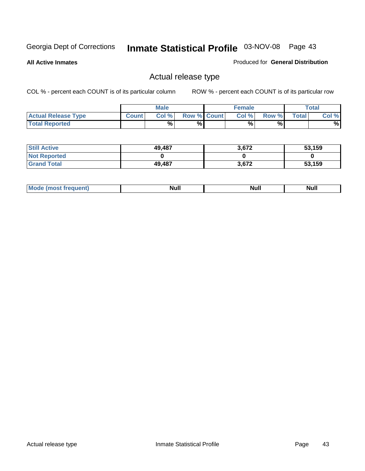**All Active Inmates**

### Produced for **General Distribution**

## Actual release type

|                            |              | <b>Male</b> |                    | <b>Female</b> |       |       | Total |
|----------------------------|--------------|-------------|--------------------|---------------|-------|-------|-------|
| <b>Actual Release Type</b> | <b>Count</b> | Col %       | <b>Row % Count</b> | Col %1        | Row % | Total | Col % |
| <b>Total Reported</b>      |              | %           | %                  | %             | %     |       | %     |

| <b>Still Active</b> | 49,487 | 3,672 | 53,159 |
|---------------------|--------|-------|--------|
| <b>Not Reported</b> |        |       |        |
| <b>Grand Total</b>  | 49,487 | 3,672 | 53,159 |

| M<br>____<br>_____ | NI | Null | $\cdots$ |
|--------------------|----|------|----------|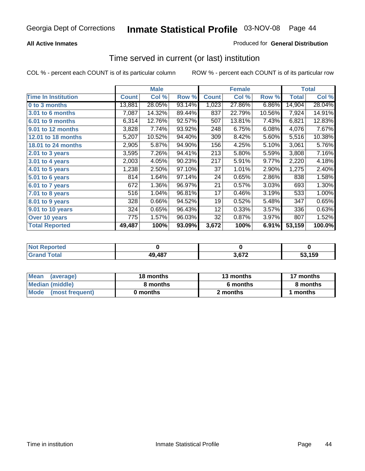### **All Active Inmates**

### Produced for **General Distribution**

### Time served in current (or last) institution

|                            |              | <b>Male</b> |        |              | <b>Female</b> |        |              | <b>Total</b> |
|----------------------------|--------------|-------------|--------|--------------|---------------|--------|--------------|--------------|
| <b>Time In Institution</b> | <b>Count</b> | Col %       | Row %  | <b>Count</b> | Col %         | Row %  | <b>Total</b> | Col %        |
| 0 to 3 months              | 13,881       | 28.05%      | 93.14% | 1,023        | 27.86%        | 6.86%  | 14,904       | 28.04%       |
| 3.01 to 6 months           | 7,087        | 14.32%      | 89.44% | 837          | 22.79%        | 10.56% | 7,924        | 14.91%       |
| 6.01 to 9 months           | 6,314        | 12.76%      | 92.57% | 507          | 13.81%        | 7.43%  | 6,821        | 12.83%       |
| 9.01 to 12 months          | 3,828        | 7.74%       | 93.92% | 248          | 6.75%         | 6.08%  | 4,076        | 7.67%        |
| <b>12.01 to 18 months</b>  | 5,207        | 10.52%      | 94.40% | 309          | 8.42%         | 5.60%  | 5,516        | 10.38%       |
| 18.01 to 24 months         | 2,905        | 5.87%       | 94.90% | 156          | 4.25%         | 5.10%  | 3,061        | 5.76%        |
| $2.01$ to 3 years          | 3,595        | 7.26%       | 94.41% | 213          | 5.80%         | 5.59%  | 3,808        | 7.16%        |
| 3.01 to 4 years            | 2,003        | 4.05%       | 90.23% | 217          | 5.91%         | 9.77%  | 2,220        | 4.18%        |
| 4.01 to 5 years            | 1,238        | 2.50%       | 97.10% | 37           | 1.01%         | 2.90%  | 1,275        | 2.40%        |
| 5.01 to 6 years            | 814          | 1.64%       | 97.14% | 24           | 0.65%         | 2.86%  | 838          | 1.58%        |
| 6.01 to 7 years            | 672          | 1.36%       | 96.97% | 21           | 0.57%         | 3.03%  | 693          | 1.30%        |
| $7.01$ to 8 years          | 516          | 1.04%       | 96.81% | 17           | 0.46%         | 3.19%  | 533          | 1.00%        |
| 8.01 to 9 years            | 328          | 0.66%       | 94.52% | 19           | 0.52%         | 5.48%  | 347          | 0.65%        |
| 9.01 to 10 years           | 324          | 0.65%       | 96.43% | 12           | 0.33%         | 3.57%  | 336          | 0.63%        |
| Over 10 years              | 775          | 1.57%       | 96.03% | 32           | 0.87%         | 3.97%  | 807          | 1.52%        |
| <b>Total Reported</b>      | 49,487       | 100%        | 93.09% | 3,672        | 100%          | 6.91%  | 53,159       | 100.0%       |

| <b>Not R</b><br>Reported |        |     |      |
|--------------------------|--------|-----|------|
| <b>Total</b>             | 49,487 | 672 | ,159 |

| <b>Mean</b><br>(average) | 18 months | 13 months | 17 months |  |  |
|--------------------------|-----------|-----------|-----------|--|--|
| Median (middle)          | 8 months  | 6 months  | 8 months  |  |  |
| Mode<br>(most frequent)  | 0 months  | 2 months  | months    |  |  |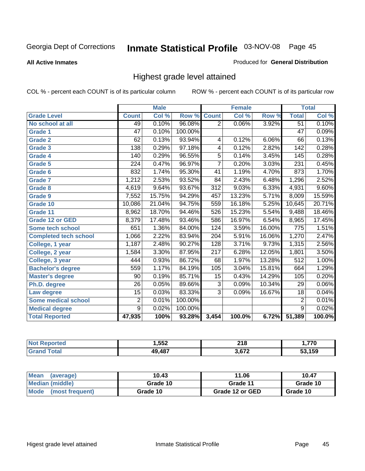**All Active Inmates**

### Produced for **General Distribution**

## Highest grade level attained

|                              |                 | <b>Male</b> |         |                  | <b>Female</b> |        |                 | <b>Total</b> |
|------------------------------|-----------------|-------------|---------|------------------|---------------|--------|-----------------|--------------|
| <b>Grade Level</b>           | <b>Count</b>    | Col %       | Row %   | <b>Count</b>     | Col %         | Row %  | <b>Total</b>    | Col %        |
| No school at all             | 49              | 0.10%       | 96.08%  | $\overline{2}$   | 0.06%         | 3.92%  | $\overline{51}$ | 0.10%        |
| Grade 1                      | $\overline{47}$ | 0.10%       | 100.00% |                  |               |        | $\overline{47}$ | 0.09%        |
| <b>Grade 2</b>               | 62              | 0.13%       | 93.94%  | 4                | 0.12%         | 6.06%  | 66              | 0.13%        |
| <b>Grade 3</b>               | 138             | 0.29%       | 97.18%  | 4                | 0.12%         | 2.82%  | 142             | 0.28%        |
| Grade 4                      | 140             | 0.29%       | 96.55%  | $\overline{5}$   | 0.14%         | 3.45%  | 145             | 0.28%        |
| Grade 5                      | 224             | 0.47%       | 96.97%  | $\overline{7}$   | 0.20%         | 3.03%  | 231             | 0.45%        |
| Grade 6                      | 832             | 1.74%       | 95.30%  | 41               | 1.19%         | 4.70%  | 873             | 1.70%        |
| <b>Grade 7</b>               | 1,212           | 2.53%       | 93.52%  | 84               | 2.43%         | 6.48%  | 1,296           | 2.52%        |
| <b>Grade 8</b>               | 4,619           | 9.64%       | 93.67%  | $\overline{312}$ | 9.03%         | 6.33%  | 4,931           | 9.60%        |
| Grade 9                      | 7,552           | 15.75%      | 94.29%  | 457              | 13.23%        | 5.71%  | 8,009           | 15.59%       |
| Grade 10                     | 10,086          | 21.04%      | 94.75%  | 559              | 16.18%        | 5.25%  | 10,645          | 20.71%       |
| Grade 11                     | 8,962           | 18.70%      | 94.46%  | 526              | 15.23%        | 5.54%  | 9,488           | 18.46%       |
| <b>Grade 12 or GED</b>       | 8,379           | 17.48%      | 93.46%  | 586              | 16.97%        | 6.54%  | 8,965           | 17.45%       |
| <b>Some tech school</b>      | 651             | 1.36%       | 84.00%  | 124              | 3.59%         | 16.00% | 775             | 1.51%        |
| <b>Completed tech school</b> | 1,066           | 2.22%       | 83.94%  | 204              | 5.91%         | 16.06% | 1,270           | 2.47%        |
| College, 1 year              | 1,187           | 2.48%       | 90.27%  | 128              | 3.71%         | 9.73%  | 1,315           | 2.56%        |
| College, 2 year              | 1,584           | 3.30%       | 87.95%  | $\overline{217}$ | 6.28%         | 12.05% | 1,801           | 3.50%        |
| College, 3 year              | 444             | 0.93%       | 86.72%  | 68               | 1.97%         | 13.28% | 512             | 1.00%        |
| <b>Bachelor's degree</b>     | 559             | 1.17%       | 84.19%  | 105              | 3.04%         | 15.81% | 664             | 1.29%        |
| <b>Master's degree</b>       | 90              | 0.19%       | 85.71%  | 15               | 0.43%         | 14.29% | 105             | 0.20%        |
| Ph.D. degree                 | $\overline{26}$ | 0.05%       | 89.66%  | $\overline{3}$   | 0.09%         | 10.34% | 29              | $0.06\%$     |
| Law degree                   | $\overline{15}$ | 0.03%       | 83.33%  | $\overline{3}$   | 0.09%         | 16.67% | $\overline{18}$ | 0.04%        |
| <b>Some medical school</b>   | $\overline{2}$  | 0.01%       | 100.00% |                  |               |        | $\overline{2}$  | 0.01%        |
| <b>Medical degree</b>        | $\overline{9}$  | 0.02%       | 100.00% |                  |               |        | $\overline{9}$  | 0.02%        |
| <b>Total Reported</b>        | 47,935          | 100%        | 93.28%  | 3,454            | 100.0%        | 6.72%  | 51,389          | 100.0%       |

| ,552 | <b>040</b><br>4 I V<br>___ | ,,, |
|------|----------------------------|-----|
| 107  | פרה פ<br>.                 | 150 |

| <b>Mean</b><br>(average)       | 10.43    | 11.06           | 10.47    |
|--------------------------------|----------|-----------------|----------|
| Median (middle)                | Grade 10 | Grade 11        | Grade 10 |
| <b>Mode</b><br>(most frequent) | Grade 10 | Grade 12 or GED | Grade 10 |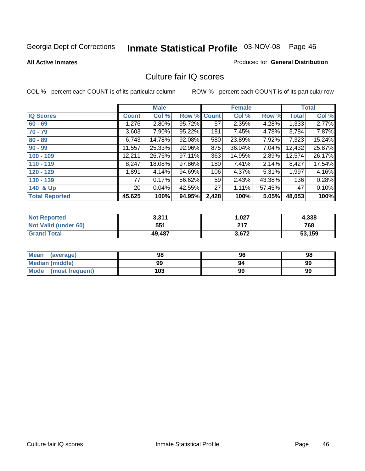Produced for **General Distribution**

#### **All Active Inmates**

### Culture fair IQ scores

|                       |                 | <b>Male</b> |        |              | <b>Female</b> |        |              | <b>Total</b> |
|-----------------------|-----------------|-------------|--------|--------------|---------------|--------|--------------|--------------|
| <b>IQ Scores</b>      | <b>Count</b>    | Col %       | Row %  | <b>Count</b> | Col %         | Row %  | <b>Total</b> | Col %        |
| $60 - 69$             | 1,276           | $2.80\%$    | 95.72% | 57           | 2.35%         | 4.28%  | 1,333        | 2.77%        |
| $70 - 79$             | 3,603           | $7.90\%$    | 95.22% | 181          | 7.45%         | 4.78%  | 3,784        | 7.87%        |
| $80 - 89$             | 6,743           | 14.78%      | 92.08% | 580          | 23.89%        | 7.92%  | 7,323        | 15.24%       |
| $90 - 99$             | 11,557          | 25.33%      | 92.96% | 875          | 36.04%        | 7.04%  | 12,432       | 25.87%       |
| $100 - 109$           | 12,211          | 26.76%      | 97.11% | 363          | 14.95%        | 2.89%  | 12,574       | 26.17%       |
| $110 - 119$           | 8,247           | 18.08%      | 97.86% | 180          | 7.41%         | 2.14%  | 8,427        | 17.54%       |
| $120 - 129$           | 1,891           | 4.14%       | 94.69% | 106          | 4.37%         | 5.31%  | 1,997        | 4.16%        |
| $130 - 139$           | 77              | 0.17%       | 56.62% | 59           | 2.43%         | 43.38% | 136          | 0.28%        |
| 140 & Up              | 20 <sub>1</sub> | 0.04%       | 42.55% | 27           | 1.11%         | 57.45% | 47           | 0.10%        |
| <b>Total Reported</b> | 45,625          | 100%        | 94.95% | 2,428        | 100%          | 5.05%  | 48,053       | 100%         |

| <b>Not Reported</b>  | 3,311  | ,027  | 4,338  |
|----------------------|--------|-------|--------|
| Not Valid (under 60) | 551    | 217   | 768    |
| <b>Grand Total</b>   | 49,487 | 3,672 | 53,159 |

| <b>Mean</b><br>(average) | 98  | 96 | 98 |
|--------------------------|-----|----|----|
| Median (middle)          | 99  | 94 | 99 |
| Mode (most frequent)     | 103 | 99 | 99 |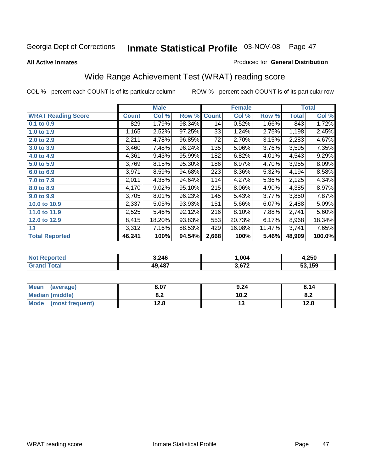#### **All Active Inmates**

### Produced for **General Distribution**

# Wide Range Achievement Test (WRAT) reading score

|                           |              | <b>Male</b> |        |              | <b>Female</b> |        |              | <b>Total</b> |
|---------------------------|--------------|-------------|--------|--------------|---------------|--------|--------------|--------------|
| <b>WRAT Reading Score</b> | <b>Count</b> | Col %       | Row %  | <b>Count</b> | Col %         | Row %  | <b>Total</b> | Col %        |
| $0.1$ to 0.9              | 829          | 1.79%       | 98.34% | 14           | 0.52%         | 1.66%  | 843          | 1.72%        |
| 1.0 to 1.9                | 1,165        | 2.52%       | 97.25% | 33           | 1.24%         | 2.75%  | 1,198        | 2.45%        |
| 2.0 to 2.9                | 2,211        | 4.78%       | 96.85% | 72           | 2.70%         | 3.15%  | 2,283        | 4.67%        |
| 3.0 to 3.9                | 3,460        | 7.48%       | 96.24% | 135          | 5.06%         | 3.76%  | 3,595        | 7.35%        |
| 4.0 to 4.9                | 4,361        | 9.43%       | 95.99% | 182          | 6.82%         | 4.01%  | 4,543        | 9.29%        |
| 5.0 to 5.9                | 3,769        | 8.15%       | 95.30% | 186          | 6.97%         | 4.70%  | 3,955        | 8.09%        |
| 6.0 to 6.9                | 3,971        | 8.59%       | 94.68% | 223          | 8.36%         | 5.32%  | 4,194        | 8.58%        |
| 7.0 to 7.9                | 2,011        | 4.35%       | 94.64% | 114          | 4.27%         | 5.36%  | 2,125        | 4.34%        |
| 8.0 to 8.9                | 4,170        | 9.02%       | 95.10% | 215          | 8.06%         | 4.90%  | 4,385        | 8.97%        |
| 9.0 to 9.9                | 3,705        | 8.01%       | 96.23% | 145          | 5.43%         | 3.77%  | 3,850        | 7.87%        |
| 10.0 to 10.9              | 2,337        | 5.05%       | 93.93% | 151          | 5.66%         | 6.07%  | 2,488        | 5.09%        |
| 11.0 to 11.9              | 2,525        | 5.46%       | 92.12% | 216          | 8.10%         | 7.88%  | 2,741        | 5.60%        |
| 12.0 to 12.9              | 8,415        | 18.20%      | 93.83% | 553          | 20.73%        | 6.17%  | 8,968        | 18.34%       |
| 13                        | 3,312        | 7.16%       | 88.53% | 429          | 16.08%        | 11.47% | 3,741        | 7.65%        |
| <b>Total Reported</b>     | 46,241       | 100%        | 94.54% | 2,668        | 100%          | 5.46%  | 48,909       | 100.0%       |

| NO | 3,246  | .004  | 4,250  |
|----|--------|-------|--------|
|    | 49,487 | 3,672 | 53,159 |

| <b>Mean</b><br>(average)       | 8.07       | 9.24 | 8.14 |
|--------------------------------|------------|------|------|
| Median (middle)                | י ה<br>0.Z | 10.2 | O.A  |
| <b>Mode</b><br>(most frequent) | 12.8       | . .  | 12.8 |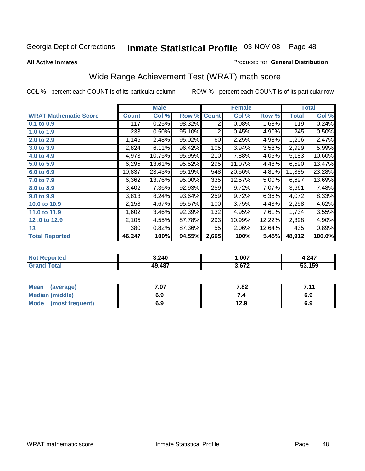**All Active Inmates**

#### Produced for **General Distribution**

# Wide Range Achievement Test (WRAT) math score

|                              |              | <b>Male</b> |        |              | <b>Female</b> |        |              | <b>Total</b> |
|------------------------------|--------------|-------------|--------|--------------|---------------|--------|--------------|--------------|
| <b>WRAT Mathematic Score</b> | <b>Count</b> | Col %       | Row %  | <b>Count</b> | Col %         | Row %  | <b>Total</b> | Col %        |
| 0.1 to 0.9                   | 117          | 0.25%       | 98.32% | 2            | 0.08%         | 1.68%  | 119          | 0.24%        |
| 1.0 to 1.9                   | 233          | 0.50%       | 95.10% | 12           | 0.45%         | 4.90%  | 245          | 0.50%        |
| 2.0 to 2.9                   | 1,146        | 2.48%       | 95.02% | 60           | 2.25%         | 4.98%  | 1,206        | 2.47%        |
| 3.0 to 3.9                   | 2,824        | 6.11%       | 96.42% | 105          | 3.94%         | 3.58%  | 2,929        | 5.99%        |
| 4.0 to 4.9                   | 4,973        | 10.75%      | 95.95% | 210          | 7.88%         | 4.05%  | 5,183        | 10.60%       |
| 5.0 to 5.9                   | 6,295        | 13.61%      | 95.52% | 295          | 11.07%        | 4.48%  | 6,590        | 13.47%       |
| 6.0 to 6.9                   | 10,837       | 23.43%      | 95.19% | 548          | 20.56%        | 4.81%  | 11,385       | 23.28%       |
| 7.0 to 7.9                   | 6,362        | 13.76%      | 95.00% | 335          | 12.57%        | 5.00%  | 6,697        | 13.69%       |
| 8.0 to 8.9                   | 3,402        | 7.36%       | 92.93% | 259          | 9.72%         | 7.07%  | 3,661        | 7.48%        |
| 9.0 to 9.9                   | 3,813        | 8.24%       | 93.64% | 259          | 9.72%         | 6.36%  | 4,072        | 8.33%        |
| 10.0 to 10.9                 | 2,158        | 4.67%       | 95.57% | 100          | 3.75%         | 4.43%  | 2,258        | 4.62%        |
| 11.0 to 11.9                 | 1,602        | 3.46%       | 92.39% | 132          | 4.95%         | 7.61%  | 1,734        | 3.55%        |
| 12.0 to 12.9                 | 2,105        | 4.55%       | 87.78% | 293          | 10.99%        | 12.22% | 2,398        | 4.90%        |
| 13                           | 380          | 0.82%       | 87.36% | 55           | 2.06%         | 12.64% | 435          | 0.89%        |
| <b>Total Reported</b>        | 46,247       | 100%        | 94.55% | 2,665        | 100%          | 5.45%  | 48,912       | 100.0%       |

| Ter. | 3,240 | 007, ا                  | 247  |
|------|-------|-------------------------|------|
|      | ,487  | C <sub>70</sub><br>____ | .159 |

| Mean<br>(average)              | 7.07 | 7.82 | 711<br>. |
|--------------------------------|------|------|----------|
| Median (middle)                | 6.9  |      | 6.9      |
| <b>Mode</b><br>(most frequent) | 6.9  | 12.9 | 6.9      |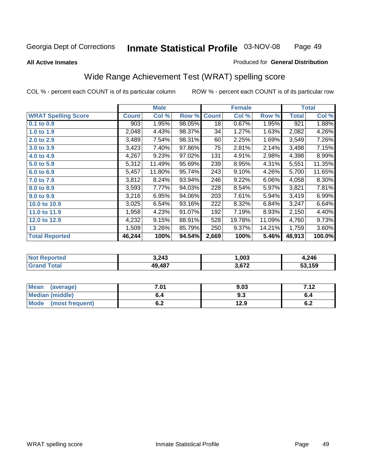#### **All Active Inmates**

### Produced for **General Distribution**

## Wide Range Achievement Test (WRAT) spelling score

|                            |              | <b>Male</b> |        |              | <b>Female</b> |          |              | <b>Total</b> |
|----------------------------|--------------|-------------|--------|--------------|---------------|----------|--------------|--------------|
| <b>WRAT Spelling Score</b> | <b>Count</b> | Col %       | Row %  | <b>Count</b> | Col %         | Row %    | <b>Total</b> | Col %        |
| $0.1$ to $0.9$             | 903          | 1.95%       | 98.05% | 18           | 0.67%         | 1.95%    | 921          | 1.88%        |
| 1.0 to 1.9                 | 2,048        | 4.43%       | 98.37% | 34           | 1.27%         | 1.63%    | 2,082        | 4.26%        |
| 2.0 to 2.9                 | 3,489        | 7.54%       | 98.31% | 60           | 2.25%         | 1.69%    | 3,549        | 7.26%        |
| 3.0 to 3.9                 | 3,423        | 7.40%       | 97.86% | 75           | 2.81%         | 2.14%    | 3,498        | 7.15%        |
| 4.0 to 4.9                 | 4,267        | 9.23%       | 97.02% | 131          | 4.91%         | 2.98%    | 4,398        | 8.99%        |
| 5.0 to 5.9                 | 5,312        | 11.49%      | 95.69% | 239          | 8.95%         | 4.31%    | 5,551        | 11.35%       |
| 6.0 to 6.9                 | 5,457        | 11.80%      | 95.74% | 243          | 9.10%         | 4.26%    | 5,700        | 11.65%       |
| 7.0 to 7.9                 | 3,812        | 8.24%       | 93.94% | 246          | 9.22%         | $6.06\%$ | 4,058        | 8.30%        |
| 8.0 to 8.9                 | 3,593        | 7.77%       | 94.03% | 228          | 8.54%         | 5.97%    | 3,821        | 7.81%        |
| 9.0 to 9.9                 | 3,216        | 6.95%       | 94.06% | 203          | 7.61%         | 5.94%    | 3,419        | 6.99%        |
| 10.0 to 10.9               | 3,025        | 6.54%       | 93.16% | 222          | 8.32%         | 6.84%    | 3,247        | 6.64%        |
| 11.0 to 11.9               | 1,958        | 4.23%       | 91.07% | 192          | 7.19%         | 8.93%    | 2,150        | 4.40%        |
| 12.0 to 12.9               | 4,232        | 9.15%       | 88.91% | 528          | 19.78%        | 11.09%   | 4,760        | 9.73%        |
| 13                         | 1,509        | 3.26%       | 85.79% | 250          | 9.37%         | 14.21%   | 1,759        | 3.60%        |
| <b>Total Reported</b>      | 46,244       | 100%        | 94.54% | 2,669        | 100%          | 5.46%    | 48,913       | 100.0%       |

| 3,243  | ,003                        | .246 |
|--------|-----------------------------|------|
| 10 487 | <b>672</b><br>$\sim$ $\sim$ | .159 |

| <b>Mean</b><br>(average) | .01                        | 9.03 | ר י<br>. |
|--------------------------|----------------------------|------|----------|
| Median (middle)          | b.4                        | ყ.კ  | o.4      |
| Mode<br>(most frequent)  | <u>. . </u><br>$v_{\cdot}$ | 12.9 | υ.Ζ      |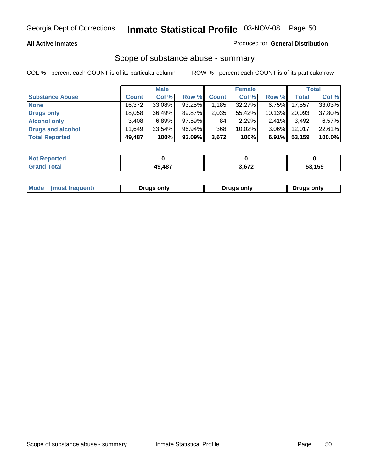### **All Active Inmates**

### Produced for **General Distribution**

### Scope of substance abuse - summary

|                        |        | <b>Male</b> |        |              | <b>Female</b> |           |              | <b>Total</b> |
|------------------------|--------|-------------|--------|--------------|---------------|-----------|--------------|--------------|
| <b>Substance Abuse</b> | Count  | Col %       | Row %  | <b>Count</b> | Col %         | Row %     | <b>Total</b> | Col %        |
| <b>None</b>            | 16,372 | 33.08%      | 93.25% | , 185        | 32.27%        | $6.75\%$  | 17,557       | 33.03%       |
| Drugs only             | 18,058 | 36.49%      | 89.87% | 2,035        | 55.42%        | $10.13\%$ | 20,093       | 37.80%       |
| <b>Alcohol only</b>    | 3,408  | 6.89%       | 97.59% | 84           | 2.29%         | $2.41\%$  | 3,492        | 6.57%        |
| Drugs and alcohol      | 11.649 | $23.54\%$   | 96.94% | 368          | $10.02\%$     | $3.06\%$  | 12,017       | 22.61%       |
| <b>Total Reported</b>  | 49,487 | 100%        | 93.09% | 3,672        | 100%          | $6.91\%$  | 53,159       | 100.0%       |

| <b>Not</b><br>Reported |        |       |      |
|------------------------|--------|-------|------|
| <b>Grand</b><br>`otal  | 49,487 | 3,672 | .159 |

|  | Mode<br>(most frequent) | Drugs only | <b>Drugs only</b> | <b>Drugs only</b> |
|--|-------------------------|------------|-------------------|-------------------|
|--|-------------------------|------------|-------------------|-------------------|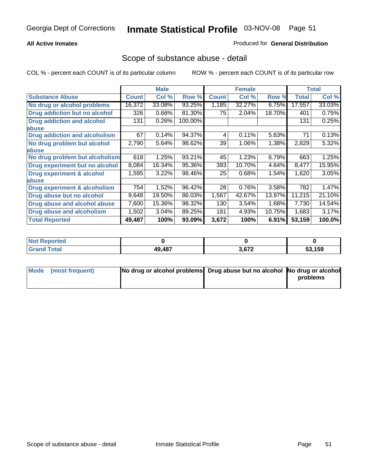### **All Active Inmates**

### Produced for **General Distribution**

### Scope of substance abuse - detail

|                                      |              | <b>Male</b> |         |              | <b>Female</b> |        |              | <b>Total</b> |
|--------------------------------------|--------------|-------------|---------|--------------|---------------|--------|--------------|--------------|
| <b>Substance Abuse</b>               | <b>Count</b> | Col %       | Row %   | <b>Count</b> | Col %         | Row %  | <b>Total</b> | Col %        |
| No drug or alcohol problems          | 16,372       | 33.08%      | 93.25%  | 1,185        | 32.27%        | 6.75%  | 17,557       | 33.03%       |
| Drug addiction but no alcohol        | 326          | 0.66%       | 81.30%  | 75           | 2.04%         | 18.70% | 401          | 0.75%        |
| <b>Drug addiction and alcohol</b>    | 131          | 0.26%       | 100.00% |              |               |        | 131          | 0.25%        |
| <b>labuse</b>                        |              |             |         |              |               |        |              |              |
| <b>Drug addiction and alcoholism</b> | 67           | 0.14%       | 94.37%  | 4            | 0.11%         | 5.63%  | 71           | 0.13%        |
| No drug problem but alcohol          | 2,790        | 5.64%       | 98.62%  | 39           | 1.06%         | 1.38%  | 2,829        | 5.32%        |
| <b>labuse</b>                        |              |             |         |              |               |        |              |              |
| No drug problem but alcoholism       | 618          | 1.25%       | 93.21%  | 45           | 1.23%         | 6.79%  | 663          | 1.25%        |
| Drug experiment but no alcohol       | 8,084        | 16.34%      | 95.36%  | 393          | 10.70%        | 4.64%  | 8,477        | 15.95%       |
| <b>Drug experiment &amp; alcohol</b> | 1,595        | 3.22%       | 98.46%  | 25           | 0.68%         | 1.54%  | 1,620        | 3.05%        |
| <b>labuse</b>                        |              |             |         |              |               |        |              |              |
| Drug experiment & alcoholism         | 754          | 1.52%       | 96.42%  | 28           | 0.76%         | 3.58%  | 782          | 1.47%        |
| Drug abuse but no alcohol            | 9,648        | 19.50%      | 86.03%  | 1,567        | 42.67%        | 13.97% | 11,215       | 21.10%       |
| Drug abuse and alcohol abuse         | 7,600        | 15.36%      | 98.32%  | 130          | 3.54%         | 1.68%  | 7,730        | 14.54%       |
| <b>Drug abuse and alcoholism</b>     | 1,502        | 3.04%       | 89.25%  | 181          | 4.93%         | 10.75% | 1,683        | 3.17%        |
| <b>Total Reported</b>                | 49,487       | 100%        | 93.09%  | 3,672        | 100%          | 6.91%  | 53,159       | 100.0%       |

| . Reported<br><b>NOT</b> |        |       |        |
|--------------------------|--------|-------|--------|
| <b>otal</b>              | 19.487 | 2.672 | 53.159 |

| Mode (most frequent) | No drug or alcohol problems Drug abuse but no alcohol No drug or alcohol |          |
|----------------------|--------------------------------------------------------------------------|----------|
|                      |                                                                          | problems |
|                      |                                                                          |          |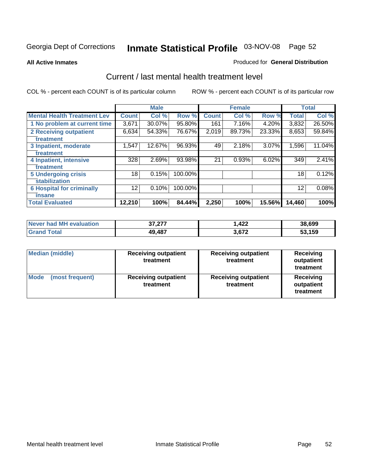#### **All Active Inmates**

### Produced for **General Distribution**

### Current / last mental health treatment level

|                                    |              | <b>Male</b> |         |              | <b>Female</b> |          |              | <b>Total</b> |
|------------------------------------|--------------|-------------|---------|--------------|---------------|----------|--------------|--------------|
| <b>Mental Health Treatment Lev</b> | <b>Count</b> | Col %       | Row %   | <b>Count</b> | Col%          | Row %    | <b>Total</b> | Col %        |
| 1 No problem at current time       | 3,671        | 30.07%      | 95.80%  | 161          | 7.16%         | 4.20%    | 3,832        | 26.50%       |
| <b>2 Receiving outpatient</b>      | 6,634        | 54.33%      | 76.67%  | 2,019        | 89.73%        | 23.33%   | 8,653        | 59.84%       |
| treatment                          |              |             |         |              |               |          |              |              |
| 3 Inpatient, moderate              | 1,547        | 12.67%      | 96.93%  | 49           | 2.18%         | $3.07\%$ | 1,596        | 11.04%       |
| treatment                          |              |             |         |              |               |          |              |              |
| 4 Inpatient, intensive             | 328          | 2.69%       | 93.98%  | 21           | 0.93%         | 6.02%    | 349          | 2.41%        |
| treatment                          |              |             |         |              |               |          |              |              |
| <b>5 Undergoing crisis</b>         | 18           | 0.15%       | 100.00% |              |               |          | 18           | 0.12%        |
| stabilization                      |              |             |         |              |               |          |              |              |
| <b>6 Hospital for criminally</b>   | 12           | 0.10%       | 100.00% |              |               |          | 12           | 0.08%        |
| insane                             |              |             |         |              |               |          |              |              |
| <b>Total Evaluated</b>             | 12,210       | 100%        | 84.44%  | 2,250        | 100%          | 15.56%   | 14,460       | 100%         |

| Never had MH evaluation     | クフ クフフ<br>31.ZL. | 422. ا | 38,699 |
|-----------------------------|------------------|--------|--------|
| $\tau$ otal<br><b>Grand</b> | 49,487           | 3,672  | 53,159 |

| Median (middle)         | <b>Receiving outpatient</b><br>treatment | <b>Receiving outpatient</b><br>treatment | <b>Receiving</b><br>outpatient<br>treatment |  |
|-------------------------|------------------------------------------|------------------------------------------|---------------------------------------------|--|
| Mode<br>(most frequent) | <b>Receiving outpatient</b><br>treatment | <b>Receiving outpatient</b><br>treatment | Receiving<br>outpatient<br>treatment        |  |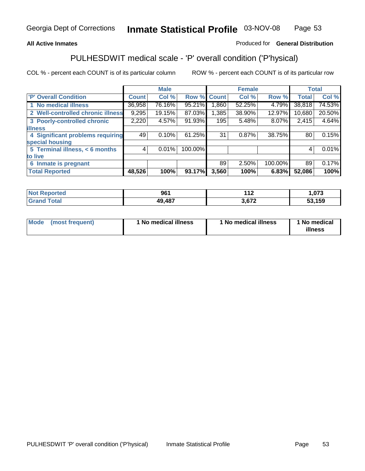### **All Active Inmates**

### Produced for **General Distribution**

# PULHESDWIT medical scale - 'P' overall condition ('P'hysical)

|                                   |              | <b>Male</b> |         |              | <b>Female</b> |         |                 | <b>Total</b> |
|-----------------------------------|--------------|-------------|---------|--------------|---------------|---------|-----------------|--------------|
| 'P' Overall Condition             | <b>Count</b> | Col %       | Row %   | <b>Count</b> | Col %         | Row %   | <b>Total</b>    | Col %        |
| 1 No medical illness              | 36,958       | 76.16%      | 95.21%  | 1,860        | 52.25%        | 4.79%   | 38,818          | 74.53%       |
| 2 Well-controlled chronic illness | 9,295        | 19.15%      | 87.03%  | 1,385        | 38.90%        | 12.97%  | 10,680          | 20.50%       |
| 3 Poorly-controlled chronic       | 2,220        | 4.57%       | 91.93%  | 195          | 5.48%         | 8.07%   | 2,415           | 4.64%        |
| <b>illness</b>                    |              |             |         |              |               |         |                 |              |
| 4 Significant problems requiring  | 49           | 0.10%       | 61.25%  | 31           | 0.87%         | 38.75%  | 80 <sub>1</sub> | 0.15%        |
| special housing                   |              |             |         |              |               |         |                 |              |
| 5 Terminal illness, < 6 months    | 4            | 0.01%       | 100.00% |              |               |         | 4               | 0.01%        |
| to live                           |              |             |         |              |               |         |                 |              |
| 6 Inmate is pregnant              |              |             |         | 89           | 2.50%         | 100.00% | 89              | 0.17%        |
| <b>Total Reported</b>             | 48,526       | 100%        | 93.17%  | 3,560        | 100%          | 6.83%   | 52,086          | 100%         |

| rted | 961           | 1 4 7<br>. . | $\sim$<br>u. J |
|------|---------------|--------------|----------------|
| ota  | <b>49 487</b> | $\sim$       | .159<br>-^     |

| Mode | (most frequent) | 1 No medical illness | 1 No medical illness | 1 No medical<br>illness |
|------|-----------------|----------------------|----------------------|-------------------------|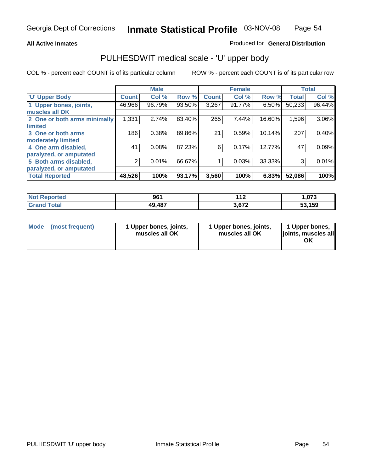### **All Active Inmates**

### Produced for **General Distribution**

### PULHESDWIT medical scale - 'U' upper body

|                              |              | <b>Male</b> |        |              | <b>Female</b> |        |              | <b>Total</b> |
|------------------------------|--------------|-------------|--------|--------------|---------------|--------|--------------|--------------|
| <b>U' Upper Body</b>         | <b>Count</b> | Col %       | Row %  | <b>Count</b> | Col %         | Row %  | <b>Total</b> | Col %        |
| 1 Upper bones, joints,       | 46,966       | 96.79%      | 93.50% | 3,267        | 91.77%        | 6.50%  | 50,233       | 96.44%       |
| muscles all OK               |              |             |        |              |               |        |              |              |
| 2 One or both arms minimally | 1,331        | 2.74%       | 83.40% | 265          | 7.44%         | 16.60% | 1,596        | $3.06\%$     |
| limited                      |              |             |        |              |               |        |              |              |
| 3 One or both arms           | 186          | 0.38%       | 89.86% | 21           | 0.59%         | 10.14% | 207          | 0.40%        |
| moderately limited           |              |             |        |              |               |        |              |              |
| 4 One arm disabled,          | 41           | 0.08%       | 87.23% | 6            | 0.17%         | 12.77% | 47           | 0.09%        |
| paralyzed, or amputated      |              |             |        |              |               |        |              |              |
| 5 Both arms disabled,        | 2            | 0.01%       | 66.67% |              | 0.03%         | 33.33% | 3            | 0.01%        |
| paralyzed, or amputated      |              |             |        |              |               |        |              |              |
| <b>Total Reported</b>        | 48,526       | 100%        | 93.17% | 3,560        | 100%          | 6.83%  | 52,086       | 100%         |

| <b>Not Reported</b> | 961    | 14.9<br>- 14 | .073  |
|---------------------|--------|--------------|-------|
| $\tau$ otal<br>Grar | 49,487 | 3,672        | 3.159 |

| <b>Mode</b> | (most frequent) | 1 Upper bones, joints,<br>muscles all OK | 1 Upper bones, joints,<br>muscles all OK | 1 Upper bones,<br>joints, muscles all<br>ΟK |
|-------------|-----------------|------------------------------------------|------------------------------------------|---------------------------------------------|
|-------------|-----------------|------------------------------------------|------------------------------------------|---------------------------------------------|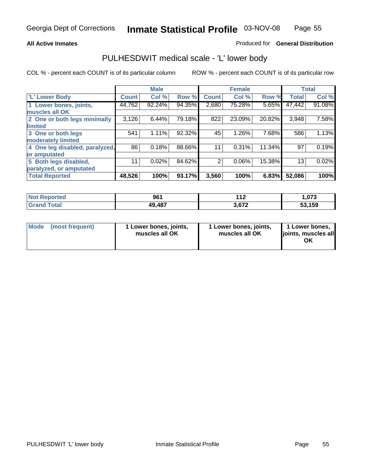### **All Active Inmates**

### Produced for **General Distribution**

### PULHESDWIT medical scale - 'L' lower body

|                                |              | <b>Male</b> |        |                | <b>Female</b> |        |              | <b>Total</b> |
|--------------------------------|--------------|-------------|--------|----------------|---------------|--------|--------------|--------------|
| 'L' Lower Body                 | <b>Count</b> | Col %       | Row %  | <b>Count</b>   | Col %         | Row %  | <b>Total</b> | Col %        |
| 1 Lower bones, joints,         | 44,762       | 92.24%      | 94.35% | 2,680          | 75.28%        | 5.65%  | 47,442       | 91.08%       |
| muscles all OK                 |              |             |        |                |               |        |              |              |
| 2 One or both legs minimally   | 3,126        | 6.44%       | 79.18% | 822            | 23.09%        | 20.82% | 3,948        | 7.58%        |
| limited                        |              |             |        |                |               |        |              |              |
| 3 One or both legs             | 541          | 1.11%       | 92.32% | 45             | 1.26%         | 7.68%  | 586          | 1.13%        |
| moderately limited             |              |             |        |                |               |        |              |              |
| 4 One leg disabled, paralyzed, | 86           | 0.18%       | 88.66% | 11             | 0.31%         | 11.34% | 97           | 0.19%        |
| or amputated                   |              |             |        |                |               |        |              |              |
| 5 Both legs disabled,          | 11           | 0.02%       | 84.62% | $\overline{2}$ | 0.06%         | 15.38% | 13           | 0.02%        |
| paralyzed, or amputated        |              |             |        |                |               |        |              |              |
| <b>Total Reported</b>          | 48,526       | 100%        | 93.17% | 3,560          | 100%          | 6.83%  | 52,086       | 100%         |

| <b>Not Reported</b>   | 961    | 442<br>- 14 | .073            |
|-----------------------|--------|-------------|-----------------|
| Total<br><b>Grand</b> | 49,487 | 3,672       | 53,159<br>. JJ. |

|  | Mode (most frequent) | 1 Lower bones, joints,<br>muscles all OK | 1 Lower bones, joints,<br>muscles all OK | 1 Lower bones,<br>joints, muscles all<br>ОK |
|--|----------------------|------------------------------------------|------------------------------------------|---------------------------------------------|
|--|----------------------|------------------------------------------|------------------------------------------|---------------------------------------------|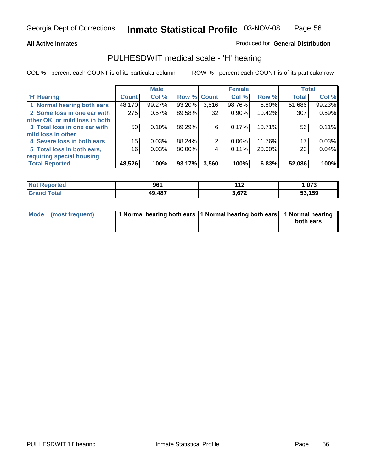### **All Active Inmates**

### Produced for **General Distribution**

### PULHESDWIT medical scale - 'H' hearing

|                                |              | <b>Male</b> |             |       | <b>Female</b> |        | <b>Total</b> |        |
|--------------------------------|--------------|-------------|-------------|-------|---------------|--------|--------------|--------|
| <b>H'</b> Hearing              | <b>Count</b> | Col %       | Row % Count |       | Col %         | Row %  | <b>Total</b> | Col %  |
| 1 Normal hearing both ears     | 48,170       | 99.27%      | 93.20%      | 3,516 | 98.76%        | 6.80%  | 51,686       | 99.23% |
| 2 Some loss in one ear with    | 275          | 0.57%       | 89.58%      | 32    | $0.90\%$      | 10.42% | 307          | 0.59%  |
| other OK, or mild loss in both |              |             |             |       |               |        |              |        |
| 3 Total loss in one ear with   | 50           | 0.10%       | 89.29%      | 6     | 0.17%         | 10.71% | 56           | 0.11%  |
| mild loss in other             |              |             |             |       |               |        |              |        |
| 4 Severe loss in both ears     | 15           | 0.03%       | 88.24%      | 2     | $0.06\%$      | 11.76% | 17           | 0.03%  |
| 5 Total loss in both ears,     | 16           | 0.03%       | 80.00%      | 4     | 0.11%         | 20.00% | 20           | 0.04%  |
| requiring special housing      |              |             |             |       |               |        |              |        |
| <b>Total Reported</b>          | 48,526       | 100%        | 93.17%      | 3,560 | 100%          | 6.83%  | 52,086       | 100%   |

| วrted      | 961    | .              | ,073 |
|------------|--------|----------------|------|
| <b>ota</b> | 49,487 | <b>C72</b><br> | .159 |

| Mode (most frequent) | 1 Normal hearing both ears 11 Normal hearing both ears 1 Normal hearing |           |
|----------------------|-------------------------------------------------------------------------|-----------|
|                      |                                                                         | both ears |
|                      |                                                                         |           |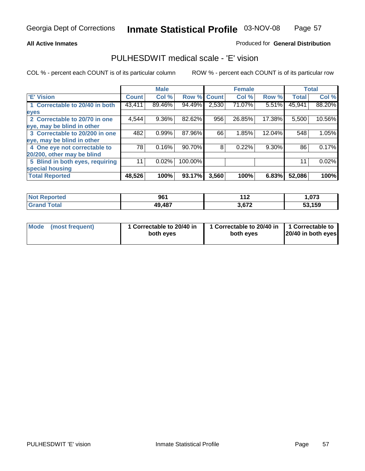### **All Active Inmates**

### Produced for **General Distribution**

### PULHESDWIT medical scale - 'E' vision

|                                 |              | <b>Male</b> |                    |       | <b>Female</b> |          |              | <b>Total</b> |
|---------------------------------|--------------|-------------|--------------------|-------|---------------|----------|--------------|--------------|
| 'E' Vision                      | <b>Count</b> | Col %       | <b>Row % Count</b> |       | Col %         | Row %    | <b>Total</b> | Col %        |
| 1 Correctable to 20/40 in both  | 43,411       | 89.46%      | 94.49%             | 2,530 | 71.07%        | 5.51%    | 45,941       | 88.20%       |
| eyes                            |              |             |                    |       |               |          |              |              |
| 2 Correctable to 20/70 in one   | 4,544        | 9.36%       | 82.62%             | 956   | 26.85%        | 17.38%   | 5,500        | 10.56%       |
| eye, may be blind in other      |              |             |                    |       |               |          |              |              |
| 3 Correctable to 20/200 in one  | 482          | 0.99%       | 87.96%             | 66    | 1.85%         | 12.04%   | 548          | 1.05%        |
| eye, may be blind in other      |              |             |                    |       |               |          |              |              |
| 4 One eye not correctable to    | 78           | 0.16%       | 90.70%             | 8     | 0.22%         | $9.30\%$ | 86           | 0.17%        |
| 20/200, other may be blind      |              |             |                    |       |               |          |              |              |
| 5 Blind in both eyes, requiring | 11           | 0.02%       | 100.00%            |       |               |          | 11           | 0.02%        |
| special housing                 |              |             |                    |       |               |          |              |              |
| <b>Total Reported</b>           | 48,526       | 100%        | 93.17%             | 3,560 | 100%          | 6.83%    | 52,086       | 100%         |

| <b>Not Reported</b>  | 961    | 440<br>. . | 0.70<br>.U / 3 |
|----------------------|--------|------------|----------------|
| <b>Total</b><br>Grar | 49,487 | 3,672      | 53,159         |

| Mode | (most frequent) | 1 Correctable to 20/40 in<br>both eves | 1 Correctable to 20/40 in   1 Correctable to<br>both eves | 20/40 in both eyes |
|------|-----------------|----------------------------------------|-----------------------------------------------------------|--------------------|
|------|-----------------|----------------------------------------|-----------------------------------------------------------|--------------------|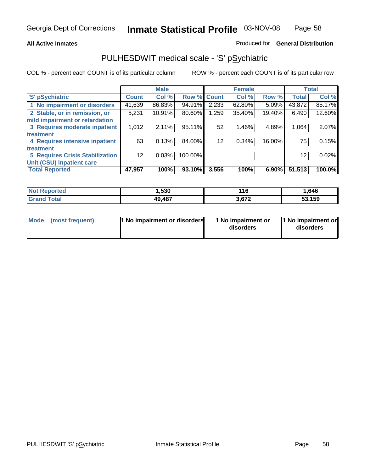### **All Active Inmates**

### Produced for **General Distribution**

## PULHESDWIT medical scale - 'S' pSychiatric

|                                        |              | <b>Male</b> |             |       | <b>Female</b> |          |              | <b>Total</b> |
|----------------------------------------|--------------|-------------|-------------|-------|---------------|----------|--------------|--------------|
| 'S' pSychiatric                        | <b>Count</b> | Col %       | Row % Count |       | Col %         | Row %    | <b>Total</b> | Col %        |
| 1 No impairment or disorders           | 41,639       | 86.83%      | 94.91%      | 2,233 | 62.80%        | $5.09\%$ | 43,872       | 85.17%       |
| 2 Stable, or in remission, or          | 5,231        | 10.91%      | 80.60%      | 1,259 | 35.40%        | 19.40%   | 6,490        | 12.60%       |
| mild impairment or retardation         |              |             |             |       |               |          |              |              |
| 3 Requires moderate inpatient          | 1,012        | 2.11%       | 95.11%      | 52    | 1.46%         | 4.89%    | 1,064        | 2.07%        |
| treatment                              |              |             |             |       |               |          |              |              |
| 4 Requires intensive inpatient         | 63           | 0.13%       | 84.00%      | 12    | 0.34%         | 16.00%   | 75           | 0.15%        |
| treatment                              |              |             |             |       |               |          |              |              |
| <b>5 Requires Crisis Stabilization</b> | 12           | 0.03%       | 100.00%     |       |               |          | 12           | 0.02%        |
| Unit (CSU) inpatient care              |              |             |             |       |               |          |              |              |
| <b>Total Reported</b>                  | 47,957       | 100%        | 93.10%      | 3,556 | 100%          | $6.90\%$ | 51,513       | 100.0%       |

| <b>Not Reported</b>    | ,530   | 116   | 646, ، |
|------------------------|--------|-------|--------|
| $\tau$ otal<br>' Grand | 49,487 | 3,672 | 53,159 |

| Mode (most frequent) | <b>1</b> No impairment or disorders | 1 No impairment or<br>disorders | 1 No impairment or<br>disorders |
|----------------------|-------------------------------------|---------------------------------|---------------------------------|
|                      |                                     |                                 |                                 |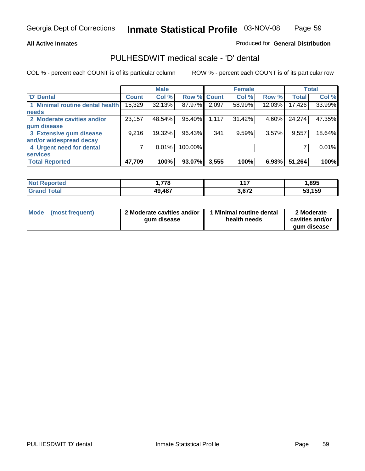### **All Active Inmates**

### Produced for **General Distribution**

### PULHESDWIT medical scale - 'D' dental

|                                 |              | <b>Male</b> |         |             | <b>Female</b> |        |              | <b>Total</b> |
|---------------------------------|--------------|-------------|---------|-------------|---------------|--------|--------------|--------------|
| <b>D' Dental</b>                | <b>Count</b> | Col %       |         | Row % Count | Col %         | Row %  | <b>Total</b> | Col %        |
| 1 Minimal routine dental health | 15,329       | 32.13%      | 87.97%  | 2,097       | 58.99%        | 12.03% | 17,426       | 33.99%       |
| <b>needs</b>                    |              |             |         |             |               |        |              |              |
| 2 Moderate cavities and/or      | 23,157       | 48.54%      | 95.40%  | 1,117       | 31.42%        | 4.60%  | 24,274       | 47.35%       |
| gum disease                     |              |             |         |             |               |        |              |              |
| 3 Extensive gum disease         | 9,216        | 19.32%      | 96.43%  | 341         | 9.59%         | 3.57%  | 9,557        | 18.64%       |
| and/or widespread decay         |              |             |         |             |               |        |              |              |
| 4 Urgent need for dental        |              | 0.01%       | 100.00% |             |               |        |              | 0.01%        |
| <b>services</b>                 |              |             |         |             |               |        |              |              |
| <b>Total Reported</b>           | 47,709       | 100%        | 93.07%  | 3,555       | 100%          | 6.93%  | 51,264       | 100%         |

| orted<br>. No | 770    | , 47           | ,895   |
|---------------|--------|----------------|--------|
| `ota.         | 49,487 | 2.67c<br>5.012 | 53,159 |

| <b>Mode</b> | (most frequent) | 2 Moderate cavities and/or<br>qum disease | <b>Minimal routine dental</b><br>health needs | 2 Moderate<br>cavities and/or |
|-------------|-----------------|-------------------------------------------|-----------------------------------------------|-------------------------------|
|             |                 |                                           |                                               | qum disease                   |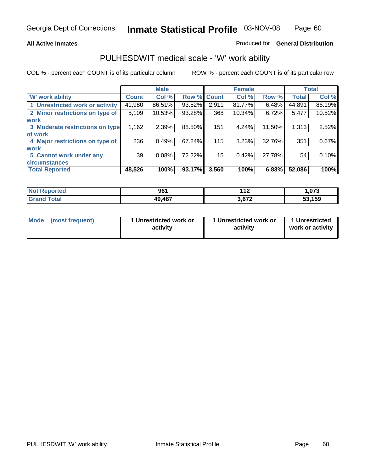### **All Active Inmates**

### Produced for **General Distribution**

### PULHESDWIT medical scale - 'W' work ability

|                                 |              | <b>Male</b> |        |              | <b>Female</b> |        |              | <b>Total</b> |
|---------------------------------|--------------|-------------|--------|--------------|---------------|--------|--------------|--------------|
| W' work ability                 | <b>Count</b> | Col %       | Row %  | <b>Count</b> | Col %         | Row %  | <b>Total</b> | Col %        |
| 1 Unrestricted work or activity | 41,980       | 86.51%      | 93.52% | 2,911        | 81.77%        | 6.48%  | 44,891       | 86.19%       |
| 2 Minor restrictions on type of | 5,109        | 10.53%      | 93.28% | 368          | 10.34%        | 6.72%  | 5,477        | 10.52%       |
| <b>work</b>                     |              |             |        |              |               |        |              |              |
| 3 Moderate restrictions on type | 1,162        | 2.39%       | 88.50% | 151          | 4.24%         | 11.50% | 1,313        | 2.52%        |
| of work                         |              |             |        |              |               |        |              |              |
| 4 Major restrictions on type of | 236          | 0.49%       | 67.24% | 115          | 3.23%         | 32.76% | 351          | 0.67%        |
| <b>work</b>                     |              |             |        |              |               |        |              |              |
| 5 Cannot work under any         | 39           | 0.08%       | 72.22% | 15           | 0.42%         | 27.78% | 54           | 0.10%        |
| <b>circumstances</b>            |              |             |        |              |               |        |              |              |
| <b>Total Reported</b>           | 48,526       | 100%        | 93.17% | 3,560        | 100%          | 6.83%  | 52,086       | 100%         |

| <b>Not Reported</b>          | 961    | 112<br>- 14 | ,073   |
|------------------------------|--------|-------------|--------|
| <b>Total</b><br><b>Grand</b> | 49,487 | 3,672       | 53,159 |

| Mode            | 1 Unrestricted work or | 1 Unrestricted work or | 1 Unrestricted   |
|-----------------|------------------------|------------------------|------------------|
| (most frequent) | activity               | activity               | work or activity |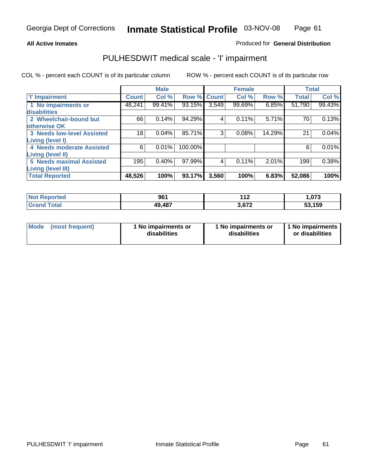### **All Active Inmates**

### Produced for **General Distribution**

## PULHESDWIT medical scale - 'I' impairment

|                                   |              | <b>Male</b> |             |       | <b>Female</b> |        |              | <b>Total</b> |
|-----------------------------------|--------------|-------------|-------------|-------|---------------|--------|--------------|--------------|
| <b>T' Impairment</b>              | <b>Count</b> | Col %       | Row % Count |       | Col %         | Row %  | <b>Total</b> | Col %        |
| 1 No impairments or               | 48,241       | 99.41%      | 93.15%      | 3,549 | 99.69%        | 6.85%  | 51,790       | 99.43%       |
| disabilities                      |              |             |             |       |               |        |              |              |
| 2 Wheelchair-bound but            | 66           | 0.14%       | 94.29%      | 4     | 0.11%         | 5.71%  | 70           | 0.13%        |
| otherwise OK                      |              |             |             |       |               |        |              |              |
| <b>3 Needs low-level Assisted</b> | 18           | 0.04%       | 85.71%      | 3     | 0.08%         | 14.29% | 21           | 0.04%        |
| Living (level I)                  |              |             |             |       |               |        |              |              |
| 4 Needs moderate Assisted         | 6            | 0.01%       | 100.00%     |       |               |        | 6            | 0.01%        |
| <b>Living (level II)</b>          |              |             |             |       |               |        |              |              |
| 5 Needs maximal Assisted          | 195          | 0.40%       | 97.99%      | 4     | 0.11%         | 2.01%  | 199          | 0.38%        |
| <b>Living (level III)</b>         |              |             |             |       |               |        |              |              |
| <b>Total Reported</b>             | 48,526       | 100%        | 93.17%      | 3,560 | 100%          | 6.83%  | 52,086       | 100%         |

| <b>Not</b><br>Reported       | 961    | 149<br>- 14 | 073. ا |
|------------------------------|--------|-------------|--------|
| <b>Total</b><br><b>Grand</b> | 49,487 | 3,672       | 53,159 |

| Mode | (most frequent) | 1 No impairments or<br>disabilities | 1 No impairments or<br>disabilities | 1 1 No impairments<br>or disabilities |
|------|-----------------|-------------------------------------|-------------------------------------|---------------------------------------|
|------|-----------------|-------------------------------------|-------------------------------------|---------------------------------------|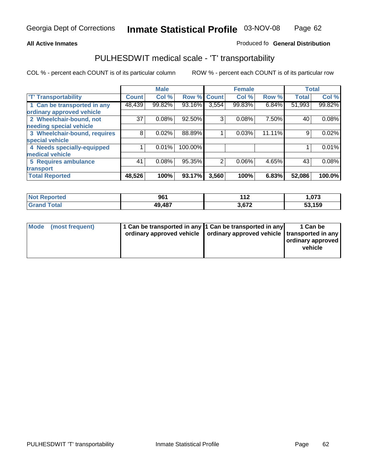#### **Inmate Statistical Profile** 03-NOV-08 Page Page 62

### All Active Inmates **All Active Inmates All Active Inmates Produced fo General Distribution**

# PULHESDWIT medical scale - 'T' transportability

|                              |              | <b>Male</b> |         |                | <b>Female</b> |        | <b>Total</b> |        |
|------------------------------|--------------|-------------|---------|----------------|---------------|--------|--------------|--------|
| <b>T' Transportability</b>   | <b>Count</b> | Col %       | Row %   | <b>Count</b>   | Col %         | Row %  | <b>Total</b> | Col %  |
| 1 Can be transported in any  | 48,439       | 99.82%      | 93.16%  | 3,554          | 99.83%        | 6.84%  | 51,993       | 99.82% |
| ordinary approved vehicle    |              |             |         |                |               |        |              |        |
| 2 Wheelchair-bound, not      | 37           | 0.08%       | 92.50%  | 3              | 0.08%         | 7.50%  | 40           | 0.08%  |
| needing special vehicle      |              |             |         |                |               |        |              |        |
| 3 Wheelchair-bound, requires | 8            | 0.02%       | 88.89%  |                | 0.03%         | 11.11% | 9            | 0.02%  |
| special vehicle              |              |             |         |                |               |        |              |        |
| 4 Needs specially-equipped   |              | 0.01%       | 100.00% |                |               |        |              | 0.01%  |
| medical vehicle              |              |             |         |                |               |        |              |        |
| <b>5 Requires ambulance</b>  | 41           | 0.08%       | 95.35%  | $\overline{2}$ | 0.06%         | 4.65%  | 43           | 0.08%  |
| transport                    |              |             |         |                |               |        |              |        |
| <b>Total Reported</b>        | 48,526       | 100%        | 93.17%  | 3,560          | 100%          | 6.83%  | 52,086       | 100.0% |

| <b>Not</b><br><b>Reported</b> | 961    | 119<br>-14 | 1,073  |
|-------------------------------|--------|------------|--------|
| `otal<br>-Grafi               | 49,487 | 3,672      | 53,159 |

| Mode (most frequent) | 1 Can be transported in any 1 Can be transported in any | ordinary approved vehicle   ordinary approved vehicle   transported in any | 1 Can be<br>ordinary approved<br>vehicle |
|----------------------|---------------------------------------------------------|----------------------------------------------------------------------------|------------------------------------------|
|                      |                                                         |                                                                            |                                          |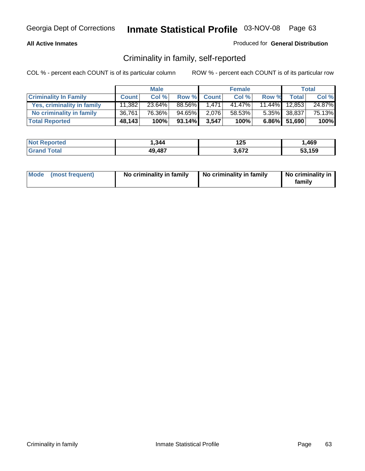### **All Active Inmates**

### Produced for **General Distribution**

## Criminality in family, self-reported

|                              |              | <b>Male</b> |        |             | <b>Female</b> |       |               | <b>Total</b> |
|------------------------------|--------------|-------------|--------|-------------|---------------|-------|---------------|--------------|
| <b>Criminality In Family</b> | <b>Count</b> | Col %       |        | Row % Count | Col %         | Row % | <b>Total</b>  | Col %        |
| Yes, criminality in family   | 11,382       | 23.64%      | 88.56% | 1.471       | 41.47%        |       | 11.44% 12,853 | 24.87%       |
| No criminality in family     | 36,761       | 76.36%      | 94.65% | 2,076       | 58.53%        |       | 5.35% 38,837  | 75.13%       |
| <b>Total Reported</b>        | 48,143       | 100%        | 93.14% | 3,547       | 100%          |       | 6.86% 51,690  | 100%         |

| <b>Not Reported</b>   | 1,344  | ィクに<br>I ZJ | ,469   |
|-----------------------|--------|-------------|--------|
| Гоtal<br><b>Grand</b> | 49,487 | .672        | 53.159 |

| Mode (most frequent) |  | No criminality in family | No criminality in family | No criminality in<br>family |
|----------------------|--|--------------------------|--------------------------|-----------------------------|
|----------------------|--|--------------------------|--------------------------|-----------------------------|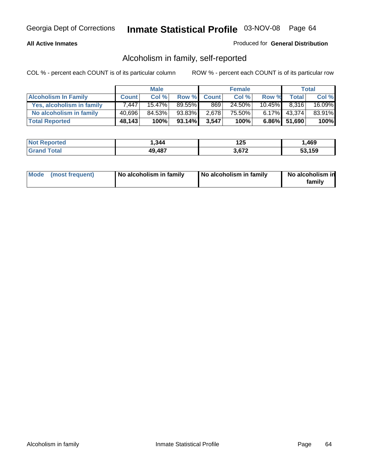### **All Active Inmates**

### Produced for **General Distribution**

## Alcoholism in family, self-reported

|                             |              | <b>Male</b> |        |              | <b>Female</b> |                 |                 | <b>Total</b> |
|-----------------------------|--------------|-------------|--------|--------------|---------------|-----------------|-----------------|--------------|
| <b>Alcoholism In Family</b> | <b>Count</b> | Col %       | Row %  | <b>Count</b> | Col %         | Row %           | <b>Total</b>    | Col %        |
| Yes, alcoholism in family   | 7.447        | $15.47\%$   | 89.55% | 869          | 24.50%        | 10.45% <b>I</b> | 8,316           | 16.09%       |
| No alcoholism in family     | 40,696       | 84.53%      | 93.83% | 2,678        | 75.50%        |                 | $6.17\%$ 43,374 | 83.91%       |
| <b>Total Reported</b>       | 48,143       | 100%        | 93.14% | 3,547        | 100%          |                 | 6.86% 51,690    | 100%         |

| <b>Not Reported</b>   | 1,344  | ィクに<br>I ZJ | ,469   |
|-----------------------|--------|-------------|--------|
| Гоtal<br><b>Grand</b> | 49,487 | .672        | 53.159 |

|  | Mode (most frequent) | No alcoholism in family | No alcoholism in family | No alcoholism in<br>familv |
|--|----------------------|-------------------------|-------------------------|----------------------------|
|--|----------------------|-------------------------|-------------------------|----------------------------|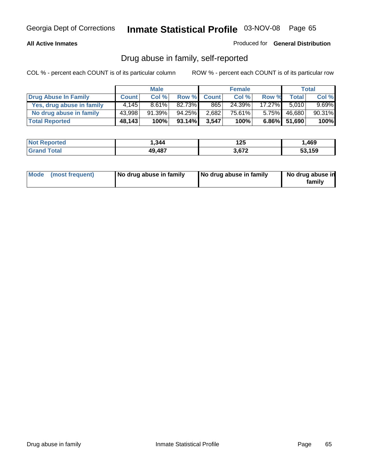### **All Active Inmates**

Produced for **General Distribution**

## Drug abuse in family, self-reported

|                           |              | <b>Male</b> |        |              | <b>Female</b> |           |              | <b>Total</b> |
|---------------------------|--------------|-------------|--------|--------------|---------------|-----------|--------------|--------------|
| Drug Abuse In Family      | <b>Count</b> | Col %       | Row %  | <b>Count</b> | Col %         | Row %     | Total        | Col %        |
| Yes, drug abuse in family | 4.145        | $8.61\%$    | 82.73% | 865          | 24.39%        | $17.27\%$ | 5.010        | $9.69\%$     |
| No drug abuse in family   | 43,998       | $91.39\%$   | 94.25% | 2,682        | 75.61%        | $5.75\%$  | 46,680       | 90.31%       |
| <b>Total Reported</b>     | 48,143       | 100%        | 93.14% | 3,547        | 100%          |           | 6.86% 51,690 | 100%         |

| <b>Not Reported</b>   | 1,344  | ィクに<br>I ZJ | ,469   |
|-----------------------|--------|-------------|--------|
| Гоtal<br><b>Grand</b> | 49,487 | .672        | 53.159 |

|  | Mode (most frequent) | No drug abuse in family | No drug abuse in family | No drug abuse in<br>family |
|--|----------------------|-------------------------|-------------------------|----------------------------|
|--|----------------------|-------------------------|-------------------------|----------------------------|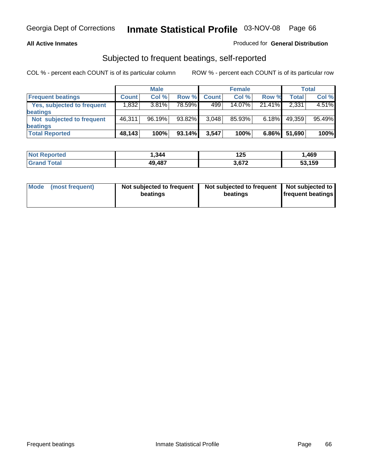### **All Active Inmates**

### Produced for **General Distribution**

### Subjected to frequent beatings, self-reported

|                                   |              | <b>Male</b> |         |              | <b>Female</b> |          |              | <b>Total</b> |
|-----------------------------------|--------------|-------------|---------|--------------|---------------|----------|--------------|--------------|
| <b>Frequent beatings</b>          | <b>Count</b> | Col%        | Row %   | <b>Count</b> | Col%          | Row %    | <b>Total</b> | Col %        |
| <b>Yes, subjected to frequent</b> | 1,832        | $3.81\%$    | 78.59%I | 499          | $14.07\%$     | 21.41%   | 2,331        | 4.51%        |
| beatings                          |              |             |         |              |               |          |              |              |
| Not subjected to frequent         | 46,311       | 96.19%      | 93.82%  | 3,048        | 85.93%        | $6.18\%$ | 49,359       | 95.49%       |
| beatings                          |              |             |         |              |               |          |              |              |
| <b>Total Reported</b>             | 48,143       | 100%        | 93.14%  | 3,547        | 100%          | $6.86\%$ | 51,690       | 100%         |

| <b>ortea</b><br>' Not | 344. ا | 125   | ,469   |
|-----------------------|--------|-------|--------|
| $\sim$<br>' Gra       | 49,487 | 3.677 | 53,159 |

| Mode (most frequent) | Not subjected to frequent<br>beatings | Not subjected to frequent<br>beatings | Not subjected to<br>frequent beatings |
|----------------------|---------------------------------------|---------------------------------------|---------------------------------------|
|                      |                                       |                                       |                                       |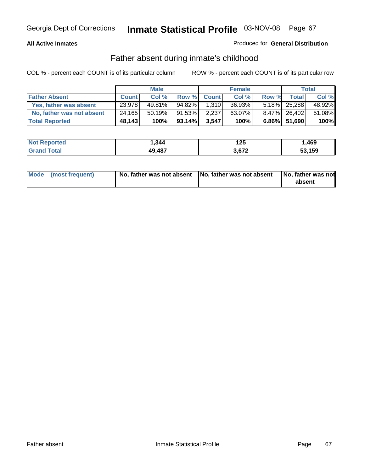### **All Active Inmates**

### Produced for **General Distribution**

### Father absent during inmate's childhood

|                           |              | <b>Male</b> |        |              | <b>Female</b> |       |                 | Total  |
|---------------------------|--------------|-------------|--------|--------------|---------------|-------|-----------------|--------|
| <b>Father Absent</b>      | <b>Count</b> | Col %       | Row %  | <b>Count</b> | Col %         | Row % | <b>Total</b>    | Col %  |
| Yes, father was absent    | 23,978       | 49.81%      | 94.82% | 1.310        | 36.93%        |       | $5.18\%$ 25,288 | 48.92% |
| No, father was not absent | 24,165       | 50.19%      | 91.53% | 2,237        | 63.07%        |       | 8.47% 26,402    | 51.08% |
| <b>Total Reported</b>     | 48,143       | 100%        | 93.14% | 3,547        | 100%          |       | 6.86% 51,690    | 100%   |

| <b>Not Reported</b>   | 1,344  | ィクに<br>I ZJ | ,469   |
|-----------------------|--------|-------------|--------|
| Гоtal<br><b>Grand</b> | 49,487 | .672        | 53.159 |

| Mode (most frequent) |  | 「No, father was not absent ┃No, father was not absent ┃No, father was not | absent |
|----------------------|--|---------------------------------------------------------------------------|--------|
|----------------------|--|---------------------------------------------------------------------------|--------|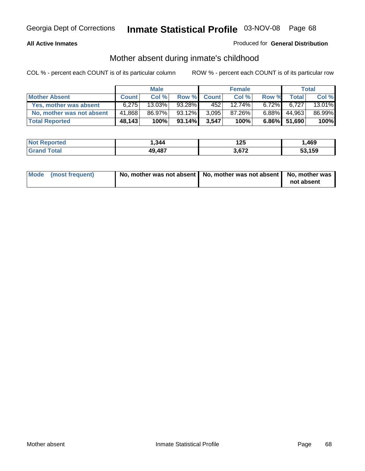### **All Active Inmates**

### Produced for **General Distribution**

## Mother absent during inmate's childhood

|                           |              | <b>Male</b> |        |              | <b>Female</b> |          |              | <b>Total</b> |
|---------------------------|--------------|-------------|--------|--------------|---------------|----------|--------------|--------------|
| <b>Mother Absent</b>      | <b>Count</b> | Col%        | Row %  | <b>Count</b> | Col %         | Row %    | <b>Total</b> | Col %        |
| Yes, mother was absent    | 6.275        | 13.03%      | 93.28% | 4521         | $12.74\%$     | $6.72\%$ | 6.727        | 13.01%       |
| No, mother was not absent | 41,868       | 86.97%      | 93.12% | 3,095        | 87.26%        | $6.88\%$ | 44,963       | 86.99%       |
| <b>Total Reported</b>     | 48,143       | 100%        | 93.14% | 3.547        | 100%          |          | 6.86% 51,690 | 100%         |

| <b>Not Reported</b> | 344، ا | 125   | ,469   |
|---------------------|--------|-------|--------|
| <b>Grand Total</b>  | 49,487 | 3.672 | 53,159 |

| Mode (most frequent) | No, mother was not absent $\vert$ No, mother was not absent $\vert$ No, mother was | not absent |
|----------------------|------------------------------------------------------------------------------------|------------|
|                      |                                                                                    |            |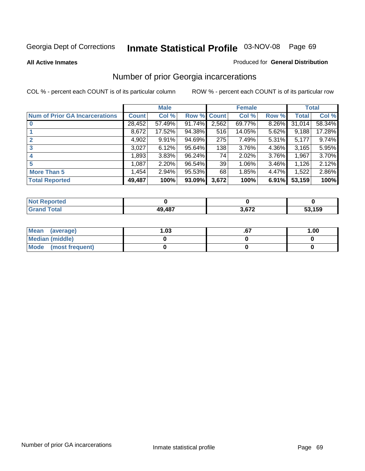#### **All Active Inmates**

#### Produced for **General Distribution**

## Number of prior Georgia incarcerations

|                                       |              | <b>Male</b> |                    |       | <b>Female</b> |          |        | <b>Total</b> |
|---------------------------------------|--------------|-------------|--------------------|-------|---------------|----------|--------|--------------|
| <b>Num of Prior GA Incarcerations</b> | <b>Count</b> | Col %       | <b>Row % Count</b> |       | Col %         | Row %    | Total  | Col %        |
| $\bf{0}$                              | 28,452       | 57.49%      | 91.74%             | 2,562 | 69.77%        | 8.26%    | 31,014 | 58.34%       |
|                                       | 8,672        | 17.52%      | 94.38%             | 516   | 14.05%        | 5.62%    | 9,188  | 17.28%       |
|                                       | 4,902        | 9.91%       | 94.69%             | 275   | 7.49%         | 5.31%    | 5,177  | 9.74%        |
| 3                                     | 3,027        | 6.12%       | 95.64%             | 138   | 3.76%         | 4.36%    | 3,165  | 5.95%        |
|                                       | 1,893        | 3.83%       | 96.24%             | 74    | 2.02%         | 3.76%    | 1,967  | 3.70%        |
| 5                                     | 1,087        | 2.20%       | 96.54%             | 39    | 1.06%         | $3.46\%$ | 1,126  | 2.12%        |
| <b>More Than 5</b>                    | 1,454        | 2.94%       | 95.53%             | 68    | 1.85%         | 4.47%    | 1,522  | 2.86%        |
| <b>Total Reported</b>                 | 49,487       | 100%        | 93.09%             | 3,672 | 100%          | 6.91%    | 53,159 | 100%         |

| orted<br>NO. |        |     |        |
|--------------|--------|-----|--------|
| <b>otal</b>  | 49,487 | 070 | 53,159 |
| Gr:          |        | __  | ື      |

| Mean (average)       | l.O3 | 1.00 |
|----------------------|------|------|
| Median (middle)      |      |      |
| Mode (most frequent) |      |      |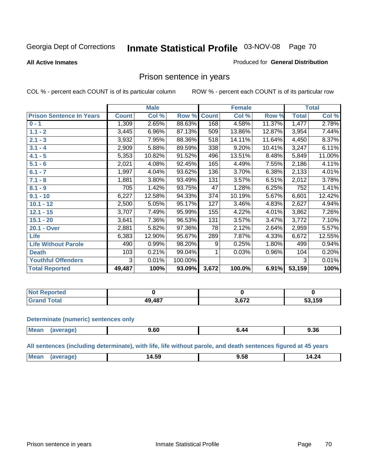#### **All Active Inmates**

#### Produced for **General Distribution**

## Prison sentence in years

COL % - percent each COUNT is of its particular column ROW % - percent each COUNT is of its particular row

|                                 |              | <b>Male</b> |         |              | <b>Female</b> |        |                    | <b>Total</b> |
|---------------------------------|--------------|-------------|---------|--------------|---------------|--------|--------------------|--------------|
| <b>Prison Sentence In Years</b> | <b>Count</b> | Col %       | Row %   | <b>Count</b> | Col %         | Row %  | <b>Total</b>       | Col %        |
| $0 - 1$                         | 1,309        | 2.65%       | 88.63%  | 168          | 4.58%         | 11.37% | 1,477              | 2.78%        |
| $1.1 - 2$                       | 3,445        | 6.96%       | 87.13%  | 509          | 13.86%        | 12.87% | 3,954              | 7.44%        |
| $2.1 - 3$                       | 3,932        | 7.95%       | 88.36%  | 518          | 14.11%        | 11.64% | 4,450              | 8.37%        |
| $3.1 - 4$                       | 2,909        | 5.88%       | 89.59%  | 338          | 9.20%         | 10.41% | $\overline{3,247}$ | 6.11%        |
| $4.1 - 5$                       | 5,353        | 10.82%      | 91.52%  | 496          | 13.51%        | 8.48%  | 5,849              | 11.00%       |
| $5.1 - 6$                       | 2,021        | 4.08%       | 92.45%  | 165          | 4.49%         | 7.55%  | 2,186              | 4.11%        |
| $6.1 - 7$                       | 1,997        | 4.04%       | 93.62%  | 136          | 3.70%         | 6.38%  | 2,133              | 4.01%        |
| $7.1 - 8$                       | 1,881        | 3.80%       | 93.49%  | 131          | 3.57%         | 6.51%  | 2,012              | 3.78%        |
| $8.1 - 9$                       | 705          | 1.42%       | 93.75%  | 47           | 1.28%         | 6.25%  | 752                | 1.41%        |
| $9.1 - 10$                      | 6,227        | 12.58%      | 94.33%  | 374          | 10.19%        | 5.67%  | 6,601              | 12.42%       |
| $10.1 - 12$                     | 2,500        | 5.05%       | 95.17%  | 127          | 3.46%         | 4.83%  | $\overline{2,6}27$ | 4.94%        |
| $12.1 - 15$                     | 3,707        | 7.49%       | 95.99%  | 155          | 4.22%         | 4.01%  | 3,862              | 7.26%        |
| $15.1 - 20$                     | 3,641        | 7.36%       | 96.53%  | 131          | 3.57%         | 3.47%  | 3,772              | 7.10%        |
| 20.1 - Over                     | 2,881        | 5.82%       | 97.36%  | 78           | 2.12%         | 2.64%  | 2,959              | 5.57%        |
| <b>Life</b>                     | 6,383        | 12.90%      | 95.67%  | 289          | 7.87%         | 4.33%  | 6,672              | 12.55%       |
| <b>Life Without Parole</b>      | 490          | 0.99%       | 98.20%  | 9            | 0.25%         | 1.80%  | 499                | 0.94%        |
| <b>Death</b>                    | 103          | 0.21%       | 99.04%  |              | 0.03%         | 0.96%  | 104                | 0.20%        |
| <b>Youthful Offenders</b>       | 3            | 0.01%       | 100.00% |              |               |        | 3                  | 0.01%        |
| <b>Total Reported</b>           | 49,487       | 100%        | 93.09%  | 3,672        | 100.0%        | 6.91%  | 53,159             | 100%         |

| : Reported<br><b>NOt</b> |           |        |        |
|--------------------------|-----------|--------|--------|
| 'otal                    | $A\Omega$ | $\sim$ | 53,159 |
| . Grr                    | 40 I      |        | ວວ.    |

#### **Determinate (numeric) sentences only**

| Mean | vane. | $\sim$<br>Y.OU<br>- - - | 9.36 |
|------|-------|-------------------------|------|
|      |       |                         |      |

**All sentences (including determinate), with life, life without parole, and death sentences figured at 45 years**

| 14.59<br>- -<br>'м<br>24<br>. .<br>56.<br>. .<br>$  -$ |  |  |
|--------------------------------------------------------|--|--|
|                                                        |  |  |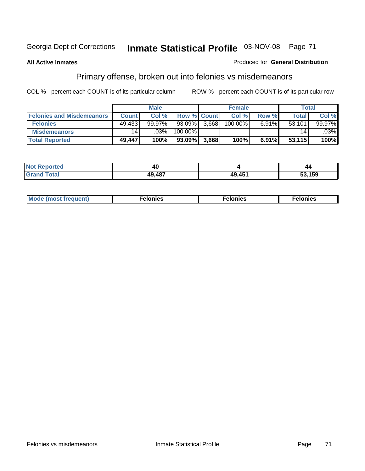### **All Active Inmates**

### Produced for **General Distribution**

# Primary offense, broken out into felonies vs misdemeanors

|                                  |                 | <b>Male</b> |                    |       | <b>Female</b> |       | Total  |         |
|----------------------------------|-----------------|-------------|--------------------|-------|---------------|-------|--------|---------|
| <b>Felonies and Misdemeanors</b> | <b>Count</b>    | Col%        | <b>Row % Count</b> |       | Col%          | Row % | Total  | Col %   |
| <b>Felonies</b>                  | 49,433          | $99.97\%$   | $93.09\%$          | 3,668 | 100.00%       | 6.91% | 53,101 | 99.97%  |
| <b>Misdemeanors</b>              | 14 <sub>1</sub> | $.03\%$     | 100.00%            |       |               |       | 14     | $.03\%$ |
| <b>Total Reported</b>            | 49,447          | 100%        | 93.09%             | 3,668 | 100%          | 6.91% | 53,115 | 100%    |

| <b>Not</b><br>Reported | 4L  |                       | 44     |
|------------------------|-----|-----------------------|--------|
| <b>Gran</b><br>⊺otaì   | 107 | AB <sub>4</sub><br>10 | 53,159 |

| Mode (most frequent) | elonies | elonies | onies<br>-е к |
|----------------------|---------|---------|---------------|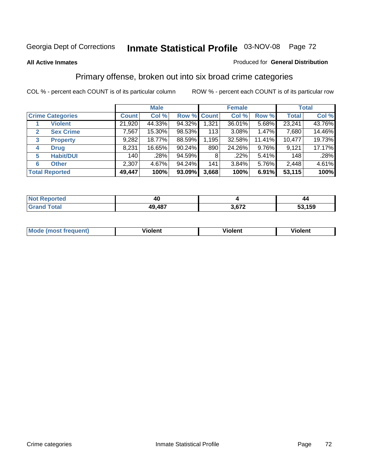### **All Active Inmates**

### Produced for **General Distribution**

## Primary offense, broken out into six broad crime categories

|                                  |              | <b>Male</b> |             |       | <b>Female</b> |          |              | <b>Total</b> |
|----------------------------------|--------------|-------------|-------------|-------|---------------|----------|--------------|--------------|
| <b>Crime Categories</b>          | <b>Count</b> | Col %       | Row % Count |       | Col %         | Row %    | <b>Total</b> | Col %        |
| <b>Violent</b>                   | 21,920       | 44.33%      | 94.32%      | 1,321 | 36.01%        | 5.68%    | 23,241       | 43.76%       |
| <b>Sex Crime</b><br>$\mathbf{2}$ | 7,567        | 15.30%      | 98.53%      | 113   | 3.08%         | 1.47%    | 7,680        | 14.46%       |
| $\mathbf{3}$<br><b>Property</b>  | 9,282        | 18.77%      | 88.59%      | 1,195 | 32.58%        | 11.41%   | 10,477       | 19.73%       |
| <b>Drug</b><br>4                 | 8,231        | 16.65%      | $90.24\%$   | 890   | 24.26%        | $9.76\%$ | 9,121        | 17.17%       |
| <b>Habit/DUI</b><br>5            | 140          | .28%        | 94.59%      | 8     | .22%          | 5.41%    | 148          | .28%         |
| <b>Other</b><br>6                | 2,307        | 4.67%       | 94.24%      | 141   | 3.84%         | 5.76%    | 2,448        | 4.61%        |
| <b>Total Reported</b>            | 49,447       | 100%        | 93.09%      | 3,668 | 100%          | 6.91%    | 53,115       | 100%         |

| reo<br>N | 40     |        | 44          |  |
|----------|--------|--------|-------------|--|
|          | 49,487 | $\sim$ | .159<br>- - |  |

| <b>Mou</b> | .<br>วient | วlent | ent |
|------------|------------|-------|-----|
|            |            |       |     |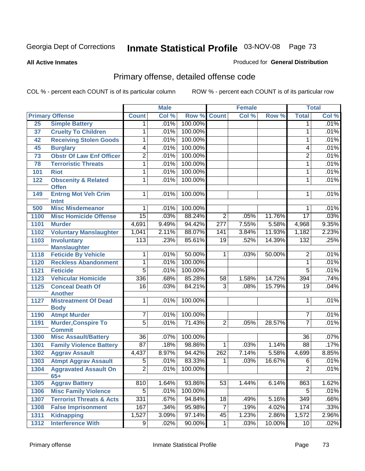#### **All Active Inmates**

#### Produced for **General Distribution**

# Primary offense, detailed offense code

|                 |                                                |                  | <b>Male</b> |         |                  | <b>Female</b> |        |                  | <b>Total</b> |
|-----------------|------------------------------------------------|------------------|-------------|---------|------------------|---------------|--------|------------------|--------------|
|                 | <b>Primary Offense</b>                         | <b>Count</b>     | Col %       | Row %   | <b>Count</b>     | Col %         | Row %  | <b>Total</b>     | Col %        |
| 25              | <b>Simple Battery</b>                          | $\mathbf 1$      | .01%        | 100.00% |                  |               |        | $\mathbf 1$      | .01%         |
| 37              | <b>Cruelty To Children</b>                     | 1                | .01%        | 100.00% |                  |               |        | 1                | .01%         |
| 42              | <b>Receiving Stolen Goods</b>                  | 1                | .01%        | 100.00% |                  |               |        | 1                | .01%         |
| 45              | <b>Burglary</b>                                | $\overline{4}$   | .01%        | 100.00% |                  |               |        | 4                | .01%         |
| $\overline{73}$ | <b>Obstr Of Law Enf Officer</b>                | $\overline{2}$   | .01%        | 100.00% |                  |               |        | $\overline{2}$   | .01%         |
| 78              | <b>Terroristic Threats</b>                     | 1                | .01%        | 100.00% |                  |               |        | 1                | .01%         |
| 101             | <b>Riot</b>                                    | 1                | .01%        | 100.00% |                  |               |        | 1                | .01%         |
| 122             | <b>Obscenity &amp; Related</b><br><b>Offen</b> | $\overline{1}$   | .01%        | 100.00% |                  |               |        | 1                | .01%         |
| 149             | <b>Entrng Mot Veh Crim</b><br><b>Intnt</b>     | 1                | $.01\%$     | 100.00% |                  |               |        | 1                | .01%         |
| 500             | <b>Misc Misdemeanor</b>                        | 1                | .01%        | 100.00% |                  |               |        | 1                | .01%         |
| 1100            | <b>Misc Homicide Offense</b>                   | $\overline{15}$  | .03%        | 88.24%  | $\overline{2}$   | .05%          | 11.76% | $\overline{17}$  | .03%         |
| 1101            | <b>Murder</b>                                  | 4,691            | 9.49%       | 94.42%  | $\overline{277}$ | 7.55%         | 5.58%  | 4,968            | 9.35%        |
| 1102            | <b>Voluntary Manslaughter</b>                  | 1,041            | 2.11%       | 88.07%  | 141              | 3.84%         | 11.93% | 1,182            | 2.23%        |
| 1103            | <b>Involuntary</b>                             | $\overline{113}$ | .23%        | 85.61%  | $\overline{19}$  | .52%          | 14.39% | 132              | .25%         |
|                 | <b>Manslaughter</b>                            |                  |             |         |                  |               |        |                  |              |
| 1118            | <b>Feticide By Vehicle</b>                     | 1                | .01%        | 50.00%  | 1                | .03%          | 50.00% | $\overline{2}$   | .01%         |
| 1120            | <b>Reckless Abandonment</b>                    | 1                | .01%        | 100.00% |                  |               |        | $\overline{1}$   | .01%         |
| 1121            | <b>Feticide</b>                                | $\overline{5}$   | .01%        | 100.00% |                  |               |        | $\overline{5}$   | .01%         |
| 1123            | <b>Vehicular Homicide</b>                      | 336              | .68%        | 85.28%  | $\overline{58}$  | 1.58%         | 14.72% | 394              | .74%         |
| 1125            | <b>Conceal Death Of</b><br><b>Another</b>      | $\overline{16}$  | .03%        | 84.21%  | $\overline{3}$   | .08%          | 15.79% | 19               | .04%         |
| 1127            | <b>Mistreatment Of Dead</b><br><b>Body</b>     | $\mathbf{1}$     | .01%        | 100.00% |                  |               |        | 1                | .01%         |
| 1190            | <b>Atmpt Murder</b>                            | $\overline{7}$   | .01%        | 100.00% |                  |               |        | $\overline{7}$   | .01%         |
| 1191            | <b>Murder, Conspire To</b><br><b>Commit</b>    | $\overline{5}$   | .01%        | 71.43%  | $\overline{2}$   | .05%          | 28.57% | 7                | .01%         |
| 1300            | <b>Misc Assault/Battery</b>                    | $\overline{36}$  | .07%        | 100.00% |                  |               |        | $\overline{36}$  | .07%         |
| 1301            | <b>Family Violence Battery</b>                 | $\overline{87}$  | .18%        | 98.86%  | $\mathbf{1}$     | .03%          | 1.14%  | $\overline{88}$  | .17%         |
| 1302            | <b>Aggrav Assault</b>                          | 4,437            | 8.97%       | 94.42%  | 262              | 7.14%         | 5.58%  | 4,699            | 8.85%        |
| 1303            | <b>Atmpt Aggrav Assault</b>                    | $\overline{5}$   | .01%        | 83.33%  | 1                | .03%          | 16.67% | $\overline{6}$   | .01%         |
| 1304            | <b>Aggravated Assault On</b><br>$65+$          | $\overline{2}$   | .01%        | 100.00% |                  |               |        | $\overline{2}$   | .01%         |
| 1305            | <b>Aggrav Battery</b>                          | 810              | 1.64%       | 93.86%  | $\overline{53}$  | 1.44%         | 6.14%  | 863              | 1.62%        |
| 1306            | <b>Misc Family Violence</b>                    | $\overline{5}$   | .01%        | 100.00% |                  |               |        | $\overline{5}$   | .01%         |
| 1307            | <b>Terrorist Threats &amp; Acts</b>            | 331              | .67%        | 94.84%  | 18               | .49%          | 5.16%  | $\overline{349}$ | .66%         |
| 1308            | <b>False Imprisonment</b>                      | 167              | .34%        | 95.98%  | $\overline{7}$   | .19%          | 4.02%  | 174              | .33%         |
| 1311            | Kidnapping                                     | 1,527            | 3.09%       | 97.14%  | 45               | 1.23%         | 2.86%  | 1,572            | 2.96%        |
| 1312            | <b>Interference With</b>                       | $\overline{9}$   | .02%        | 90.00%  | $\overline{1}$   | .03%          | 10.00% | 10               | .02%         |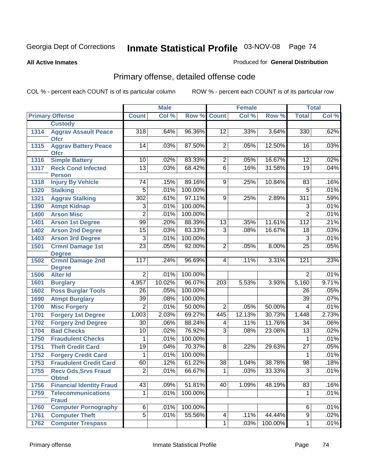#### **All Active Inmates**

#### Produced for **General Distribution**

# Primary offense, detailed offense code

|      |                                            |                 | <b>Male</b> |         |                 | <b>Female</b> |         |                 | <b>Total</b> |
|------|--------------------------------------------|-----------------|-------------|---------|-----------------|---------------|---------|-----------------|--------------|
|      | <b>Primary Offense</b>                     | <b>Count</b>    | Col %       | Row %   | <b>Count</b>    | Col %         | Row %   | <b>Total</b>    | Col %        |
|      | <b>Custody</b>                             |                 |             |         |                 |               |         |                 |              |
| 1314 | <b>Aggrav Assault Peace</b><br><b>Ofcr</b> | 318             | .64%        | 96.36%  | 12              | .33%          | 3.64%   | 330             | .62%         |
| 1315 | <b>Aggrav Battery Peace</b><br><b>Ofcr</b> | 14              | .03%        | 87.50%  | $\overline{2}$  | .05%          | 12.50%  | 16              | .03%         |
| 1316 | <b>Simple Battery</b>                      | 10              | .02%        | 83.33%  | $\overline{2}$  | .05%          | 16.67%  | 12              | .02%         |
| 1317 | <b>Reck Cond Infected</b>                  | $\overline{13}$ | .03%        | 68.42%  | $\overline{6}$  | .16%          | 31.58%  | 19              | .04%         |
|      | <b>Person</b>                              |                 |             |         |                 |               |         |                 |              |
| 1318 | <b>Injury By Vehicle</b>                   | $\overline{74}$ | .15%        | 89.16%  | $\overline{9}$  | .25%          | 10.84%  | 83              | .16%         |
| 1320 | <b>Stalking</b>                            | 5               | .01%        | 100.00% |                 |               |         | $\overline{5}$  | .01%         |
| 1321 | <b>Aggrav Stalking</b>                     | 302             | .61%        | 97.11%  | $\overline{9}$  | .25%          | 2.89%   | 311             | .59%         |
| 1390 | <b>Atmpt Kidnap</b>                        | $\overline{3}$  | .01%        | 100.00% |                 |               |         | $\overline{3}$  | .01%         |
| 1400 | <b>Arson Misc</b>                          | $\overline{2}$  | .01%        | 100.00% |                 |               |         | $\overline{2}$  | .01%         |
| 1401 | <b>Arson 1st Degree</b>                    | 99              | .20%        | 88.39%  | $\overline{13}$ | .35%          | 11.61%  | 112             | .21%         |
| 1402 | <b>Arson 2nd Degree</b>                    | $\overline{15}$ | .03%        | 83.33%  | $\overline{3}$  | .08%          | 16.67%  | $\overline{18}$ | .03%         |
| 1403 | <b>Arson 3rd Degree</b>                    | $\overline{3}$  | .01%        | 100.00% |                 |               |         | $\overline{3}$  | .01%         |
| 1501 | <b>Crmnl Damage 1st</b>                    | $\overline{23}$ | .05%        | 92.00%  | $\overline{2}$  | .05%          | 8.00%   | $\overline{25}$ | .05%         |
|      | <b>Degree</b>                              |                 |             |         |                 |               |         |                 |              |
| 1502 | <b>Crmnl Damage 2nd</b><br><b>Degree</b>   | 117             | .24%        | 96.69%  | 4               | .11%          | 3.31%   | 121             | .23%         |
| 1506 | <b>Alter Id</b>                            | $\overline{2}$  | .01%        | 100.00% |                 |               |         | $\overline{2}$  | .01%         |
| 1601 | <b>Burglary</b>                            | 4,957           | 10.02%      | 96.07%  | 203             | 5.53%         | 3.93%   | 5,160           | 9.71%        |
| 1602 | <b>Poss Burglar Tools</b>                  | 26              | .05%        | 100.00% |                 |               |         | 26              | .05%         |
| 1690 | <b>Atmpt Burglary</b>                      | 39              | .08%        | 100.00% |                 |               |         | $\overline{39}$ | .07%         |
| 1700 | <b>Misc Forgery</b>                        | $\overline{2}$  | .01%        | 50.00%  | $\overline{2}$  | .05%          | 50.00%  | $\overline{4}$  | .01%         |
| 1701 | <b>Forgery 1st Degree</b>                  | 1,003           | 2.03%       | 69.27%  | 445             | 12.13%        | 30.73%  | 1,448           | 2.73%        |
| 1702 | <b>Forgery 2nd Degree</b>                  | 30              | .06%        | 88.24%  | 4               | .11%          | 11.76%  | 34              | .06%         |
| 1704 | <b>Bad Checks</b>                          | 10              | .02%        | 76.92%  | $\overline{3}$  | .08%          | 23.08%  | $\overline{13}$ | .02%         |
| 1750 | <b>Fraudulent Checks</b>                   | 1               | .01%        | 100.00% |                 |               |         | 1               | .01%         |
| 1751 | <b>Theft Credit Card</b>                   | 19              | .04%        | 70.37%  | $\overline{8}$  | .22%          | 29.63%  | $\overline{27}$ | .05%         |
| 1752 | <b>Forgery Credit Card</b>                 | 1               | .01%        | 100.00% |                 |               |         | 1               | .01%         |
| 1753 | <b>Fraudulent Credit Card</b>              | 60              | .12%        | 61.22%  | $\overline{38}$ | 1.04%         | 38.78%  | 98              | .18%         |
| 1755 | <b>Recv Gds, Srvs Fraud</b>                | $\overline{2}$  | .01%        | 66.67%  | $\mathbf 1$     | .03%          | 33.33%  | $\overline{3}$  | .01%         |
|      | <b>Obtnd</b>                               |                 |             |         |                 |               |         |                 |              |
| 1756 | <b>Financial Identity Fraud</b>            | 43              | .09%        | 51.81%  | 40              | 1.09%         | 48.19%  | $\overline{83}$ | .16%         |
| 1759 | <b>Telecommunications</b><br><b>Fraud</b>  | 1               | .01%        | 100.00% |                 |               |         | 1               | .01%         |
| 1760 | <b>Computer Pornography</b>                | $\overline{6}$  | .01%        | 100.00% |                 |               |         | 6               | .01%         |
| 1761 | <b>Computer Theft</b>                      | $\overline{5}$  | .01%        | 55.56%  | 4               | .11%          | 44.44%  | $\overline{9}$  | .02%         |
| 1762 | <b>Computer Trespass</b>                   |                 |             |         | $\overline{1}$  | .03%          | 100.00% | $\mathbf{1}$    | .01%         |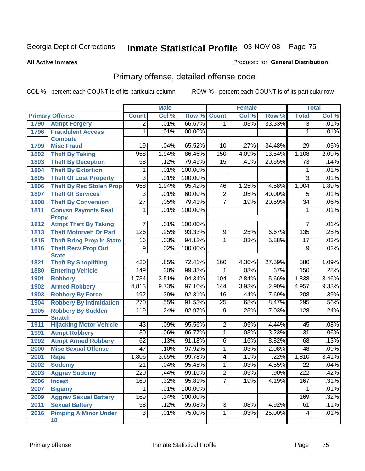#### **All Active Inmates**

#### Produced for **General Distribution**

# Primary offense, detailed offense code

|      |                                    |                 | <b>Male</b> |         |                 | <b>Female</b> |        |                 | <b>Total</b> |
|------|------------------------------------|-----------------|-------------|---------|-----------------|---------------|--------|-----------------|--------------|
|      | <b>Primary Offense</b>             | <b>Count</b>    | Col %       | Row %   | <b>Count</b>    | Col %         | Row %  | <b>Total</b>    | Col %        |
| 1790 | <b>Atmpt Forgery</b>               | $\overline{2}$  | .01%        | 66.67%  | $\mathbf{1}$    | .03%          | 33.33% | $\overline{3}$  | .01%         |
| 1796 | <b>Fraudulent Access</b>           | $\overline{1}$  | .01%        | 100.00% |                 |               |        | 1               | .01%         |
|      | <b>Compute</b>                     |                 |             |         |                 |               |        |                 |              |
| 1799 | <b>Misc Fraud</b>                  | 19              | .04%        | 65.52%  | 10              | .27%          | 34.48% | 29              | .05%         |
| 1802 | <b>Theft By Taking</b>             | 958             | 1.94%       | 86.46%  | 150             | 4.09%         | 13.54% | 1,108           | 2.09%        |
| 1803 | <b>Theft By Deception</b>          | 58              | .12%        | 79.45%  | $\overline{15}$ | .41%          | 20.55% | 73              | .14%         |
| 1804 | <b>Theft By Extortion</b>          | 1               | .01%        | 100.00% |                 |               |        | 1               | .01%         |
| 1805 | <b>Theft Of Lost Property</b>      | $\overline{3}$  | .01%        | 100.00% |                 |               |        | $\overline{3}$  | .01%         |
| 1806 | <b>Theft By Rec Stolen Prop</b>    | 958             | 1.94%       | 95.42%  | 46              | 1.25%         | 4.58%  | 1,004           | 1.89%        |
| 1807 | <b>Theft Of Services</b>           | 3               | .01%        | 60.00%  | $\overline{2}$  | .05%          | 40.00% | 5               | .01%         |
| 1808 | <b>Theft By Conversion</b>         | $\overline{27}$ | .05%        | 79.41%  | $\overline{7}$  | .19%          | 20.59% | $\overline{34}$ | .06%         |
| 1811 | <b>Convsn Paymnts Real</b>         | 1               | .01%        | 100.00% |                 |               |        | 1               | .01%         |
|      | <b>Propy</b>                       |                 |             |         |                 |               |        |                 |              |
| 1812 | <b>Atmpt Theft By Taking</b>       | $\overline{7}$  | .01%        | 100.00% |                 |               |        | 7               | .01%         |
| 1813 | <b>Theft Motorveh Or Part</b>      | 126             | .25%        | 93.33%  | $\overline{9}$  | .25%          | 6.67%  | 135             | .25%         |
| 1815 | <b>Theft Bring Prop In State</b>   | 16              | .03%        | 94.12%  | 1               | .03%          | 5.88%  | 17              | .03%         |
| 1816 | <b>Theft Recv Prop Out</b>         | $\overline{9}$  | .02%        | 100.00% |                 |               |        | $\overline{9}$  | .02%         |
|      | <b>State</b>                       |                 |             |         |                 |               |        |                 |              |
| 1821 | <b>Theft By Shoplifting</b>        | 420             | .85%        | 72.41%  | 160             | 4.36%         | 27.59% | 580             | 1.09%        |
| 1880 | <b>Entering Vehicle</b>            | 149             | .30%        | 99.33%  | 1               | .03%          | .67%   | 150             | .28%         |
| 1901 | <b>Robbery</b>                     | 1,734           | 3.51%       | 94.34%  | 104             | 2.84%         | 5.66%  | 1,838           | 3.46%        |
| 1902 | <b>Armed Robbery</b>               | 4,813           | 9.73%       | 97.10%  | 144             | 3.93%         | 2.90%  | 4,957           | 9.33%        |
| 1903 | <b>Robbery By Force</b>            | 192             | .39%        | 92.31%  | $\overline{16}$ | .44%          | 7.69%  | 208             | .39%         |
| 1904 | <b>Robbery By Intimidation</b>     | 270             | .55%        | 91.53%  | $\overline{25}$ | .68%          | 8.47%  | 295             | .56%         |
| 1905 | <b>Robbery By Sudden</b>           | 119             | .24%        | 92.97%  | $\overline{9}$  | .25%          | 7.03%  | 128             | .24%         |
|      | <b>Snatch</b>                      |                 |             |         |                 |               |        |                 |              |
| 1911 | <b>Hijacking Motor Vehicle</b>     | $\overline{43}$ | .09%        | 95.56%  | $\overline{2}$  | .05%          | 4.44%  | 45              | .08%         |
| 1991 | <b>Atmpt Robbery</b>               | $\overline{30}$ | .06%        | 96.77%  | 1               | .03%          | 3.23%  | $\overline{31}$ | .06%         |
| 1992 | <b>Atmpt Armed Robbery</b>         | 62              | .13%        | 91.18%  | $\overline{6}$  | .16%          | 8.82%  | 68              | .13%         |
| 2000 | <b>Misc Sexual Offense</b>         | $\overline{47}$ | .10%        | 97.92%  | 1               | .03%          | 2.08%  | 48              | .09%         |
| 2001 | <b>Rape</b>                        | 1,806           | 3.65%       | 99.78%  | 4               | .11%          | .22%   | 1,810           | 3.41%        |
| 2002 | <b>Sodomy</b>                      | $\overline{21}$ | .04%        | 95.45%  | 1               | .03%          | 4.55%  | $\overline{22}$ | .04%         |
| 2003 | <b>Aggrav Sodomy</b>               | 220             | .44%        | 99.10%  | $\overline{c}$  | .05%          | .90%   | 222             | .42%         |
| 2006 | <b>Incest</b>                      | 160             | .32%        | 95.81%  | $\overline{7}$  | .19%          | 4.19%  | 167             | .31%         |
| 2007 | <b>Bigamy</b>                      | $\mathbf{1}$    | .01%        | 100.00% |                 |               |        | $\mathbf 1$     | .01%         |
| 2009 | <b>Aggrav Sexual Battery</b>       | 169             | .34%        | 100.00% |                 |               |        | 169             | .32%         |
| 2011 | <b>Sexual Battery</b>              | 58              | .12%        | 95.08%  | $\overline{3}$  | .08%          | 4.92%  | 61              | .11%         |
| 2016 | <b>Pimping A Minor Under</b><br>18 | $\overline{3}$  | .01%        | 75.00%  | $\overline{1}$  | .03%          | 25.00% | $\overline{4}$  | .01%         |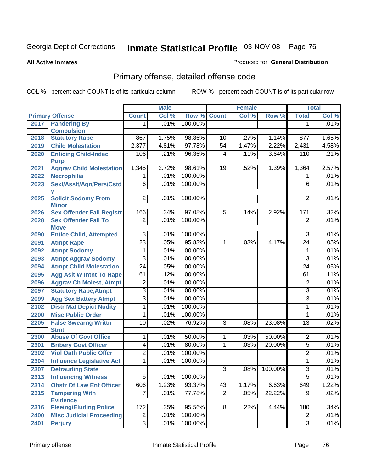#### **All Active Inmates**

### Produced for **General Distribution**

# Primary offense, detailed offense code

|      |                                  |                 | <b>Male</b> |         |                | Female  |         |                  | <b>Total</b> |
|------|----------------------------------|-----------------|-------------|---------|----------------|---------|---------|------------------|--------------|
|      | <b>Primary Offense</b>           | <b>Count</b>    | Col %       | Row %   | <b>Count</b>   | Col %   | Row %   | <b>Total</b>     | Col %        |
| 2017 | <b>Pandering By</b>              | 1.              | .01%        | 100.00% |                |         |         | 1                | .01%         |
|      | <b>Compulsion</b>                |                 |             |         |                |         |         |                  |              |
| 2018 | <b>Statutory Rape</b>            | 867             | 1.75%       | 98.86%  | 10             | .27%    | 1.14%   | $\overline{877}$ | 1.65%        |
| 2019 | <b>Child Molestation</b>         | 2,377           | 4.81%       | 97.78%  | 54             | 1.47%   | 2.22%   | 2,431            | 4.58%        |
| 2020 | <b>Enticing Child-Indec</b>      | 106             | .21%        | 96.36%  | 4              | .11%    | 3.64%   | 110              | .21%         |
|      | <b>Purp</b>                      |                 |             |         |                |         |         |                  |              |
| 2021 | <b>Aggrav Child Molestation</b>  | 1,345           | 2.72%       | 98.61%  | 19             | .52%    | 1.39%   | 1,364            | 2.57%        |
| 2022 | <b>Necrophilia</b>               | 1               | .01%        | 100.00% |                |         |         | 1                | .01%         |
| 2023 | Sexl/Asslt/Agn/Pers/Cstd         | $\overline{6}$  | .01%        | 100.00% |                |         |         | $\overline{6}$   | .01%         |
| 2025 | <b>Solicit Sodomy From</b>       | $\overline{2}$  | .01%        | 100.00% |                |         |         | 2                | .01%         |
|      | <b>Minor</b>                     |                 |             |         |                |         |         |                  |              |
| 2026 | <b>Sex Offender Fail Registr</b> | 166             | .34%        | 97.08%  | $\overline{5}$ | .14%    | 2.92%   | 171              | .32%         |
| 2028 | <b>Sex Offender Fail To</b>      | $\overline{2}$  | .01%        | 100.00% |                |         |         | $\overline{2}$   | .01%         |
|      | <b>Move</b>                      |                 |             |         |                |         |         |                  |              |
| 2090 | <b>Entice Child, Attempted</b>   | $\overline{3}$  | .01%        | 100.00% |                |         |         | 3                | .01%         |
| 2091 | <b>Atmpt Rape</b>                | $\overline{23}$ | .05%        | 95.83%  | 1              | .03%    | 4.17%   | $\overline{24}$  | .05%         |
| 2092 | <b>Atmpt Sodomy</b>              | 1               | .01%        | 100.00% |                |         |         | 1                | .01%         |
| 2093 | <b>Atmpt Aggrav Sodomy</b>       | 3               | .01%        | 100.00% |                |         |         | 3                | .01%         |
| 2094 | <b>Atmpt Child Molestation</b>   | $\overline{24}$ | .05%        | 100.00% |                |         |         | $\overline{24}$  | .05%         |
| 2095 | <b>Agg Aslt W Intnt To Rape</b>  | 61              | .12%        | 100.00% |                |         |         | 61               | .11%         |
| 2096 | <b>Aggrav Ch Molest, Atmpt</b>   | 2               | .01%        | 100.00% |                |         |         | 2                | .01%         |
| 2097 | <b>Statutory Rape, Atmpt</b>     | $\overline{3}$  | .01%        | 100.00% |                |         |         | 3                | .01%         |
| 2099 | <b>Agg Sex Battery Atmpt</b>     | $\overline{3}$  | .01%        | 100.00% |                |         |         | $\overline{3}$   | .01%         |
| 2102 | <b>Distr Mat Depict Nudity</b>   | 1               | .01%        | 100.00% |                |         |         | 1                | .01%         |
| 2200 | <b>Misc Public Order</b>         | 1               | .01%        | 100.00% |                |         |         | 1                | .01%         |
| 2205 | <b>False Swearng Writtn</b>      | 10              | .02%        | 76.92%  | 3              | .08%    | 23.08%  | 13               | .02%         |
|      | <b>Stmt</b>                      |                 |             |         |                |         |         |                  |              |
| 2300 | <b>Abuse Of Govt Office</b>      | 1               | .01%        | 50.00%  | 1              | .03%    | 50.00%  | $\overline{2}$   | .01%         |
| 2301 | <b>Bribery Govt Officer</b>      | $\overline{4}$  | .01%        | 80.00%  | $\mathbf{1}$   | .03%    | 20.00%  | $\overline{5}$   | .01%         |
| 2302 | <b>Viol Oath Public Offcr</b>    | $\overline{2}$  | .01%        | 100.00% |                |         |         | $\overline{2}$   | .01%         |
| 2304 | <b>Influence Legislative Act</b> | 1               | .01%        | 100.00% |                |         |         | 1                | .01%         |
| 2307 | <b>Defrauding State</b>          |                 |             |         | $\overline{3}$ | $.08\%$ | 100.00% | $\overline{3}$   | .01%         |
| 2313 | <b>Influencing Witness</b>       | $\overline{5}$  | .01%        | 100.00% |                |         |         | $\overline{5}$   | .01%         |
| 2314 | <b>Obstr Of Law Enf Officer</b>  | 606             | 1.23%       | 93.37%  | 43             | 1.17%   | 6.63%   | 649              | 1.22%        |
| 2315 | <b>Tampering With</b>            | 7               | .01%        | 77.78%  | $\overline{2}$ | .05%    | 22.22%  | $\overline{9}$   | .02%         |
|      | <b>Evidence</b>                  |                 |             |         |                |         |         |                  |              |
| 2316 | <b>Fleeing/Eluding Police</b>    | 172             | .35%        | 95.56%  | 8              | .22%    | 4.44%   | 180              | .34%         |
| 2400 | <b>Misc Judicial Proceeding</b>  | $\overline{c}$  | .01%        | 100.00% |                |         |         | $\overline{c}$   | .01%         |
| 2401 | <b>Perjury</b>                   | $\overline{3}$  | .01%        | 100.00% |                |         |         | $\overline{3}$   | .01%         |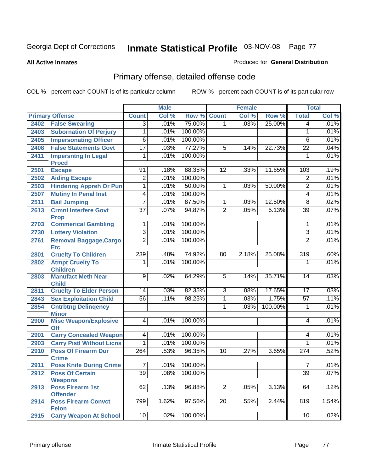**All Active Inmates**

#### Produced for **General Distribution**

# Primary offense, detailed offense code

|      |                                            |                  | <b>Male</b> |         |                 | <b>Female</b> |         |                  | <b>Total</b> |
|------|--------------------------------------------|------------------|-------------|---------|-----------------|---------------|---------|------------------|--------------|
|      | <b>Primary Offense</b>                     | <b>Count</b>     | Col %       | Row %   | <b>Count</b>    | Col %         | Row %   | <b>Total</b>     | Col %        |
| 2402 | <b>False Swearing</b>                      | $\overline{3}$   | .01%        | 75.00%  | 1 <sup>1</sup>  | .03%          | 25.00%  | 4                | .01%         |
| 2403 | <b>Subornation Of Perjury</b>              | 1                | .01%        | 100.00% |                 |               |         | 1                | .01%         |
| 2405 | <b>Impersonating Officer</b>               | $\overline{6}$   | .01%        | 100.00% |                 |               |         | 6                | .01%         |
| 2408 | <b>False Statements Govt</b>               | $\overline{17}$  | .03%        | 77.27%  | $\overline{5}$  | .14%          | 22.73%  | $\overline{22}$  | .04%         |
| 2411 | <b>Impersntng In Legal</b>                 | 1                | .01%        | 100.00% |                 |               |         | 1                | .01%         |
|      | <b>Procd</b>                               |                  |             |         |                 |               |         |                  |              |
| 2501 | <b>Escape</b>                              | 91               | .18%        | 88.35%  | $\overline{12}$ | .33%          | 11.65%  | 103              | .19%         |
| 2502 | <b>Aiding Escape</b>                       | $\overline{2}$   | .01%        | 100.00% |                 |               |         | $\overline{2}$   | .01%         |
| 2503 | <b>Hindering Appreh Or Pun</b>             | $\overline{1}$   | .01%        | 50.00%  | 1               | .03%          | 50.00%  | $\overline{2}$   | .01%         |
| 2507 | <b>Mutiny In Penal Inst</b>                | $\overline{4}$   | .01%        | 100.00% |                 |               |         | 4                | .01%         |
| 2511 | <b>Bail Jumping</b>                        | $\overline{7}$   | .01%        | 87.50%  | $\mathbf{1}$    | .03%          | 12.50%  | $\overline{8}$   | .02%         |
| 2613 | <b>Crmnl Interfere Govt</b>                | $\overline{37}$  | .07%        | 94.87%  | $\overline{2}$  | .05%          | 5.13%   | $\overline{39}$  | .07%         |
|      | <b>Prop</b>                                |                  |             |         |                 |               |         |                  |              |
| 2703 | <b>Commerical Gambling</b>                 | 1                | .01%        | 100.00% |                 |               |         | 1                | .01%         |
| 2730 | <b>Lottery Violation</b>                   | $\overline{3}$   | .01%        | 100.00% |                 |               |         | $\overline{3}$   | .01%         |
| 2761 | <b>Removal Baggage, Cargo</b>              | $\overline{2}$   | .01%        | 100.00% |                 |               |         | $\overline{2}$   | .01%         |
|      | <b>Etc</b><br><b>Cruelty To Children</b>   | 239              | .48%        | 74.92%  | 80              |               | 25.08%  | 319              | .60%         |
| 2801 |                                            |                  | .01%        | 100.00% |                 | 2.18%         |         | 1                | .01%         |
| 2802 | <b>Atmpt Cruelty To</b><br><b>Children</b> | 1                |             |         |                 |               |         |                  |              |
| 2803 | <b>Manufact Meth Near</b>                  | $\overline{9}$   | .02%        | 64.29%  | $\overline{5}$  | .14%          | 35.71%  | 14               | .03%         |
|      | <b>Child</b>                               |                  |             |         |                 |               |         |                  |              |
| 2811 | <b>Cruelty To Elder Person</b>             | $\overline{14}$  | .03%        | 82.35%  | $\overline{3}$  | .08%          | 17.65%  | 17               | .03%         |
| 2843 | <b>Sex Exploitation Child</b>              | $\overline{56}$  | .11%        | 98.25%  | $\mathbf 1$     | .03%          | 1.75%   | $\overline{57}$  | .11%         |
| 2854 | <b>Cntrbtng Delingency</b>                 |                  |             |         | 1               | .03%          | 100.00% | 1                | .01%         |
|      | <b>Minor</b>                               |                  |             |         |                 |               |         |                  |              |
| 2900 | <b>Misc Weapon/Explosive</b>               | $\overline{4}$   | .01%        | 100.00% |                 |               |         | 4                | .01%         |
|      | <b>Off</b>                                 |                  |             |         |                 |               |         |                  |              |
| 2901 | <b>Carry Concealed Weapon</b>              | $\overline{4}$   | .01%        | 100.00% |                 |               |         | 4                | .01%         |
| 2903 | <b>Carry Pistl Without Licns</b>           | 1                | .01%        | 100.00% |                 |               |         | 1                | .01%         |
| 2910 | <b>Poss Of Firearm Dur</b>                 | $\overline{264}$ | .53%        | 96.35%  | $\overline{10}$ | .27%          | 3.65%   | $\overline{274}$ | .52%         |
|      | <b>Crime</b>                               |                  |             | 100.00% |                 |               |         |                  |              |
| 2911 | <b>Poss Knife During Crime</b>             | $\overline{7}$   | .01%        |         |                 |               |         | 7                | .01%         |
| 2912 | <b>Poss Of Certain</b>                     | 39               | .08%        | 100.00% |                 |               |         | 39               | .07%         |
| 2913 | <b>Weapons</b><br><b>Poss Firearm 1st</b>  | 62               | .13%        | 96.88%  | $\overline{2}$  | .05%          | 3.13%   | 64               | .12%         |
|      | <b>Offender</b>                            |                  |             |         |                 |               |         |                  |              |
| 2914 | <b>Poss Firearm Convct</b>                 | 799              | 1.62%       | 97.56%  | $\overline{20}$ | .55%          | 2.44%   | 819              | 1.54%        |
|      | <b>Felon</b>                               |                  |             |         |                 |               |         |                  |              |
| 2915 | <b>Carry Weapon At School</b>              | 10               | .02%        | 100.00% |                 |               |         | 10               | .02%         |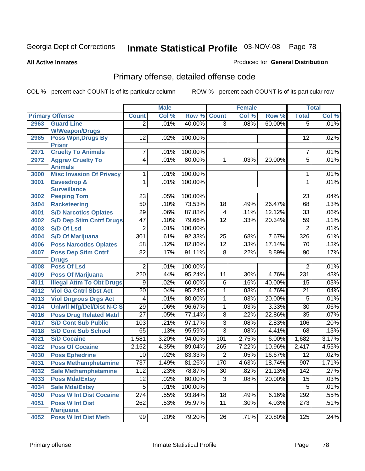**All Active Inmates**

#### Produced for **General Distribution**

# Primary offense, detailed offense code

|      |                                            |                  | <b>Male</b> |         |                 | <b>Female</b> |        |                  | <b>Total</b> |
|------|--------------------------------------------|------------------|-------------|---------|-----------------|---------------|--------|------------------|--------------|
|      | <b>Primary Offense</b>                     | <b>Count</b>     | Col %       | Row %   | <b>Count</b>    | Col %         | Row %  | <b>Total</b>     | Col %        |
| 2963 | <b>Guard Line</b>                          | $\overline{2}$   | .01%        | 40.00%  | $\overline{3}$  | .08%          | 60.00% | $\overline{5}$   | .01%         |
|      | <b>W/Weapon/Drugs</b>                      |                  |             |         |                 |               |        |                  |              |
| 2965 | <b>Poss Wpn, Drugs By</b>                  | $\overline{12}$  | .02%        | 100.00% |                 |               |        | 12               | .02%         |
| 2971 | <b>Prisnr</b><br><b>Cruelty To Animals</b> | 7                | .01%        | 100.00% |                 |               |        | 7                | .01%         |
| 2972 | <b>Aggrav Cruelty To</b>                   | $\overline{4}$   | .01%        | 80.00%  | 1               | .03%          | 20.00% | $\overline{5}$   | .01%         |
|      | <b>Animals</b>                             |                  |             |         |                 |               |        |                  |              |
| 3000 | <b>Misc Invasion Of Privacy</b>            | 1                | .01%        | 100.00% |                 |               |        | 1                | .01%         |
| 3001 | <b>Eavesdrop &amp;</b>                     | 1                | .01%        | 100.00% |                 |               |        | 1                | .01%         |
|      | <b>Surveillance</b>                        |                  |             |         |                 |               |        |                  |              |
| 3002 | <b>Peeping Tom</b>                         | $\overline{23}$  | .05%        | 100.00% |                 |               |        | 23               | .04%         |
| 3404 | <b>Racketeering</b>                        | $\overline{50}$  | .10%        | 73.53%  | $\overline{18}$ | .49%          | 26.47% | 68               | .13%         |
| 4001 | <b>S/D Narcotics Opiates</b>               | $\overline{29}$  | .06%        | 87.88%  | 4               | .11%          | 12.12% | $\overline{33}$  | .06%         |
| 4002 | <b>S/D Dep Stim Cntrf Drugs</b>            | $\overline{47}$  | .10%        | 79.66%  | $\overline{12}$ | .33%          | 20.34% | 59               | .11%         |
| 4003 | <b>S/D Of Lsd</b>                          | $\overline{2}$   | .01%        | 100.00% |                 |               |        | $\overline{2}$   | .01%         |
| 4004 | <b>S/D Of Marijuana</b>                    | 301              | .61%        | 92.33%  | $\overline{25}$ | .68%          | 7.67%  | 326              | .61%         |
| 4006 | <b>Poss Narcotics Opiates</b>              | $\overline{58}$  | .12%        | 82.86%  | $\overline{12}$ | .33%          | 17.14% | $\overline{70}$  | .13%         |
| 4007 | <b>Poss Dep Stim Cntrf</b>                 | $\overline{82}$  | .17%        | 91.11%  | $\overline{8}$  | .22%          | 8.89%  | 90               | .17%         |
|      | <b>Drugs</b>                               |                  |             |         |                 |               |        |                  |              |
| 4008 | <b>Poss Of Lsd</b>                         | $\overline{2}$   | .01%        | 100.00% |                 |               |        | 2                | .01%         |
| 4009 | <b>Poss Of Marijuana</b>                   | 220              | .44%        | 95.24%  | 11              | .30%          | 4.76%  | 231              | .43%         |
| 4011 | <b>Illegal Attm To Obt Drugs</b>           | 9                | .02%        | 60.00%  | 6               | .16%          | 40.00% | 15               | .03%         |
| 4012 | <b>Viol Ga Cntrl Sbst Act</b>              | $\overline{20}$  | .04%        | 95.24%  | 1               | .03%          | 4.76%  | 21               | .04%         |
| 4013 | <b>Viol Dngrous Drgs Act</b>               | $\overline{4}$   | .01%        | 80.00%  | 1               | .03%          | 20.00% | $\overline{5}$   | .01%         |
| 4014 | <b>Uniwfl Mfg/Del/Dist N-C S</b>           | 29               | .06%        | 96.67%  | $\overline{1}$  | .03%          | 3.33%  | $\overline{30}$  | .06%         |
| 4016 | <b>Poss Drug Related Matri</b>             | $\overline{27}$  | .05%        | 77.14%  | $\overline{8}$  | .22%          | 22.86% | $\overline{35}$  | .07%         |
| 4017 | <b>S/D Cont Sub Public</b>                 | 103              | .21%        | 97.17%  | 3               | .08%          | 2.83%  | 106              | .20%         |
| 4018 | <b>S/D Cont Sub School</b>                 | 65               | .13%        | 95.59%  | $\overline{3}$  | .08%          | 4.41%  | 68               | .13%         |
| 4021 | <b>S/D Cocaine</b>                         | 1,581            | 3.20%       | 94.00%  | 101             | 2.75%         | 6.00%  | 1,682            | 3.17%        |
| 4022 | <b>Poss Of Cocaine</b>                     | 2,152            | 4.35%       | 89.04%  | 265             | 7.22%         | 10.96% | 2,417            | 4.55%        |
| 4030 | <b>Poss Ephedrine</b>                      | $\overline{10}$  | .02%        | 83.33%  | $\overline{2}$  | .05%          | 16.67% | $\overline{12}$  | .02%         |
| 4031 | <b>Poss Methamphetamine</b>                | 737              | 1.49%       | 81.26%  | 170             | 4.63%         | 18.74% | $\overline{907}$ | 1.71%        |
| 4032 | <b>Sale Methamphetamine</b>                | 112              | .23%        | 78.87%  | $\overline{30}$ | .82%          | 21.13% | 142              | .27%         |
| 4033 | <b>Poss Mda/Extsy</b>                      | $\overline{12}$  | .02%        | 80.00%  | $\overline{3}$  | .08%          | 20.00% | 15               | .03%         |
| 4034 | <b>Sale Mda/Extsy</b>                      | $\overline{5}$   | .01%        | 100.00% |                 |               |        | 5                | .01%         |
| 4050 | <b>Poss W Int Dist Cocaine</b>             | 274              | .55%        | 93.84%  | $\overline{18}$ | .49%          | 6.16%  | 292              | .55%         |
| 4051 | <b>Poss W Int Dist</b>                     | $\overline{262}$ | .53%        | 95.97%  | $\overline{11}$ | .30%          | 4.03%  | 273              | .51%         |
|      | <b>Marijuana</b>                           |                  |             |         |                 |               |        |                  |              |
| 4052 | <b>Poss W Int Dist Meth</b>                | 99               | .20%        | 79.20%  | 26              | .71%          | 20.80% | 125              | .24%         |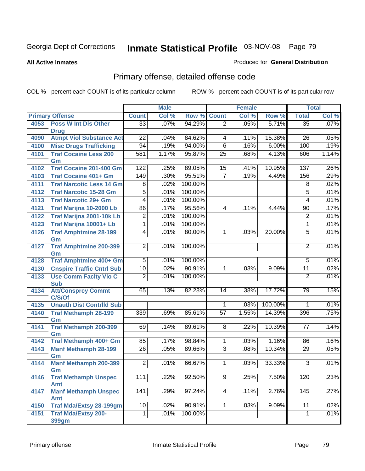#### **All Active Inmates**

### Produced for **General Distribution**

# Primary offense, detailed offense code

|      |                                           | <b>Male</b>     |       |         | <b>Female</b>   |       |         | <b>Total</b>    |       |
|------|-------------------------------------------|-----------------|-------|---------|-----------------|-------|---------|-----------------|-------|
|      | <b>Primary Offense</b>                    | <b>Count</b>    | Col % | Row %   | <b>Count</b>    | Col % | Row %   | <b>Total</b>    | Col % |
| 4053 | <b>Poss W Int Dis Other</b>               | $\overline{33}$ | .07%  | 94.29%  | $\overline{2}$  | .05%  | 5.71%   | $\overline{35}$ | .07%  |
|      | <b>Drug</b>                               |                 |       |         |                 |       |         |                 |       |
| 4090 | <b>Atmpt Viol Substance Act</b>           | $\overline{22}$ | .04%  | 84.62%  | 4               | .11%  | 15.38%  | $\overline{26}$ | .05%  |
| 4100 | <b>Misc Drugs Trafficking</b>             | 94              | .19%  | 94.00%  | $\overline{6}$  | .16%  | 6.00%   | 100             | .19%  |
| 4101 | <b>Traf Cocaine Less 200</b>              | 581             | 1.17% | 95.87%  | $\overline{25}$ | .68%  | 4.13%   | 606             | 1.14% |
|      | Gm                                        |                 |       |         |                 |       |         |                 |       |
| 4102 | <b>Traf Cocaine 201-400 Gm</b>            | 122             | .25%  | 89.05%  | 15              | .41%  | 10.95%  | 137             | .26%  |
| 4103 | <b>Traf Cocaine 401+ Gm</b>               | 149             | .30%  | 95.51%  | $\overline{7}$  | .19%  | 4.49%   | 156             | .29%  |
| 4111 | <b>Traf Narcotic Less 14 Gm</b>           | $\overline{8}$  | .02%  | 100.00% |                 |       |         | $\overline{8}$  | .02%  |
| 4112 | <b>Traf Narcotic 15-28 Gm</b>             | $\overline{5}$  | .01%  | 100.00% |                 |       |         | $\overline{5}$  | .01%  |
| 4113 | <b>Traf Narcotic 29+ Gm</b>               | 4               | .01%  | 100.00% |                 |       |         | 4               | .01%  |
| 4121 | Traf Marijna 10-2000 Lb                   | 86              | .17%  | 95.56%  | 4               | .11%  | 4.44%   | $\overline{90}$ | .17%  |
| 4122 | <b>Traf Marijna 2001-10k Lb</b>           | $\overline{2}$  | .01%  | 100.00% |                 |       |         | $\overline{2}$  | .01%  |
| 4123 | Traf Marijna 10001+ Lb                    | 1               | .01%  | 100.00% |                 |       |         | 1               | .01%  |
| 4126 | <b>Traf Amphtmine 28-199</b>              | 4               | .01%  | 80.00%  | 1               | .03%  | 20.00%  | $\overline{5}$  | .01%  |
|      | Gm                                        |                 |       |         |                 |       |         |                 |       |
| 4127 | <b>Traf Amphtmine 200-399</b>             | $\overline{2}$  | .01%  | 100.00% |                 |       |         | $\overline{2}$  | .01%  |
|      | Gm                                        |                 |       |         |                 |       |         |                 |       |
| 4128 | Traf Amphtmine 400+ Gm                    | 5               | .01%  | 100.00% |                 |       |         | 5               | .01%  |
| 4130 | <b>Cnspire Traffic Cntrl Sub</b>          | $\overline{10}$ | .02%  | 90.91%  | 1               | .03%  | 9.09%   | $\overline{11}$ | .02%  |
| 4133 | <b>Use Comm Facity Vio C</b>              | $\overline{2}$  | .01%  | 100.00% |                 |       |         | $\overline{2}$  | .01%  |
| 4134 | <b>Sub</b><br><b>Att/Consprcy Commt</b>   | 65              | .13%  | 82.28%  | 14              | .38%  | 17.72%  | 79              | .15%  |
|      | C/S/Of                                    |                 |       |         |                 |       |         |                 |       |
| 4135 | <b>Unauth Dist Contrild Sub</b>           |                 |       |         | 1               | .03%  | 100.00% | 1               | .01%  |
| 4140 | <b>Traf Methamph 28-199</b>               | 339             | .69%  | 85.61%  | $\overline{57}$ | 1.55% | 14.39%  | 396             | .75%  |
|      | Gm                                        |                 |       |         |                 |       |         |                 |       |
| 4141 | Traf Methamph 200-399                     | 69              | .14%  | 89.61%  | 8               | .22%  | 10.39%  | 77              | .14%  |
|      | Gm                                        |                 |       |         |                 |       |         |                 |       |
| 4142 | Traf Methamph 400+ Gm                     | 85              | .17%  | 98.84%  | 1               | .03%  | 1.16%   | 86              | .16%  |
| 4143 | <b>Manf Methamph 28-199</b>               | $\overline{26}$ | .05%  | 89.66%  | $\overline{3}$  | .08%  | 10.34%  | $\overline{29}$ | .05%  |
|      | Gm                                        |                 |       |         |                 |       |         |                 |       |
| 4144 | <b>Manf Methamph 200-399</b>              | $\overline{2}$  | .01%  | 66.67%  | 1               | .03%  | 33.33%  | $\overline{3}$  | .01%  |
|      | Gm                                        |                 |       |         |                 |       |         |                 |       |
| 4146 | <b>Traf Methamph Unspec</b><br><b>Amt</b> | 111             | .22%  | 92.50%  | $\overline{9}$  | .25%  | 7.50%   | 120             | .23%  |
| 4147 | <b>Manf Methamph Unspec</b>               | 141             | .29%  | 97.24%  | 4               | .11%  | 2.76%   | 145             | .27%  |
|      | <b>Amt</b>                                |                 |       |         |                 |       |         |                 |       |
| 4150 | <b>Traf Mda/Extsy 28-199gm</b>            | 10              | .02%  | 90.91%  | 1               | .03%  | 9.09%   | $\overline{11}$ | .02%  |
| 4151 | <b>Traf Mda/Extsy 200-</b>                | 1               | .01%  | 100.00% |                 |       |         | $\mathbf{1}$    | .01%  |
|      | 399gm                                     |                 |       |         |                 |       |         |                 |       |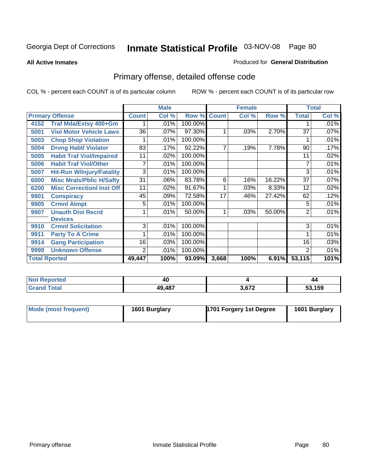**All Active Inmates**

### Produced for **General Distribution**

# Primary offense, detailed offense code

|                                          |                 | <b>Male</b> |         | <b>Female</b> |       |        | <b>Total</b> |       |
|------------------------------------------|-----------------|-------------|---------|---------------|-------|--------|--------------|-------|
| <b>Primary Offense</b>                   | <b>Count</b>    | Col %       | Row %   | <b>Count</b>  | Col % | Row %  | <b>Total</b> | Col % |
| <b>Traf Mda/Extsy 400+Gm</b><br>4152     |                 | .01%        | 100.00% |               |       |        |              | .01%  |
| <b>Viol Motor Vehicle Laws</b><br>5001   | 36              | .07%        | 97.30%  | 1             | .03%  | 2.70%  | 37           | .07%  |
| <b>Chop Shop Violation</b><br>5003       |                 | .01%        | 100.00% |               |       |        |              | .01%  |
| <b>Drvng Habtl Violator</b><br>5004      | 83              | .17%        | 92.22%  | 7             | .19%  | 7.78%  | 90           | .17%  |
| <b>Habit Traf Viol/Impaired</b><br>5005  | 11              | $.02\%$     | 100.00% |               |       |        | 11           | .02%  |
| <b>Habit Traf Viol/Other</b><br>5006     | 7               | .01%        | 100.00% |               |       |        | 7            | .01%  |
| <b>Hit-Run W/Injury/Fatality</b><br>5007 | 3               | .01%        | 100.00% |               |       |        | 3            | .01%  |
| <b>Misc Mrals/Pblic H/Safty</b><br>6000  | $3\overline{1}$ | .06%        | 83.78%  | 6             | .16%  | 16.22% | 37           | .07%  |
| <b>Misc Correctionl Inst Off</b><br>6200 | 11              | $.02\%$     | 91.67%  |               | .03%  | 8.33%  | 12           | .02%  |
| <b>Conspiracy</b><br>9901                | 45              | .09%        | 72.58%  | 17            | .46%  | 27.42% | 62           | .12%  |
| <b>Crmnl Atmpt</b><br>9905               | 5               | .01%        | 100.00% |               |       |        | 5            | .01%  |
| <b>Unauth Dist Recrd</b><br>9907         |                 | .01%        | 50.00%  | 1             | .03%  | 50.00% | 2            | .01%  |
| <b>Devices</b>                           |                 |             |         |               |       |        |              |       |
| <b>Crmnl Solicitation</b><br>9910        | 3               | .01%        | 100.00% |               |       |        | 3            | .01%  |
| <b>Party To A Crime</b><br>9911          |                 | .01%        | 100.00% |               |       |        |              | .01%  |
| <b>Gang Participation</b><br>9914        | 16              | .03%        | 100.00% |               |       |        | 16           | .03%  |
| <b>Unknown Offense</b><br>9999           | 2               | .01%        | 100.00% |               |       |        | 2            | .01%  |
| <b>Total Rported</b>                     | 49,447          | 100%        | 93.09%  | 3,668         | 100%  | 6.91%  | 53,115       | 101%  |

| Not<br><b>Reported</b> | 40     |    |        |
|------------------------|--------|----|--------|
| Гоtal<br><b>Grand</b>  | 49,487 | __ | 53,159 |

| Mode (most frequent) | 1601 Burglary | 1701 Forgery 1st Degree | 1601 Burglary |
|----------------------|---------------|-------------------------|---------------|
|----------------------|---------------|-------------------------|---------------|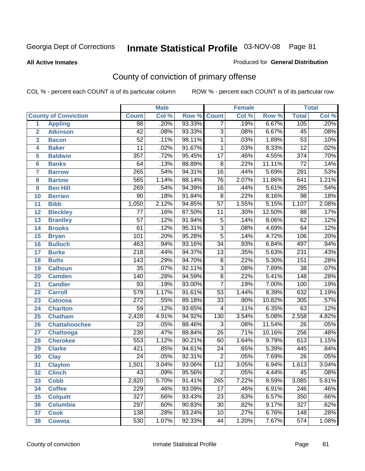#### **All Active Inmates**

#### Produced for **General Distribution**

# County of conviction of primary offense

|                 |                             |                  | <b>Male</b> |        | <b>Female</b>   |       |        | <b>Total</b>     |       |
|-----------------|-----------------------------|------------------|-------------|--------|-----------------|-------|--------|------------------|-------|
|                 | <b>County of Conviction</b> | <b>Count</b>     | Col %       | Row %  | <b>Count</b>    | Col % | Row %  | <b>Total</b>     | Col % |
| 1               | <b>Appling</b>              | $\overline{98}$  | .20%        | 93.33% | $\overline{7}$  | .19%  | 6.67%  | 105              | .20%  |
| $\overline{2}$  | <b>Atkinson</b>             | $\overline{42}$  | .08%        | 93.33% | $\overline{3}$  | .08%  | 6.67%  | 45               | .08%  |
| 3               | <b>Bacon</b>                | $\overline{52}$  | .11%        | 98.11% | 1               | .03%  | 1.89%  | $\overline{53}$  | .10%  |
| 4               | <b>Baker</b>                | 11               | .02%        | 91.67% | 1               | .03%  | 8.33%  | $\overline{12}$  | .02%  |
| 5               | <b>Baldwin</b>              | $\overline{357}$ | .72%        | 95.45% | $\overline{17}$ | .46%  | 4.55%  | $\overline{374}$ | .70%  |
| 6               | <b>Banks</b>                | 64               | .13%        | 88.89% | $\overline{8}$  | .22%  | 11.11% | $\overline{72}$  | .14%  |
| 7               | <b>Barrow</b>               | 265              | .54%        | 94.31% | 16              | .44%  | 5.69%  | 281              | .53%  |
| 8               | <b>Bartow</b>               | 565              | 1.14%       | 88.14% | $\overline{76}$ | 2.07% | 11.86% | 641              | 1.21% |
| 9               | <b>Ben Hill</b>             | 269              | .54%        | 94.39% | 16              | .44%  | 5.61%  | 285              | .54%  |
| 10              | <b>Berrien</b>              | 90               | .18%        | 91.84% | $\overline{8}$  | .22%  | 8.16%  | $\overline{98}$  | .18%  |
| 11              | <b>Bibb</b>                 | 1,050            | 2.12%       | 94.85% | $\overline{57}$ | 1.55% | 5.15%  | 1,107            | 2.08% |
| 12              | <b>Bleckley</b>             | 77               | .16%        | 87.50% | 11              | .30%  | 12.50% | 88               | .17%  |
| $\overline{13}$ | <b>Brantley</b>             | $\overline{57}$  | .12%        | 91.94% | $\overline{5}$  | .14%  | 8.06%  | 62               | .12%  |
| 14              | <b>Brooks</b>               | 61               | .12%        | 95.31% | $\overline{3}$  | .08%  | 4.69%  | 64               | .12%  |
| 15              | <b>Bryan</b>                | 101              | .20%        | 95.28% | $\overline{5}$  | .14%  | 4.72%  | 106              | .20%  |
| 16              | <b>Bulloch</b>              | 463              | .94%        | 93.16% | $\overline{34}$ | .93%  | 6.84%  | 497              | .94%  |
| 17              | <b>Burke</b>                | $\overline{218}$ | .44%        | 94.37% | $\overline{13}$ | .35%  | 5.63%  | $\overline{231}$ | .43%  |
| 18              | <b>Butts</b>                | 143              | .29%        | 94.70% | 8               | .22%  | 5.30%  | 151              | .28%  |
| 19              | <b>Calhoun</b>              | $\overline{35}$  | .07%        | 92.11% | $\overline{3}$  | .08%  | 7.89%  | $\overline{38}$  | .07%  |
| 20              | <b>Camden</b>               | 140              | .28%        | 94.59% | $\overline{8}$  | .22%  | 5.41%  | $\overline{148}$ | .28%  |
| 21              | <b>Candler</b>              | $\overline{93}$  | .19%        | 93.00% | $\overline{7}$  | .19%  | 7.00%  | 100              | .19%  |
| 22              | <b>Carroll</b>              | 579              | 1.17%       | 91.61% | $\overline{53}$ | 1.44% | 8.39%  | 632              | 1.19% |
| 23              | <b>Catoosa</b>              | $\overline{272}$ | .55%        | 89.18% | $\overline{33}$ | .90%  | 10.82% | 305              | .57%  |
| 24              | <b>Charlton</b>             | $\overline{59}$  | .12%        | 93.65% | 4               | .11%  | 6.35%  | 63               | .12%  |
| 25              | <b>Chatham</b>              | 2,428            | 4.91%       | 94.92% | 130             | 3.54% | 5.08%  | 2,558            | 4.82% |
| 26              | <b>Chattahoochee</b>        | $\overline{23}$  | .05%        | 88.46% | $\overline{3}$  | .08%  | 11.54% | $\overline{26}$  | .05%  |
| 27              | <b>Chattooga</b>            | $\overline{230}$ | .47%        | 89.84% | $\overline{26}$ | .71%  | 10.16% | 256              | .48%  |
| 28              | <b>Cherokee</b>             | 553              | 1.12%       | 90.21% | 60              | 1.64% | 9.79%  | 613              | 1.15% |
| 29              | <b>Clarke</b>               | 421              | .85%        | 94.61% | $\overline{24}$ | .65%  | 5.39%  | 445              | .84%  |
| 30              | <b>Clay</b>                 | $\overline{24}$  | .05%        | 92.31% | $\overline{2}$  | .05%  | 7.69%  | $\overline{26}$  | .05%  |
| 31              | <b>Clayton</b>              | 1,501            | 3.04%       | 93.06% | 112             | 3.05% | 6.94%  | 1,613            | 3.04% |
| 32              | <b>Clinch</b>               | 43               | .09%        | 95.56% | 2               | .05%  | 4.44%  | 45               | .08%  |
| 33              | <b>Cobb</b>                 | 2,820            | 5.70%       | 91.41% | 265             | 7.22% | 8.59%  | 3,085            | 5.81% |
| 34              | <b>Coffee</b>               | 229              | .46%        | 93.09% | 17              | .46%  | 6.91%  | 246              | .46%  |
| 35              | <b>Colquitt</b>             | 327              | .66%        | 93.43% | 23              | .63%  | 6.57%  | 350              | .66%  |
| 36              | <b>Columbia</b>             | 297              | .60%        | 90.83% | 30              | .82%  | 9.17%  | $\overline{327}$ | .62%  |
| 37              | <b>Cook</b>                 | 138              | .28%        | 93.24% | 10              | .27%  | 6.76%  | 148              | .28%  |
| 38              | <b>Coweta</b>               | 530              | 1.07%       | 92.33% | 44              | 1.20% | 7.67%  | 574              | 1.08% |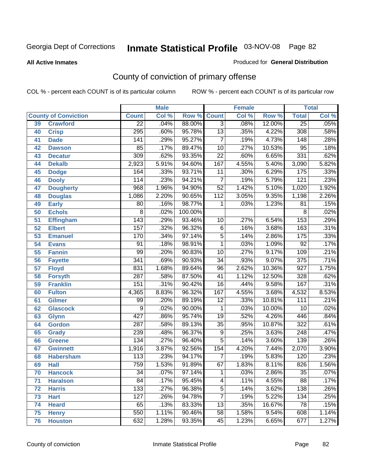#### **All Active Inmates**

#### Produced for **General Distribution**

# County of conviction of primary offense

|                 |                             |                  | <b>Male</b> |         | <b>Female</b>   |       |        | <b>Total</b>     |       |
|-----------------|-----------------------------|------------------|-------------|---------|-----------------|-------|--------|------------------|-------|
|                 | <b>County of Conviction</b> | <b>Count</b>     | Col %       | Row %   | <b>Count</b>    | Col % | Row %  | <b>Total</b>     | Col % |
| 39              | <b>Crawford</b>             | $\overline{22}$  | .04%        | 88.00%  | $\overline{3}$  | .08%  | 12.00% | $\overline{25}$  | .05%  |
| 40              | <b>Crisp</b>                | 295              | .60%        | 95.78%  | $\overline{13}$ | .35%  | 4.22%  | 308              | .58%  |
| 41              | <b>Dade</b>                 | 141              | .29%        | 95.27%  | $\overline{7}$  | .19%  | 4.73%  | 148              | .28%  |
| 42              | <b>Dawson</b>               | 85               | .17%        | 89.47%  | $\overline{10}$ | .27%  | 10.53% | $\overline{95}$  | .18%  |
| 43              | <b>Decatur</b>              | 309              | .62%        | 93.35%  | $\overline{22}$ | .60%  | 6.65%  | 331              | .62%  |
| 44              | <b>Dekalb</b>               | 2,923            | 5.91%       | 94.60%  | 167             | 4.55% | 5.40%  | 3,090            | 5.82% |
| 45              | <b>Dodge</b>                | 164              | .33%        | 93.71%  | $\overline{11}$ | .30%  | 6.29%  | 175              | .33%  |
| 46              | <b>Dooly</b>                | 114              | .23%        | 94.21%  | $\overline{7}$  | .19%  | 5.79%  | $\overline{121}$ | .23%  |
| 47              | <b>Dougherty</b>            | 968              | 1.96%       | 94.90%  | $\overline{52}$ | 1.42% | 5.10%  | 1,020            | 1.92% |
| 48              | <b>Douglas</b>              | 1,086            | 2.20%       | 90.65%  | 112             | 3.05% | 9.35%  | 1,198            | 2.26% |
| 49              | <b>Early</b>                | 80               | .16%        | 98.77%  | 1               | .03%  | 1.23%  | 81               | .15%  |
| 50              | <b>Echols</b>               | $\overline{8}$   | .02%        | 100.00% |                 |       |        | 8                | .02%  |
| $\overline{51}$ | <b>Effingham</b>            | $\overline{143}$ | .29%        | 93.46%  | 10              | .27%  | 6.54%  | 153              | .29%  |
| 52              | <b>Elbert</b>               | 157              | .32%        | 96.32%  | $\overline{6}$  | .16%  | 3.68%  | 163              | .31%  |
| 53              | <b>Emanuel</b>              | 170              | .34%        | 97.14%  | $\overline{5}$  | .14%  | 2.86%  | 175              | .33%  |
| $\overline{54}$ | <b>Evans</b>                | $\overline{91}$  | .18%        | 98.91%  | $\mathbf{1}$    | .03%  | 1.09%  | $\overline{92}$  | .17%  |
| 55              | <b>Fannin</b>               | 99               | .20%        | 90.83%  | 10              | .27%  | 9.17%  | 109              | .21%  |
| 56              | <b>Fayette</b>              | 341              | .69%        | 90.93%  | $\overline{34}$ | .93%  | 9.07%  | $\overline{375}$ | .71%  |
| 57              | <b>Floyd</b>                | 831              | 1.68%       | 89.64%  | $\overline{96}$ | 2.62% | 10.36% | $\overline{927}$ | 1.75% |
| 58              | <b>Forsyth</b>              | $\overline{287}$ | .58%        | 87.50%  | $\overline{41}$ | 1.12% | 12.50% | 328              | .62%  |
| 59              | <b>Franklin</b>             | 151              | .31%        | 90.42%  | $\overline{16}$ | .44%  | 9.58%  | 167              | .31%  |
| 60              | <b>Fulton</b>               | 4,365            | 8.83%       | 96.32%  | 167             | 4.55% | 3.68%  | 4,532            | 8.53% |
| 61              | Gilmer                      | 99               | .20%        | 89.19%  | $\overline{12}$ | .33%  | 10.81% | $\overline{111}$ | .21%  |
| 62              | <b>Glascock</b>             | $\overline{9}$   | .02%        | 90.00%  | $\overline{1}$  | .03%  | 10.00% | $\overline{10}$  | .02%  |
| 63              | <b>Glynn</b>                | 427              | .86%        | 95.74%  | $\overline{19}$ | .52%  | 4.26%  | 446              | .84%  |
| 64              | <b>Gordon</b>               | 287              | .58%        | 89.13%  | $\overline{35}$ | .95%  | 10.87% | $\overline{322}$ | .61%  |
| 65              | <b>Grady</b>                | 239              | .48%        | 96.37%  | $\overline{9}$  | .25%  | 3.63%  | 248              | .47%  |
| 66              | <b>Greene</b>               | 134              | .27%        | 96.40%  | $\overline{5}$  | .14%  | 3.60%  | 139              | .26%  |
| 67              | <b>Gwinnett</b>             | 1,916            | 3.87%       | 92.56%  | 154             | 4.20% | 7.44%  | 2,070            | 3.90% |
| 68              | <b>Habersham</b>            | 113              | .23%        | 94.17%  | $\overline{7}$  | .19%  | 5.83%  | 120              | .23%  |
| 69              | <b>Hall</b>                 | 759              | 1.53%       | 91.89%  | 67              | 1.83% | 8.11%  | $\overline{826}$ | 1.56% |
| 70              | <b>Hancock</b>              | 34               | .07%        | 97.14%  | 1               | .03%  | 2.86%  | $\overline{35}$  | .07%  |
| 71              | <b>Haralson</b>             | $\overline{84}$  | .17%        | 95.45%  | 4               | .11%  | 4.55%  | 88               | .17%  |
| 72              | <b>Harris</b>               | 133              | .27%        | 96.38%  | $\overline{5}$  | .14%  | 3.62%  | 138              | .26%  |
| 73              | <b>Hart</b>                 | 127              | .26%        | 94.78%  | $\overline{7}$  | .19%  | 5.22%  | $\overline{134}$ | .25%  |
| 74              | <b>Heard</b>                | 65               | .13%        | 83.33%  | 13              | .35%  | 16.67% | 78               | .15%  |
| 75              | <b>Henry</b>                | 550              | 1.11%       | 90.46%  | 58              | 1.58% | 9.54%  | 608              | 1.14% |
| 76              | <b>Houston</b>              | 632              | 1.28%       | 93.35%  | 45              | 1.23% | 6.65%  | 677              | 1.27% |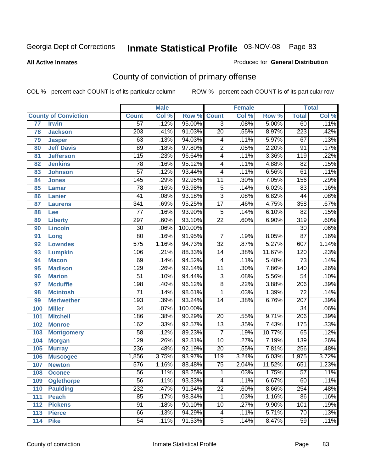#### **All Active Inmates**

#### Produced for **General Distribution**

# County of conviction of primary offense

|                 |                             |                  | <b>Male</b> |         |                  | <b>Female</b> |                  |                  | <b>Total</b> |
|-----------------|-----------------------------|------------------|-------------|---------|------------------|---------------|------------------|------------------|--------------|
|                 | <b>County of Conviction</b> | <b>Count</b>     | Col %       | Row %   | <b>Count</b>     | Col %         | Row <sup>%</sup> | <b>Total</b>     | Col %        |
| $\overline{77}$ | <b>Irwin</b>                | $\overline{57}$  | .12%        | 95.00%  | $\overline{3}$   | .08%          | 5.00%            | 60               | .11%         |
| 78              | <b>Jackson</b>              | $\overline{203}$ | .41%        | 91.03%  | $\overline{20}$  | .55%          | 8.97%            | $\overline{223}$ | .42%         |
| 79              | <b>Jasper</b>               | 63               | .13%        | 94.03%  | 4                | .11%          | 5.97%            | 67               | .13%         |
| 80              | <b>Jeff Davis</b>           | $\overline{89}$  | .18%        | 97.80%  | $\overline{2}$   | .05%          | 2.20%            | $\overline{91}$  | .17%         |
| 81              | <b>Jefferson</b>            | $\overline{115}$ | .23%        | 96.64%  | $\overline{4}$   | .11%          | 3.36%            | $\overline{119}$ | .22%         |
| 82              | <b>Jenkins</b>              | $\overline{78}$  | .16%        | 95.12%  | $\overline{4}$   | .11%          | 4.88%            | $\overline{82}$  | .15%         |
| 83              | <b>Johnson</b>              | $\overline{57}$  | .12%        | 93.44%  | 4                | .11%          | 6.56%            | 61               | .11%         |
| 84              | <b>Jones</b>                | 145              | .29%        | 92.95%  | $\overline{11}$  | .30%          | 7.05%            | 156              | .29%         |
| 85              | <b>Lamar</b>                | $\overline{78}$  | .16%        | 93.98%  | $\overline{5}$   | .14%          | 6.02%            | 83               | .16%         |
| 86              | <b>Lanier</b>               | $\overline{41}$  | .08%        | 93.18%  | $\overline{3}$   | .08%          | 6.82%            | 44               | .08%         |
| 87              | <b>Laurens</b>              | $\overline{341}$ | .69%        | 95.25%  | $\overline{17}$  | .46%          | 4.75%            | 358              | .67%         |
| 88              | Lee                         | $\overline{77}$  | .16%        | 93.90%  | $\overline{5}$   | .14%          | 6.10%            | $\overline{82}$  | .15%         |
| 89              | <b>Liberty</b>              | 297              | .60%        | 93.10%  | $\overline{22}$  | .60%          | 6.90%            | $\overline{319}$ | .60%         |
| 90              | <b>Lincoln</b>              | $\overline{30}$  | .06%        | 100.00% |                  |               |                  | $\overline{30}$  | .06%         |
| 91              | Long                        | $\overline{80}$  | .16%        | 91.95%  | $\overline{7}$   | .19%          | 8.05%            | $\overline{87}$  | .16%         |
| 92              | <b>Lowndes</b>              | $\overline{575}$ | 1.16%       | 94.73%  | $\overline{32}$  | .87%          | 5.27%            | 607              | 1.14%        |
| 93              | <b>Lumpkin</b>              | 106              | .21%        | 88.33%  | 14               | .38%          | 11.67%           | 120              | .23%         |
| 94              | <b>Macon</b>                | 69               | .14%        | 94.52%  | 4                | .11%          | 5.48%            | $\overline{73}$  | .14%         |
| 95              | <b>Madison</b>              | 129              | .26%        | 92.14%  | $\overline{11}$  | .30%          | 7.86%            | $\overline{140}$ | .26%         |
| 96              | <b>Marion</b>               | $\overline{51}$  | .10%        | 94.44%  | $\overline{3}$   | .08%          | 5.56%            | $\overline{54}$  | .10%         |
| 97              | <b>Mcduffie</b>             | 198              | .40%        | 96.12%  | $\overline{8}$   | .22%          | 3.88%            | $\overline{206}$ | .39%         |
| 98              | <b>Mcintosh</b>             | $\overline{71}$  | .14%        | 98.61%  | $\mathbf{1}$     | .03%          | 1.39%            | $\overline{72}$  | .14%         |
| 99              | <b>Meriwether</b>           | 193              | .39%        | 93.24%  | $\overline{14}$  | .38%          | 6.76%            | $\overline{207}$ | .39%         |
| 100             | <b>Miller</b>               | $\overline{34}$  | .07%        | 100.00% |                  |               |                  | $\overline{34}$  | .06%         |
| 101             | <b>Mitchell</b>             | 186              | .38%        | 90.29%  | $\overline{20}$  | .55%          | 9.71%            | $\overline{206}$ | .39%         |
| 102             | <b>Monroe</b>               | $\overline{162}$ | .33%        | 92.57%  | $\overline{13}$  | .35%          | 7.43%            | $\overline{175}$ | .33%         |
| 103             | <b>Montgomery</b>           | $\overline{58}$  | .12%        | 89.23%  | $\overline{7}$   | .19%          | 10.77%           | 65               | .12%         |
| 104             | <b>Morgan</b>               | 129              | .26%        | 92.81%  | $\overline{10}$  | .27%          | 7.19%            | 139              | .26%         |
| 105             | <b>Murray</b>               | 236              | .48%        | 92.19%  | $\overline{20}$  | .55%          | 7.81%            | 256              | .48%         |
| 106             | <b>Muscogee</b>             | 1,856            | 3.75%       | 93.97%  | $\overline{119}$ | 3.24%         | 6.03%            | 1,975            | 3.72%        |
| 107             | <b>Newton</b>               | 576              | 1.16%       | 88.48%  | $\overline{75}$  | 2.04%         | 11.52%           | 651              | 1.23%        |
| 108             | <b>Oconee</b>               | 56               | .11%        | 98.25%  | 1                | .03%          | 1.75%            | 57               | .11%         |
| 109             | <b>Oglethorpe</b>           | $\overline{56}$  | .11%        | 93.33%  | 4                | .11%          | 6.67%            | 60               | .11%         |
| 110             | <b>Paulding</b>             | 232              | .47%        | 91.34%  | $\overline{22}$  | .60%          | 8.66%            | 254              | .48%         |
| 111             | <b>Peach</b>                | 85               | .17%        | 98.84%  | $\mathbf{1}$     | .03%          | 1.16%            | 86               | .16%         |
| 112             | <b>Pickens</b>              | $\overline{91}$  | .18%        | 90.10%  | 10               | .27%          | 9.90%            | 101              | .19%         |
| 113             | <b>Pierce</b>               | 66               | .13%        | 94.29%  | 4                | .11%          | 5.71%            | $\overline{70}$  | .13%         |
| 114             | <b>Pike</b>                 | $\overline{54}$  | .11%        | 91.53%  | $\overline{5}$   | .14%          | 8.47%            | $\overline{59}$  | .11%         |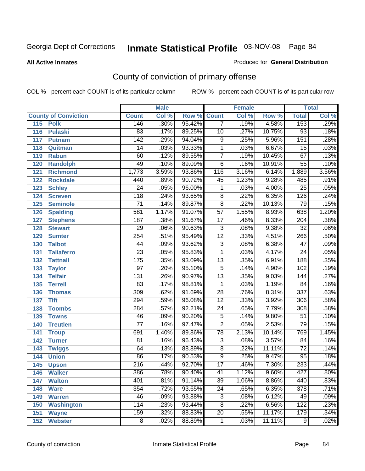#### **All Active Inmates**

#### Produced for **General Distribution**

# County of conviction of primary offense

|                             |                  | <b>Male</b> |        |                 | <b>Female</b> |        |                  | <b>Total</b>               |
|-----------------------------|------------------|-------------|--------|-----------------|---------------|--------|------------------|----------------------------|
| <b>County of Conviction</b> | <b>Count</b>     | Col %       | Row %  | <b>Count</b>    | Col %         | Row %  | <b>Total</b>     | $\overline{\text{Col }\%}$ |
| 115<br><b>Polk</b>          | 146              | .30%        | 95.42% | $\overline{7}$  | .19%          | 4.58%  | 153              | .29%                       |
| <b>Pulaski</b><br>116       | 83               | .17%        | 89.25% | $\overline{10}$ | .27%          | 10.75% | 93               | .18%                       |
| 117<br><b>Putnam</b>        | $\overline{142}$ | .29%        | 94.04% | $\overline{9}$  | .25%          | 5.96%  | 151              | .28%                       |
| 118<br>Quitman              | 14               | .03%        | 93.33% | $\mathbf{1}$    | .03%          | 6.67%  | $\overline{15}$  | .03%                       |
| 119<br><b>Rabun</b>         | 60               | .12%        | 89.55% | $\overline{7}$  | .19%          | 10.45% | 67               | .13%                       |
| 120<br><b>Randolph</b>      | 49               | .10%        | 89.09% | $\overline{6}$  | .16%          | 10.91% | $\overline{55}$  | .10%                       |
| 121<br><b>Richmond</b>      | 1,773            | 3.59%       | 93.86% | 116             | 3.16%         | 6.14%  | 1,889            | 3.56%                      |
| 122<br><b>Rockdale</b>      | 440              | .89%        | 90.72% | 45              | 1.23%         | 9.28%  | 485              | .91%                       |
| 123<br><b>Schley</b>        | $\overline{24}$  | .05%        | 96.00% | $\mathbf{1}$    | .03%          | 4.00%  | $\overline{25}$  | .05%                       |
| 124<br><b>Screven</b>       | $\overline{118}$ | .24%        | 93.65% | $\overline{8}$  | .22%          | 6.35%  | 126              | .24%                       |
| 125<br><b>Seminole</b>      | $\overline{71}$  | .14%        | 89.87% | $\overline{8}$  | .22%          | 10.13% | 79               | .15%                       |
| <b>Spalding</b><br>126      | $\overline{581}$ | 1.17%       | 91.07% | $\overline{57}$ | 1.55%         | 8.93%  | 638              | 1.20%                      |
| 127<br><b>Stephens</b>      | 187              | .38%        | 91.67% | $\overline{17}$ | .46%          | 8.33%  | $\overline{204}$ | .38%                       |
| 128<br><b>Stewart</b>       | $\overline{29}$  | .06%        | 90.63% | $\overline{3}$  | .08%          | 9.38%  | $\overline{32}$  | .06%                       |
| 129<br><b>Sumter</b>        | $\overline{254}$ | .51%        | 95.49% | $\overline{12}$ | .33%          | 4.51%  | 266              | .50%                       |
| <b>Talbot</b><br>130        | $\overline{44}$  | .09%        | 93.62% | $\overline{3}$  | .08%          | 6.38%  | $\overline{47}$  | .09%                       |
| 131<br><b>Taliaferro</b>    | $\overline{23}$  | .05%        | 95.83% | $\mathbf{1}$    | .03%          | 4.17%  | $\overline{24}$  | .05%                       |
| 132<br><b>Tattnall</b>      | $\overline{175}$ | .35%        | 93.09% | $\overline{13}$ | .35%          | 6.91%  | 188              | .35%                       |
| 133<br><b>Taylor</b>        | $\overline{97}$  | .20%        | 95.10% | $\overline{5}$  | .14%          | 4.90%  | 102              | .19%                       |
| <b>Telfair</b><br>134       | $\overline{131}$ | .26%        | 90.97% | $\overline{13}$ | .35%          | 9.03%  | 144              | .27%                       |
| 135<br><b>Terrell</b>       | 83               | .17%        | 98.81% | $\mathbf{1}$    | .03%          | 1.19%  | $\overline{84}$  | .16%                       |
| 136<br><b>Thomas</b>        | $\overline{309}$ | .62%        | 91.69% | $\overline{28}$ | .76%          | 8.31%  | 337              | .63%                       |
| 137<br><b>Tift</b>          | $\overline{294}$ | .59%        | 96.08% | $\overline{12}$ | .33%          | 3.92%  | $\overline{306}$ | .58%                       |
| <b>Toombs</b><br>138        | 284              | .57%        | 92.21% | $\overline{24}$ | .65%          | 7.79%  | 308              | .58%                       |
| 139<br><b>Towns</b>         | 46               | .09%        | 90.20% | $\overline{5}$  | .14%          | 9.80%  | $\overline{51}$  | .10%                       |
| 140<br><b>Treutlen</b>      | $\overline{77}$  | .16%        | 97.47% | $\overline{2}$  | .05%          | 2.53%  | $\overline{79}$  | .15%                       |
| 141<br><b>Troup</b>         | 691              | 1.40%       | 89.86% | $\overline{78}$ | 2.13%         | 10.14% | 769              | 1.45%                      |
| 142<br><b>Turner</b>        | $\overline{81}$  | .16%        | 96.43% | $\overline{3}$  | .08%          | 3.57%  | 84               | .16%                       |
| 143<br><b>Twiggs</b>        | 64               | .13%        | 88.89% | $\overline{8}$  | .22%          | 11.11% | $\overline{72}$  | .14%                       |
| 144<br><b>Union</b>         | 86               | .17%        | 90.53% | $\overline{9}$  | .25%          | 9.47%  | $\overline{95}$  | .18%                       |
| 145<br><b>Upson</b>         | $\overline{216}$ | .44%        | 92.70% | $\overline{17}$ | .46%          | 7.30%  | 233              | .44%                       |
| 146<br><b>Walker</b>        | 386              | .78%        | 90.40% | 41              | 1.12%         | 9.60%  | 427              | .80%                       |
| <b>Walton</b><br>147        | $\overline{401}$ | .81%        | 91.14% | $\overline{39}$ | 1.06%         | 8.86%  | 440              | .83%                       |
| <b>Ware</b><br>148          | 354              | .72%        | 93.65% | $\overline{24}$ | .65%          | 6.35%  | $\overline{378}$ | .71%                       |
| <b>Warren</b><br>149        | 46               | .09%        | 93.88% | $\overline{3}$  | .08%          | 6.12%  | 49               | .09%                       |
| <b>Washington</b><br>150    | 114              | .23%        | 93.44% | $\overline{8}$  | .22%          | 6.56%  | 122              | .23%                       |
| 151<br><b>Wayne</b>         | 159              | .32%        | 88.83% | $\overline{20}$ | .55%          | 11.17% | 179              | .34%                       |
| 152<br><b>Webster</b>       | $\overline{8}$   | .02%        | 88.89% | $\mathbf 1$     | .03%          | 11.11% | $\overline{9}$   | .02%                       |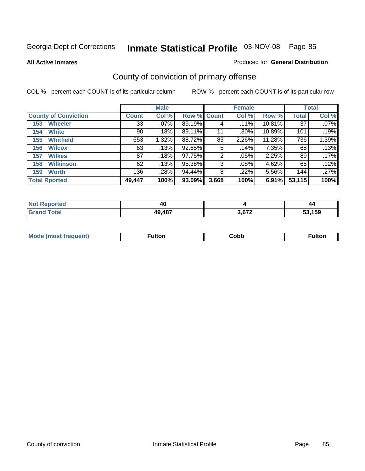**All Active Inmates**

### Produced for **General Distribution**

# County of conviction of primary offense

|                             |              | <b>Male</b> |             |       | <b>Female</b> |        |              | <b>Total</b> |
|-----------------------------|--------------|-------------|-------------|-------|---------------|--------|--------------|--------------|
| <b>County of Conviction</b> | <b>Count</b> | Col %       | Row % Count |       | Col %         | Row %  | <b>Total</b> | Col %        |
| <b>Wheeler</b><br>153       | 33           | $.07\%$     | 89.19%      | 4     | .11%          | 10.81% | 37           | $.07\%$      |
| <b>White</b><br>154         | 90           | .18%        | 89.11%      | 11    | .30%          | 10.89% | 101          | .19%         |
| <b>Whitfield</b><br>155     | 653          | 1.32%       | 88.72%      | 83    | 2.26%         | 11.28% | 736          | 1.39%        |
| <b>Wilcox</b><br>156        | 63           | .13%        | 92.65%      | 5     | .14%          | 7.35%  | 68           | .13%         |
| <b>Wilkes</b><br>157        | 87           | .18%        | 97.75%      | 2     | .05%          | 2.25%  | 89           | .17%         |
| <b>Wilkinson</b><br>158     | 62           | .13%        | 95.38%      | 3     | $.08\%$       | 4.62%  | 65           | .12%         |
| <b>Worth</b><br>159         | 136          | .28%        | 94.44%      | 8     | .22%          | 5.56%  | 144          | .27%         |
| <b>Total Rported</b>        | 49,447       | 100%        | 93.09%      | 3,668 | 100%          | 6.91%  | 53,115       | 100%         |

| <b>Reported</b><br>NOT<br>. | - 7    |                   | -44    |
|-----------------------------|--------|-------------------|--------|
| <b>Tota</b>                 | 49,487 | <b>2.672</b><br>. | 53,159 |

| Mc | ™ulton | Cobb |  |
|----|--------|------|--|
|    |        |      |  |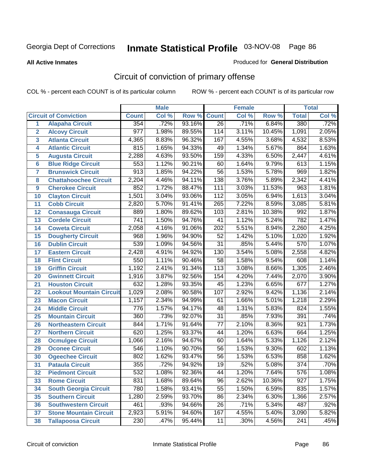**All Active Inmates**

#### Produced for **General Distribution**

# Circuit of conviction of primary offense

|                         |                                 |                  | <b>Male</b> |        |                 | <b>Female</b> |        |                  | <b>Total</b> |
|-------------------------|---------------------------------|------------------|-------------|--------|-----------------|---------------|--------|------------------|--------------|
|                         | <b>Circuit of Conviction</b>    | <b>Count</b>     | Col %       | Row %  | <b>Count</b>    | Col %         | Row %  | <b>Total</b>     | Col %        |
| 1                       | <b>Alapaha Circuit</b>          | 354              | .72%        | 93.16% | $\overline{26}$ | .71%          | 6.84%  | 380              | .72%         |
| $\overline{2}$          | <b>Alcovy Circuit</b>           | $\overline{977}$ | 1.98%       | 89.55% | 114             | 3.11%         | 10.45% | 1,091            | 2.05%        |
| $\overline{\mathbf{3}}$ | <b>Atlanta Circuit</b>          | 4,365            | 8.83%       | 96.32% | 167             | 4.55%         | 3.68%  | 4,532            | 8.53%        |
| 4                       | <b>Atlantic Circuit</b>         | 815              | 1.65%       | 94.33% | 49              | 1.34%         | 5.67%  | 864              | 1.63%        |
| 5                       | <b>Augusta Circuit</b>          | 2,288            | 4.63%       | 93.50% | 159             | 4.33%         | 6.50%  | 2,447            | 4.61%        |
| $6\phantom{a}$          | <b>Blue Ridge Circuit</b>       | 553              | 1.12%       | 90.21% | 60              | 1.64%         | 9.79%  | 613              | 1.15%        |
| $\overline{\mathbf{7}}$ | <b>Brunswick Circuit</b>        | $\overline{913}$ | 1.85%       | 94.22% | $\overline{56}$ | 1.53%         | 5.78%  | 969              | 1.82%        |
| 8                       | <b>Chattahoochee Circuit</b>    | 2,204            | 4.46%       | 94.11% | 138             | 3.76%         | 5.89%  | 2,342            | 4.41%        |
| 9                       | <b>Cherokee Circuit</b>         | 852              | 1.72%       | 88.47% | 111             | 3.03%         | 11.53% | 963              | 1.81%        |
| 10                      | <b>Clayton Circuit</b>          | 1,501            | 3.04%       | 93.06% | 112             | 3.05%         | 6.94%  | 1,613            | 3.04%        |
| 11                      | <b>Cobb Circuit</b>             | 2,820            | 5.70%       | 91.41% | 265             | 7.22%         | 8.59%  | 3,085            | 5.81%        |
| 12                      | <b>Conasauga Circuit</b>        | 889              | 1.80%       | 89.62% | 103             | 2.81%         | 10.38% | 992              | 1.87%        |
| 13                      | <b>Cordele Circuit</b>          | $\overline{741}$ | 1.50%       | 94.76% | $\overline{41}$ | 1.12%         | 5.24%  | 782              | 1.47%        |
| 14                      | <b>Coweta Circuit</b>           | 2,058            | 4.16%       | 91.06% | 202             | 5.51%         | 8.94%  | 2,260            | 4.25%        |
| 15                      | <b>Dougherty Circuit</b>        | 968              | 1.96%       | 94.90% | $\overline{52}$ | 1.42%         | 5.10%  | 1,020            | 1.92%        |
| 16                      | <b>Dublin Circuit</b>           | 539              | 1.09%       | 94.56% | $\overline{31}$ | .85%          | 5.44%  | 570              | 1.07%        |
| 17                      | <b>Eastern Circuit</b>          | 2,428            | 4.91%       | 94.92% | 130             | 3.54%         | 5.08%  | 2,558            | 4.82%        |
| 18                      | <b>Flint Circuit</b>            | 550              | 1.11%       | 90.46% | $\overline{58}$ | 1.58%         | 9.54%  | 608              | 1.14%        |
| 19                      | <b>Griffin Circuit</b>          | 1,192            | 2.41%       | 91.34% | 113             | 3.08%         | 8.66%  | 1,305            | 2.46%        |
| 20                      | <b>Gwinnett Circuit</b>         | 1,916            | 3.87%       | 92.56% | 154             | 4.20%         | 7.44%  | 2,070            | 3.90%        |
| 21                      | <b>Houston Circuit</b>          | 632              | 1.28%       | 93.35% | $\overline{45}$ | 1.23%         | 6.65%  | 677              | 1.27%        |
| 22                      | <b>Lookout Mountain Circuit</b> | 1,029            | 2.08%       | 90.58% | 107             | 2.92%         | 9.42%  | 1,136            | 2.14%        |
| 23                      | <b>Macon Circuit</b>            | 1,157            | 2.34%       | 94.99% | 61              | 1.66%         | 5.01%  | 1,218            | 2.29%        |
| 24                      | <b>Middle Circuit</b>           | 776              | 1.57%       | 94.17% | 48              | 1.31%         | 5.83%  | 824              | 1.55%        |
| 25                      | <b>Mountain Circuit</b>         | 360              | .73%        | 92.07% | $\overline{31}$ | .85%          | 7.93%  | 391              | .74%         |
| 26                      | <b>Northeastern Circuit</b>     | 844              | 1.71%       | 91.64% | $\overline{77}$ | 2.10%         | 8.36%  | 921              | 1.73%        |
| 27                      | <b>Northern Circuit</b>         | 620              | 1.25%       | 93.37% | 44              | 1.20%         | 6.63%  | 664              | 1.25%        |
| 28                      | <b>Ocmulgee Circuit</b>         | 1,066            | 2.16%       | 94.67% | 60              | 1.64%         | 5.33%  | 1,126            | 2.12%        |
| 29                      | <b>Oconee Circuit</b>           | 546              | 1.10%       | 90.70% | 56              | 1.53%         | 9.30%  | 602              | 1.13%        |
| 30                      | <b>Ogeechee Circuit</b>         | 802              | 1.62%       | 93.47% | $\overline{56}$ | 1.53%         | 6.53%  | 858              | 1.62%        |
| $\overline{31}$         | <b>Pataula Circuit</b>          | 355              | .72%        | 94.92% | 19              | .52%          | 5.08%  | $\overline{374}$ | .70%         |
| 32                      | <b>Piedmont Circuit</b>         | 532              | 1.08%       | 92.36% | 44              | 1.20%         | 7.64%  | 576              | $1.08\%$     |
| 33                      | <b>Rome Circuit</b>             | 831              | 1.68%       | 89.64% | 96              | 2.62%         | 10.36% | 927              | 1.75%        |
| 34                      | <b>South Georgia Circuit</b>    | 780              | 1.58%       | 93.41% | $\overline{55}$ | 1.50%         | 6.59%  | 835              | 1.57%        |
| 35                      | <b>Southern Circuit</b>         | 1,280            | 2.59%       | 93.70% | 86              | 2.34%         | 6.30%  | 1,366            | 2.57%        |
| 36                      | <b>Southwestern Circuit</b>     | 461              | .93%        | 94.66% | 26              | .71%          | 5.34%  | 487              | .92%         |
| 37                      | <b>Stone Mountain Circuit</b>   | 2,923            | 5.91%       | 94.60% | 167             | 4.55%         | 5.40%  | 3,090            | 5.82%        |
| 38                      | <b>Tallapoosa Circuit</b>       | $\overline{230}$ | .47%        | 95.44% | 11              | .30%          | 4.56%  | $\overline{241}$ | .45%         |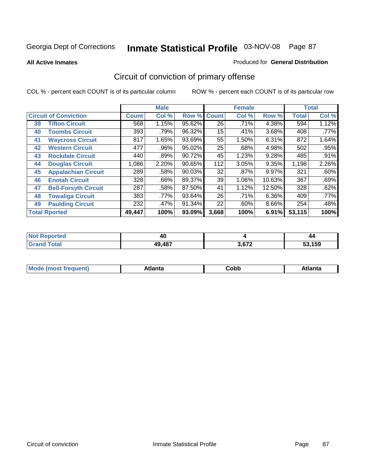**All Active Inmates**

#### Produced for **General Distribution**

# Circuit of conviction of primary offense

|    |                              |        | <b>Male</b> |        |              | <b>Female</b> |          |              | <b>Total</b> |
|----|------------------------------|--------|-------------|--------|--------------|---------------|----------|--------------|--------------|
|    | <b>Circuit of Conviction</b> |        | Col %       | Row %  | <b>Count</b> | Col %         | Row %    | <b>Total</b> | Col %        |
| 39 | <b>Tifton Circuit</b>        | 568    | 1.15%       | 95.62% | 26           | .71%          | 4.38%    | 594          | 1.12%        |
| 40 | <b>Toombs Circuit</b>        | 393    | .79%        | 96.32% | 15           | .41%          | 3.68%    | 408          | .77%         |
| 41 | <b>Waycross Circuit</b>      | 817    | 1.65%       | 93.69% | 55           | 1.50%         | 6.31%    | 872          | 1.64%        |
| 42 | <b>Western Circuit</b>       | 477    | $.96\%$     | 95.02% | 25           | .68%          | 4.98%    | 502          | .95%         |
| 43 | <b>Rockdale Circuit</b>      | 440    | .89%        | 90.72% | 45           | 1.23%         | 9.28%    | 485          | .91%         |
| 44 | <b>Douglas Circuit</b>       | 1,086  | 2.20%       | 90.65% | 112          | 3.05%         | 9.35%    | 1,198        | 2.26%        |
| 45 | <b>Appalachian Circuit</b>   | 289    | .58%        | 90.03% | 32           | $.87\%$       | $9.97\%$ | 321          | .60%         |
| 46 | <b>Enotah Circuit</b>        | 328    | .66%        | 89.37% | 39           | 1.06%         | 10.63%   | 367          | .69%         |
| 47 | <b>Bell-Forsyth Circuit</b>  | 287    | .58%        | 87.50% | 41           | 1.12%         | 12.50%   | 328          | .62%         |
| 48 | <b>Towaliga Circuit</b>      | 383    | .77%        | 93.64% | 26           | .71%          | 6.36%    | 409          | .77%         |
| 49 | <b>Paulding Circuit</b>      | 232    | .47%        | 91.34% | 22           | .60%          | 8.66%    | 254          | .48%         |
|    | <b>Total Rported</b>         | 49,447 | 100%        | 93.09% | 3,668        | 100%          | 6.91%    | 53,115       | 100%         |

| N<br>тео | 4L     |       | 44   |
|----------|--------|-------|------|
|          | 49,487 | 3.672 | .159 |

| <b>M</b> ດ<br>.<br>. | $+1$ ant $\cdot$<br>ιαπιω<br>. <i>. .</i> | ∶obb<br>- - - - - | 'anta |
|----------------------|-------------------------------------------|-------------------|-------|
|----------------------|-------------------------------------------|-------------------|-------|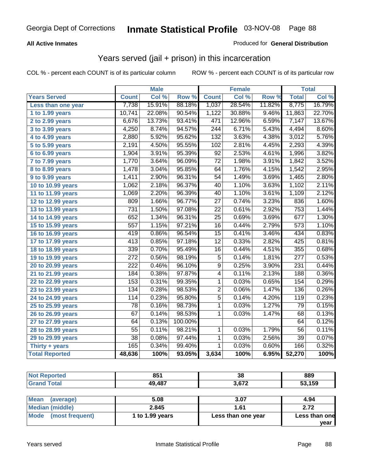### **All Active Inmates**

### Produced for **General Distribution**

### Years served (jail + prison) in this incarceration

|                       |                  | <b>Male</b> |         |                  | <b>Female</b> |        |                  | <b>Total</b> |
|-----------------------|------------------|-------------|---------|------------------|---------------|--------|------------------|--------------|
| <b>Years Served</b>   | <b>Count</b>     | Col %       | Row %   | <b>Count</b>     | Col %         | Row %  | <b>Total</b>     | Col %        |
| Less than one year    | 7,738            | 15.91%      | 88.18%  | 1,037            | 28.54%        | 11.82% | 8,775            | 16.79%       |
| 1 to 1.99 years       | 10,741           | 22.08%      | 90.54%  | 1,122            | 30.88%        | 9.46%  | 11,863           | 22.70%       |
| 2 to 2.99 years       | 6,676            | 13.73%      | 93.41%  | 471              | 12.96%        | 6.59%  | 7,147            | 13.67%       |
| 3 to 3.99 years       | 4,250            | 8.74%       | 94.57%  | $\overline{244}$ | 6.71%         | 5.43%  | 4,494            | 8.60%        |
| 4 to 4.99 years       | 2,880            | 5.92%       | 95.62%  | $\overline{132}$ | 3.63%         | 4.38%  | 3,012            | 5.76%        |
| 5 to 5.99 years       | 2,191            | 4.50%       | 95.55%  | 102              | 2.81%         | 4.45%  | 2,293            | 4.39%        |
| 6 to 6.99 years       | 1,904            | 3.91%       | 95.39%  | $\overline{92}$  | 2.53%         | 4.61%  | 1,996            | 3.82%        |
| 7 to 7.99 years       | 1,770            | 3.64%       | 96.09%  | $\overline{72}$  | 1.98%         | 3.91%  | 1,842            | 3.52%        |
| 8 to 8.99 years       | 1,478            | 3.04%       | 95.85%  | 64               | 1.76%         | 4.15%  | 1,542            | 2.95%        |
| 9 to 9.99 years       | 1,411            | 2.90%       | 96.31%  | $\overline{54}$  | 1.49%         | 3.69%  | 1,465            | 2.80%        |
| 10 to 10.99 years     | 1,062            | 2.18%       | 96.37%  | 40               | 1.10%         | 3.63%  | 1,102            | 2.11%        |
| 11 to 11.99 years     | 1,069            | 2.20%       | 96.39%  | $\overline{40}$  | 1.10%         | 3.61%  | 1,109            | 2.12%        |
| 12 to 12.99 years     | 809              | 1.66%       | 96.77%  | $\overline{27}$  | 0.74%         | 3.23%  | 836              | 1.60%        |
| 13 to 13.99 years     | 731              | 1.50%       | 97.08%  | $\overline{22}$  | 0.61%         | 2.92%  | 753              | 1.44%        |
| 14 to 14.99 years     | 652              | 1.34%       | 96.31%  | $\overline{25}$  | 0.69%         | 3.69%  | 677              | 1.30%        |
| 15 to 15.99 years     | $\overline{557}$ | 1.15%       | 97.21%  | $\overline{16}$  | 0.44%         | 2.79%  | 573              | 1.10%        |
| 16 to 16.99 years     | 419              | 0.86%       | 96.54%  | $\overline{15}$  | 0.41%         | 3.46%  | 434              | 0.83%        |
| 17 to 17.99 years     | $\overline{413}$ | 0.85%       | 97.18%  | $\overline{12}$  | 0.33%         | 2.82%  | 425              | 0.81%        |
| 18 to 18.99 years     | 339              | 0.70%       | 95.49%  | $\overline{16}$  | 0.44%         | 4.51%  | 355              | 0.68%        |
| 19 to 19.99 years     | $\overline{272}$ | 0.56%       | 98.19%  | $\overline{5}$   | 0.14%         | 1.81%  | $\overline{277}$ | 0.53%        |
| 20 to 20.99 years     | $\overline{222}$ | 0.46%       | 96.10%  | $\overline{9}$   | 0.25%         | 3.90%  | 231              | 0.44%        |
| 21 to 21.99 years     | 184              | 0.38%       | 97.87%  | 4                | 0.11%         | 2.13%  | 188              | 0.36%        |
| 22 to 22.99 years     | 153              | 0.31%       | 99.35%  | 1                | 0.03%         | 0.65%  | 154              | 0.29%        |
| 23 to 23.99 years     | 134              | 0.28%       | 98.53%  | $\overline{2}$   | 0.06%         | 1.47%  | 136              | 0.26%        |
| 24 to 24.99 years     | 114              | 0.23%       | 95.80%  | $\overline{5}$   | 0.14%         | 4.20%  | 119              | 0.23%        |
| 25 to 25.99 years     | $\overline{78}$  | 0.16%       | 98.73%  | $\overline{1}$   | 0.03%         | 1.27%  | $\overline{79}$  | 0.15%        |
| 26 to 26.99 years     | 67               | 0.14%       | 98.53%  | $\mathbf{1}$     | 0.03%         | 1.47%  | 68               | 0.13%        |
| 27 to 27.99 years     | 64               | 0.13%       | 100.00% |                  |               |        | 64               | 0.12%        |
| 28 to 28.99 years     | 55               | 0.11%       | 98.21%  | $\mathbf{1}$     | 0.03%         | 1.79%  | 56               | 0.11%        |
| 29 to 29.99 years     | $\overline{38}$  | 0.08%       | 97.44%  | $\overline{1}$   | 0.03%         | 2.56%  | $\overline{39}$  | 0.07%        |
| Thirty + years        | 165              | 0.34%       | 99.40%  | $\mathbf{1}$     | 0.03%         | 0.60%  | 166              | 0.32%        |
| <b>Total Reported</b> | 48,636           | 100%        | 93.05%  | 3,634            | 100%          | 6.95%  | 52,270           | 100%         |

| <b>Not Reported</b>      | 851    | 38    | 889    |  |
|--------------------------|--------|-------|--------|--|
| <b>Grand Total</b>       | 49,487 | 3,672 | 53,159 |  |
|                          |        |       |        |  |
| <b>Mean</b><br>(average) | 5.08   | 3.07  | 4.94   |  |

| ∣ IVI <del>c</del> ali<br>(average) | J.UO            | J.V1               | 4.J4          |
|-------------------------------------|-----------------|--------------------|---------------|
| Median (middle)                     | 2.845           | 1.61               | 2.72          |
| Mode<br>(most frequent)             | 1 to 1.99 years | Less than one year | Less than one |
|                                     |                 |                    | vear          |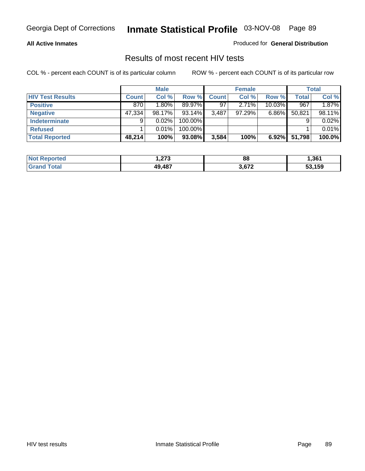#### **All Active Inmates**

Produced for **General Distribution**

### Results of most recent HIV tests

|                         |              | <b>Male</b> |         |       | <b>Female</b> |           |              | Total  |
|-------------------------|--------------|-------------|---------|-------|---------------|-----------|--------------|--------|
| <b>HIV Test Results</b> | <b>Count</b> | Col%        | Row %   | Count | Col %         | Row %     | <b>Total</b> | Col %  |
| <b>Positive</b>         | 870          | 1.80%       | 89.97%  | 97    | 2.71%         | $10.03\%$ | 967          | 1.87%  |
| <b>Negative</b>         | 47,334       | 98.17%      | 93.14%  | 3,487 | 97.29%        | $6.86\%$  | 50,821       | 98.11% |
| <b>Indeterminate</b>    | 9            | 0.02%       | 100.00% |       |               |           |              | 0.02%  |
| <b>Refused</b>          |              | 0.01%       | 100.00% |       |               |           |              | 0.01%  |
| <b>Total Reported</b>   | 48,214       | 100%        | 93.08%  | 3,584 | 100%          | 6.92%     | 51,798       | 100.0% |

| <b>Not</b><br>eported | つつつ<br>- 10 | 88    | l.361  |
|-----------------------|-------------|-------|--------|
| <b>Grar</b><br>™otaì  | 49.487      | 3.672 | 53,159 |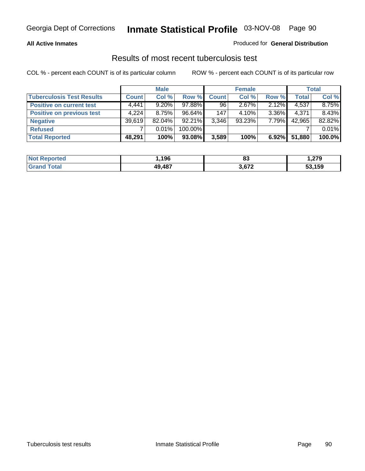### **All Active Inmates**

### Produced for **General Distribution**

### Results of most recent tuberculosis test

|                                  |              | <b>Male</b> |           |              | <b>Female</b> |          |              | <b>Total</b> |
|----------------------------------|--------------|-------------|-----------|--------------|---------------|----------|--------------|--------------|
| <b>Tuberculosis Test Results</b> | <b>Count</b> | Col %       | Row %     | <b>Count</b> | Col %         | Row %    | <b>Total</b> | Col %        |
| <b>Positive on current test</b>  | 4,441        | $9.20\%$    | 97.88%    | 96           | $2.67\%$      | 2.12%    | 4,537        | 8.75%        |
| <b>Positive on previous test</b> | 4.224        | 8.75%       | $96.64\%$ | 147          | $4.10\%$      | $3.36\%$ | 4,371        | 8.43%        |
| <b>Negative</b>                  | 39,619       | $82.04\%$   | $92.21\%$ | 3,346        | $93.23\%$     | 7.79%    | 42,965       | 82.82%       |
| <b>Refused</b>                   |              | $0.01\%$    | 100.00%   |              |               |          |              | 0.01%        |
| <b>Total Reported</b>            | 48,291       | 100%        | 93.08%    | 3,589        | 100%          | $6.92\%$ | 51,880       | 100.0%       |

| <b>Not</b><br>Reported | 196    | o.<br>o J | 27Ο    |
|------------------------|--------|-----------|--------|
| <b>Grand</b><br>Total  | 49.487 | 3,672     | 53,159 |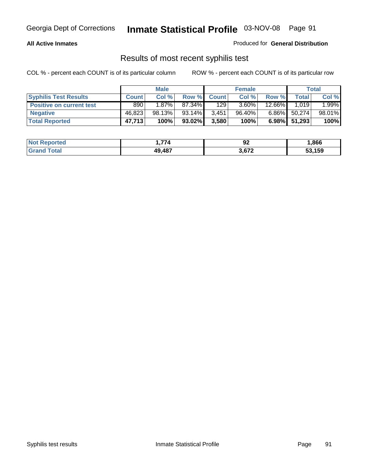### **All Active Inmates**

Produced for **General Distribution**

### Results of most recent syphilis test

|                                 |              | <b>Male</b> |           |              | <b>Female</b> |          |              | Total  |
|---------------------------------|--------------|-------------|-----------|--------------|---------------|----------|--------------|--------|
| <b>Syphilis Test Results</b>    | <b>Count</b> | Col %       | Row %     | <b>Count</b> | Col %         | Row %    | Total        | Col %  |
| <b>Positive on current test</b> | 890          | $1.87\%$    | 87.34%    | 129          | $3.60\%$      | 12.66%   | 1.019        | 1.99%  |
| <b>Negative</b>                 | 46,823       | 98.13%      | 93.14%    | 3,451        | 96.40%        | $6.86\%$ | 50,274       | 98.01% |
| <b>Total Reported</b>           | 47,713       | 100%        | $93.02\%$ | 3,580        | 100%          |          | 6.98% 51,293 | 100%   |

| <b>Not Reported</b> | 774    | JŁ    | .866   |
|---------------------|--------|-------|--------|
| <b>Grand Total</b>  | 49.487 | 3,672 | 53,159 |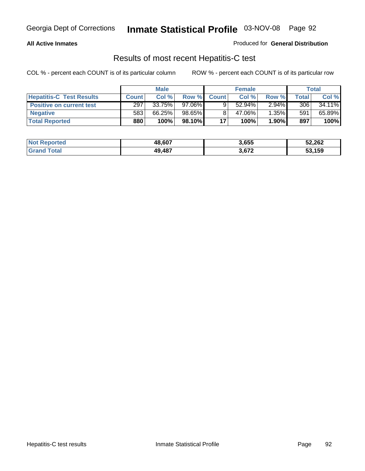### **All Active Inmates**

Produced for **General Distribution**

### Results of most recent Hepatitis-C test

|                                 |              | <b>Male</b> |         |              | <b>Female</b> |          |             | Total  |
|---------------------------------|--------------|-------------|---------|--------------|---------------|----------|-------------|--------|
| <b>Hepatitis-C Test Results</b> | <b>Count</b> | Col %       | Row %I  | <b>Count</b> | Col %         | Row %    | $\tau$ otal | Col %  |
| <b>Positive on current test</b> | 297          | 33.75%      | 97.06%  |              | $52.94\%$     | $2.94\%$ | 306         | 34.11% |
| <b>Negative</b>                 | 583          | 66.25%      | 98.65%  |              | 47.06%        | 1.35%    | 591         | 65.89% |
| <b>Total Reported</b>           | 880          | 100%        | 98.10%I | 17           | 100%          | 1.90%    | 897         | 100%   |

| <b>Not Reported</b> | 48,607 | 3,655 | 52,262 |
|---------------------|--------|-------|--------|
| <b>Grand Total</b>  | 49,487 | 3,672 | 53,159 |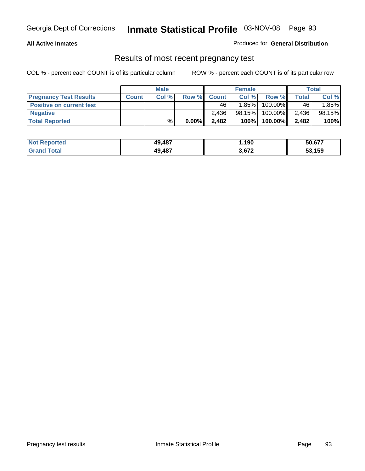### **All Active Inmates**

### Produced for **General Distribution**

### Results of most recent pregnancy test

|                                 | <b>Male</b>  |       | <b>Female</b> |              |          | Total   |              |        |
|---------------------------------|--------------|-------|---------------|--------------|----------|---------|--------------|--------|
| <b>Pregnancy Test Results</b>   | <b>Count</b> | Col % | Row %         | <b>Count</b> | Col %    | Row %   | <b>Total</b> | Col %  |
| <b>Positive on current test</b> |              |       |               | 46           | $1.85\%$ | 100.00% | 46           | 1.85%  |
| <b>Negative</b>                 |              |       |               | 2.436        | 98.15%   | 100.00% | 2,436        | 98.15% |
| <b>Total Reported</b>           |              | %     | $0.00\%$      | 2,482        | 100%     | 100.00% | 2,482        | 100%   |

| <b>Not Reported</b> | 49,487 | 190, ا | 50,677 |
|---------------------|--------|--------|--------|
| <b>Grand Total</b>  | 49,487 | 3,672  | 53,159 |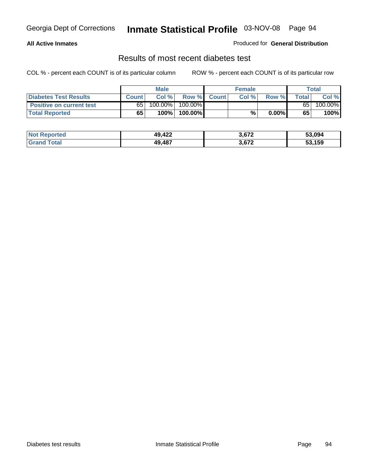### **All Active Inmates**

### Produced for **General Distribution**

### Results of most recent diabetes test

|                                 |              | Male       |         |              | <b>Female</b> |        |       | Total   |
|---------------------------------|--------------|------------|---------|--------------|---------------|--------|-------|---------|
| Diabetes Test Results           | <b>Count</b> | Col %      | Row %   | <b>Count</b> | Col %         | Row %I | Total | Col %   |
| <b>Positive on current test</b> | 65           | $100.00\%$ | 100.00% |              |               |        | 65    | 100.00% |
| <b>Total Reported</b>           | 65           | 100%       | 100.00% |              | %             | 0.00%  | 65    | 100%    |

| <b>Not Reported</b>          | 49,422 | 3,672 | 53.094 |
|------------------------------|--------|-------|--------|
| <b>i</b> otal<br><b>Grar</b> | 49.487 | 3,672 | 53,159 |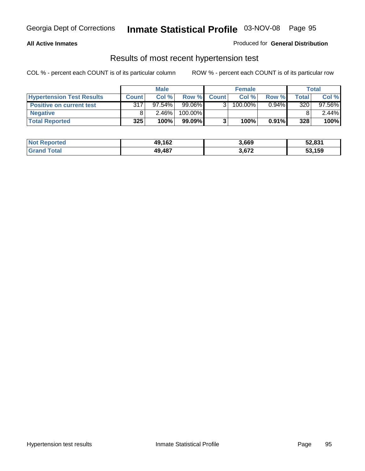### **All Active Inmates**

### Produced for **General Distribution**

### Results of most recent hypertension test

|                                  | <b>Male</b>  |          |           | <b>Female</b> |            |          | Total |          |
|----------------------------------|--------------|----------|-----------|---------------|------------|----------|-------|----------|
| <b>Hypertension Test Results</b> | <b>Count</b> | Col %    | Row %     | <b>Count</b>  | Col%       | Row %    | Total | Col %    |
| <b>Positive on current test</b>  | 317          | 97.54%   | 99.06%    |               | $100.00\%$ | $0.94\%$ | 320   | 97.56%   |
| <b>Negative</b>                  |              | $2.46\%$ | 100.00%   |               |            |          |       | $2.44\%$ |
| <b>Total Reported</b>            | 325          | 100%     | $99.09\%$ |               | 100%       | $0.91\%$ | 328   | 100%     |

| <b>Not Reported</b> | 49,162 | 3,669 | 52,831 |
|---------------------|--------|-------|--------|
| <b>Grand Total</b>  | 49,487 | 3,672 | 53,159 |